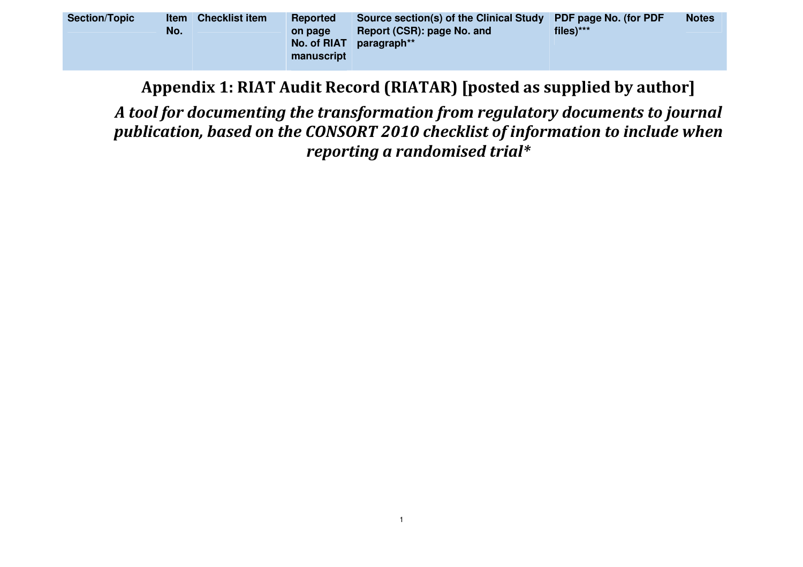| <b>Section/Topic</b><br><b>Item</b><br>No. | <b>Checklist item</b> | <b>Reported</b><br><b>on page</b><br>No. of RIAT<br>manuscript | Source section(s) of the Clinical Study PDF page No. (for PDF<br>Report (CSR): page No. and<br>paragraph** | files)*** | <b>Notes</b> |
|--------------------------------------------|-----------------------|----------------------------------------------------------------|------------------------------------------------------------------------------------------------------------|-----------|--------------|
|--------------------------------------------|-----------------------|----------------------------------------------------------------|------------------------------------------------------------------------------------------------------------|-----------|--------------|

Appendix 1: RIAT Audit Record (RIATAR) [posted as supplied by author]

A tool for documenting the transformation from regulatory documents to journal publication, based on the CONSORT 2010 checklist of information to include when reporting a randomised trial\*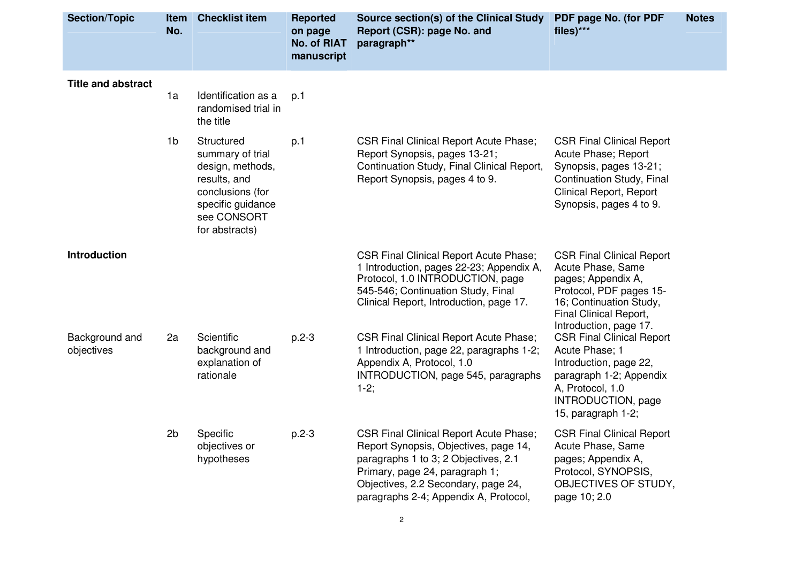| <b>Section/Topic</b>         | <b>Item</b><br>No. | <b>Checklist item</b>                                                                                                                        | <b>Reported</b><br>on page<br><b>No. of RIAT</b><br>manuscript | Source section(s) of the Clinical Study<br>Report (CSR): page No. and<br>paragraph**                                                                                                                                                             | PDF page No. (for PDF<br>files)***                                                                                                                                                    | <b>Notes</b> |
|------------------------------|--------------------|----------------------------------------------------------------------------------------------------------------------------------------------|----------------------------------------------------------------|--------------------------------------------------------------------------------------------------------------------------------------------------------------------------------------------------------------------------------------------------|---------------------------------------------------------------------------------------------------------------------------------------------------------------------------------------|--------------|
| <b>Title and abstract</b>    | 1a                 | Identification as a<br>randomised trial in<br>the title                                                                                      | p.1                                                            |                                                                                                                                                                                                                                                  |                                                                                                                                                                                       |              |
|                              | 1 <sub>b</sub>     | Structured<br>summary of trial<br>design, methods,<br>results, and<br>conclusions (for<br>specific guidance<br>see CONSORT<br>for abstracts) | p.1                                                            | <b>CSR Final Clinical Report Acute Phase;</b><br>Report Synopsis, pages 13-21;<br>Continuation Study, Final Clinical Report,<br>Report Synopsis, pages 4 to 9.                                                                                   | <b>CSR Final Clinical Report</b><br>Acute Phase; Report<br>Synopsis, pages 13-21;<br>Continuation Study, Final<br><b>Clinical Report, Report</b><br>Synopsis, pages 4 to 9.           |              |
| <b>Introduction</b>          |                    |                                                                                                                                              |                                                                | <b>CSR Final Clinical Report Acute Phase;</b><br>1 Introduction, pages 22-23; Appendix A,<br>Protocol, 1.0 INTRODUCTION, page<br>545-546; Continuation Study, Final<br>Clinical Report, Introduction, page 17.                                   | <b>CSR Final Clinical Report</b><br>Acute Phase, Same<br>pages; Appendix A,<br>Protocol, PDF pages 15-<br>16; Continuation Study,<br>Final Clinical Report,<br>Introduction, page 17. |              |
| Background and<br>objectives | 2a                 | Scientific<br>background and<br>explanation of<br>rationale                                                                                  | $p.2-3$                                                        | <b>CSR Final Clinical Report Acute Phase;</b><br>1 Introduction, page 22, paragraphs 1-2;<br>Appendix A, Protocol, 1.0<br>INTRODUCTION, page 545, paragraphs<br>$1-2;$                                                                           | <b>CSR Final Clinical Report</b><br>Acute Phase; 1<br>Introduction, page 22,<br>paragraph 1-2; Appendix<br>A, Protocol, 1.0<br>INTRODUCTION, page<br>15, paragraph 1-2;               |              |
|                              | 2 <sub>b</sub>     | Specific<br>objectives or<br>hypotheses                                                                                                      | $p.2-3$                                                        | <b>CSR Final Clinical Report Acute Phase;</b><br>Report Synopsis, Objectives, page 14,<br>paragraphs 1 to 3; 2 Objectives, 2.1<br>Primary, page 24, paragraph 1;<br>Objectives, 2.2 Secondary, page 24,<br>paragraphs 2-4; Appendix A, Protocol, | <b>CSR Final Clinical Report</b><br>Acute Phase, Same<br>pages; Appendix A,<br>Protocol, SYNOPSIS,<br>OBJECTIVES OF STUDY,<br>page 10; 2.0                                            |              |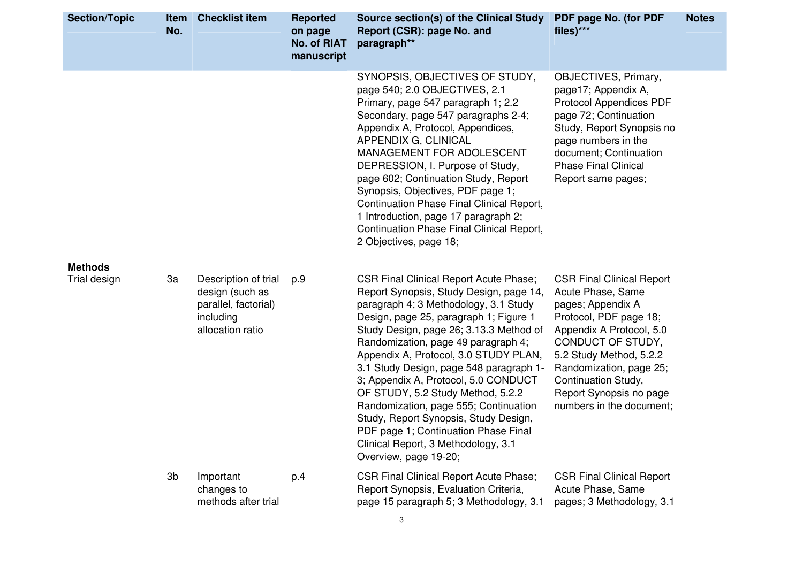| <b>Section/Topic</b> | <b>Item</b><br>No. | <b>Checklist item</b>                                                                            | <b>Reported</b><br>on page<br><b>No. of RIAT</b><br>manuscript | Source section(s) of the Clinical Study<br>Report (CSR): page No. and<br>paragraph**                                                                                                                                                                                                                                                                                                                                                                                                                                                                                                                                     | PDF page No. (for PDF<br>files)***                                                                                                                                                                                                                                                        | <b>Notes</b> |
|----------------------|--------------------|--------------------------------------------------------------------------------------------------|----------------------------------------------------------------|--------------------------------------------------------------------------------------------------------------------------------------------------------------------------------------------------------------------------------------------------------------------------------------------------------------------------------------------------------------------------------------------------------------------------------------------------------------------------------------------------------------------------------------------------------------------------------------------------------------------------|-------------------------------------------------------------------------------------------------------------------------------------------------------------------------------------------------------------------------------------------------------------------------------------------|--------------|
|                      |                    |                                                                                                  |                                                                | SYNOPSIS, OBJECTIVES OF STUDY,<br>page 540; 2.0 OBJECTIVES, 2.1<br>Primary, page 547 paragraph 1; 2.2<br>Secondary, page 547 paragraphs 2-4;<br>Appendix A, Protocol, Appendices,<br>APPENDIX G, CLINICAL<br>MANAGEMENT FOR ADOLESCENT<br>DEPRESSION, I. Purpose of Study,<br>page 602; Continuation Study, Report<br>Synopsis, Objectives, PDF page 1;<br>Continuation Phase Final Clinical Report,<br>1 Introduction, page 17 paragraph 2;<br>Continuation Phase Final Clinical Report,<br>2 Objectives, page 18;                                                                                                      | OBJECTIVES, Primary,<br>page17; Appendix A,<br><b>Protocol Appendices PDF</b><br>page 72; Continuation<br>Study, Report Synopsis no<br>page numbers in the<br>document; Continuation<br><b>Phase Final Clinical</b><br>Report same pages;                                                 |              |
| <b>Methods</b>       |                    |                                                                                                  |                                                                |                                                                                                                                                                                                                                                                                                                                                                                                                                                                                                                                                                                                                          |                                                                                                                                                                                                                                                                                           |              |
| Trial design         | 3a                 | Description of trial<br>design (such as<br>parallel, factorial)<br>including<br>allocation ratio | p.9                                                            | <b>CSR Final Clinical Report Acute Phase;</b><br>Report Synopsis, Study Design, page 14,<br>paragraph 4; 3 Methodology, 3.1 Study<br>Design, page 25, paragraph 1; Figure 1<br>Study Design, page 26; 3.13.3 Method of<br>Randomization, page 49 paragraph 4;<br>Appendix A, Protocol, 3.0 STUDY PLAN,<br>3.1 Study Design, page 548 paragraph 1-<br>3; Appendix A, Protocol, 5.0 CONDUCT<br>OF STUDY, 5.2 Study Method, 5.2.2<br>Randomization, page 555; Continuation<br>Study, Report Synopsis, Study Design,<br>PDF page 1; Continuation Phase Final<br>Clinical Report, 3 Methodology, 3.1<br>Overview, page 19-20; | <b>CSR Final Clinical Report</b><br>Acute Phase, Same<br>pages; Appendix A<br>Protocol, PDF page 18;<br>Appendix A Protocol, 5.0<br>CONDUCT OF STUDY,<br>5.2 Study Method, 5.2.2<br>Randomization, page 25;<br>Continuation Study,<br>Report Synopsis no page<br>numbers in the document; |              |
|                      | 3b                 | Important<br>changes to<br>methods after trial                                                   | p.4                                                            | <b>CSR Final Clinical Report Acute Phase;</b><br>Report Synopsis, Evaluation Criteria,<br>page 15 paragraph 5; 3 Methodology, 3.1                                                                                                                                                                                                                                                                                                                                                                                                                                                                                        | <b>CSR Final Clinical Report</b><br>Acute Phase, Same<br>pages; 3 Methodology, 3.1                                                                                                                                                                                                        |              |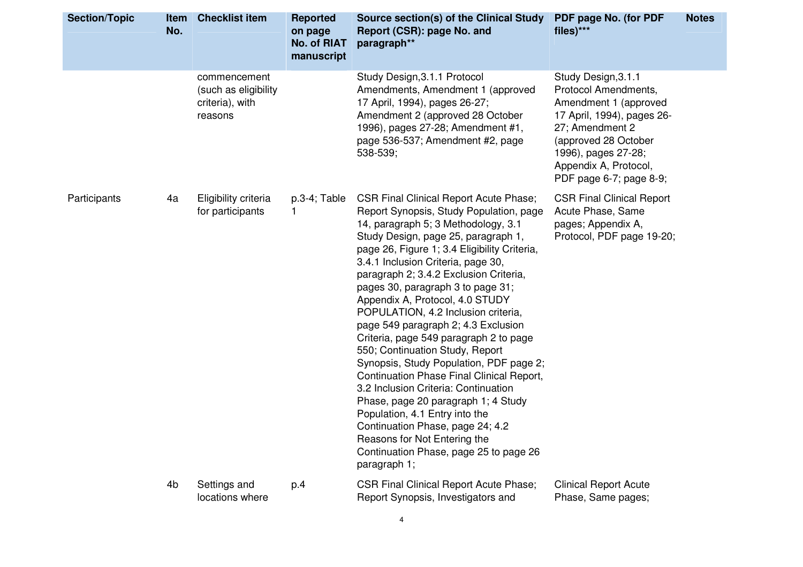| Study Design, 3.1.1 Protocol<br>Study Design, 3.1.1<br>commencement<br>Amendments, Amendment 1 (approved<br>Protocol Amendments,<br>(such as eligibility<br>17 April, 1994), pages 26-27;<br>criteria), with<br>Amendment 1 (approved<br>Amendment 2 (approved 28 October<br>17 April, 1994), pages 26-<br>reasons<br>1996), pages 27-28; Amendment #1,<br>27; Amendment 2<br>page 536-537; Amendment #2, page<br>(approved 28 October<br>538-539;<br>1996), pages 27-28;<br>Appendix A, Protocol,<br>PDF page 6-7; page 8-9;<br>Eligibility criteria<br>$p.3-4$ ; Table<br><b>CSR Final Clinical Report Acute Phase;</b><br><b>CSR Final Clinical Report</b><br>4a<br>for participants<br>Report Synopsis, Study Population, page<br>Acute Phase, Same<br>1.<br>14, paragraph 5; 3 Methodology, 3.1<br>pages; Appendix A,<br>Study Design, page 25, paragraph 1,<br>Protocol, PDF page 19-20;<br>page 26, Figure 1; 3.4 Eligibility Criteria,<br>3.4.1 Inclusion Criteria, page 30,<br>paragraph 2; 3.4.2 Exclusion Criteria,<br>pages 30, paragraph 3 to page 31;<br>Appendix A, Protocol, 4.0 STUDY<br>POPULATION, 4.2 Inclusion criteria,<br>page 549 paragraph 2; 4.3 Exclusion<br>Criteria, page 549 paragraph 2 to page<br>550; Continuation Study, Report<br>Synopsis, Study Population, PDF page 2;<br>Continuation Phase Final Clinical Report,<br>3.2 Inclusion Criteria: Continuation<br>Phase, page 20 paragraph 1; 4 Study<br>Population, 4.1 Entry into the<br>Continuation Phase, page 24; 4.2<br>Reasons for Not Entering the<br>Continuation Phase, page 25 to page 26<br>paragraph 1;<br>4 <sub>b</sub><br>Settings and<br><b>CSR Final Clinical Report Acute Phase;</b><br><b>Clinical Report Acute</b><br>p.4<br>locations where<br>Report Synopsis, Investigators and<br>Phase, Same pages; | <b>Section/Topic</b> | <b>Item</b><br>No. | <b>Checklist item</b> | <b>Reported</b><br>on page<br><b>No. of RIAT</b><br>manuscript | Source section(s) of the Clinical Study PDF page No. (for PDF<br>Report (CSR): page No. and<br>paragraph** | files)*** | <b>Notes</b> |
|-------------------------------------------------------------------------------------------------------------------------------------------------------------------------------------------------------------------------------------------------------------------------------------------------------------------------------------------------------------------------------------------------------------------------------------------------------------------------------------------------------------------------------------------------------------------------------------------------------------------------------------------------------------------------------------------------------------------------------------------------------------------------------------------------------------------------------------------------------------------------------------------------------------------------------------------------------------------------------------------------------------------------------------------------------------------------------------------------------------------------------------------------------------------------------------------------------------------------------------------------------------------------------------------------------------------------------------------------------------------------------------------------------------------------------------------------------------------------------------------------------------------------------------------------------------------------------------------------------------------------------------------------------------------------------------------------------------------------------------------------------------------------------------------------------------------|----------------------|--------------------|-----------------------|----------------------------------------------------------------|------------------------------------------------------------------------------------------------------------|-----------|--------------|
|                                                                                                                                                                                                                                                                                                                                                                                                                                                                                                                                                                                                                                                                                                                                                                                                                                                                                                                                                                                                                                                                                                                                                                                                                                                                                                                                                                                                                                                                                                                                                                                                                                                                                                                                                                                                                   |                      |                    |                       |                                                                |                                                                                                            |           |              |
|                                                                                                                                                                                                                                                                                                                                                                                                                                                                                                                                                                                                                                                                                                                                                                                                                                                                                                                                                                                                                                                                                                                                                                                                                                                                                                                                                                                                                                                                                                                                                                                                                                                                                                                                                                                                                   | Participants         |                    |                       |                                                                |                                                                                                            |           |              |
|                                                                                                                                                                                                                                                                                                                                                                                                                                                                                                                                                                                                                                                                                                                                                                                                                                                                                                                                                                                                                                                                                                                                                                                                                                                                                                                                                                                                                                                                                                                                                                                                                                                                                                                                                                                                                   |                      |                    |                       |                                                                |                                                                                                            |           |              |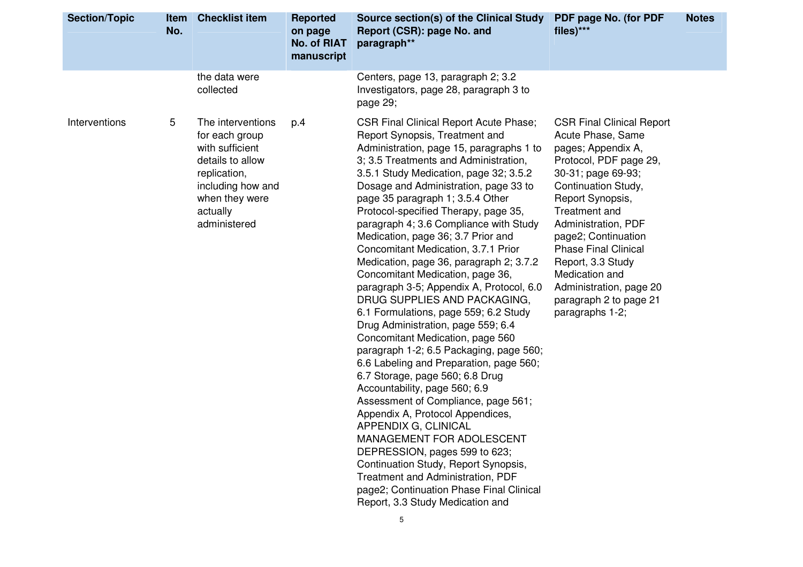| <b>Section/Topic</b> | <b>Item</b><br>No. | <b>Checklist item</b>                                                                                                                                         | <b>Reported</b><br>on page<br><b>No. of RIAT</b><br>manuscript | Source section(s) of the Clinical Study<br>Report (CSR): page No. and<br>paragraph**                                                                                                                                                                                                                                                                                                                                                                                                                                                                                                                                                                                                                                                                                                                                                                                                                                                                                                                                                                                                                                                                                                                                                    | PDF page No. (for PDF<br>files)***                                                                                                                                                                                                                                                                                                                                                  | <b>Notes</b> |
|----------------------|--------------------|---------------------------------------------------------------------------------------------------------------------------------------------------------------|----------------------------------------------------------------|-----------------------------------------------------------------------------------------------------------------------------------------------------------------------------------------------------------------------------------------------------------------------------------------------------------------------------------------------------------------------------------------------------------------------------------------------------------------------------------------------------------------------------------------------------------------------------------------------------------------------------------------------------------------------------------------------------------------------------------------------------------------------------------------------------------------------------------------------------------------------------------------------------------------------------------------------------------------------------------------------------------------------------------------------------------------------------------------------------------------------------------------------------------------------------------------------------------------------------------------|-------------------------------------------------------------------------------------------------------------------------------------------------------------------------------------------------------------------------------------------------------------------------------------------------------------------------------------------------------------------------------------|--------------|
|                      |                    | the data were<br>collected                                                                                                                                    |                                                                | Centers, page 13, paragraph 2; 3.2<br>Investigators, page 28, paragraph 3 to<br>page 29;                                                                                                                                                                                                                                                                                                                                                                                                                                                                                                                                                                                                                                                                                                                                                                                                                                                                                                                                                                                                                                                                                                                                                |                                                                                                                                                                                                                                                                                                                                                                                     |              |
| Interventions        | 5                  | The interventions<br>for each group<br>with sufficient<br>details to allow<br>replication,<br>including how and<br>when they were<br>actually<br>administered | p.4                                                            | <b>CSR Final Clinical Report Acute Phase;</b><br>Report Synopsis, Treatment and<br>Administration, page 15, paragraphs 1 to<br>3; 3.5 Treatments and Administration,<br>3.5.1 Study Medication, page 32; 3.5.2<br>Dosage and Administration, page 33 to<br>page 35 paragraph 1; 3.5.4 Other<br>Protocol-specified Therapy, page 35,<br>paragraph 4; 3.6 Compliance with Study<br>Medication, page 36; 3.7 Prior and<br>Concomitant Medication, 3.7.1 Prior<br>Medication, page 36, paragraph 2, 3.7.2<br>Concomitant Medication, page 36,<br>paragraph 3-5; Appendix A, Protocol, 6.0<br>DRUG SUPPLIES AND PACKAGING,<br>6.1 Formulations, page 559; 6.2 Study<br>Drug Administration, page 559; 6.4<br>Concomitant Medication, page 560<br>paragraph 1-2; 6.5 Packaging, page 560;<br>6.6 Labeling and Preparation, page 560;<br>6.7 Storage, page 560; 6.8 Drug<br>Accountability, page 560; 6.9<br>Assessment of Compliance, page 561;<br>Appendix A, Protocol Appendices,<br>APPENDIX G, CLINICAL<br>MANAGEMENT FOR ADOLESCENT<br>DEPRESSION, pages 599 to 623;<br>Continuation Study, Report Synopsis,<br><b>Treatment and Administration, PDF</b><br>page2; Continuation Phase Final Clinical<br>Report, 3.3 Study Medication and | <b>CSR Final Clinical Report</b><br>Acute Phase, Same<br>pages; Appendix A,<br>Protocol, PDF page 29,<br>30-31; page 69-93;<br>Continuation Study,<br>Report Synopsis,<br>Treatment and<br>Administration, PDF<br>page2; Continuation<br><b>Phase Final Clinical</b><br>Report, 3.3 Study<br>Medication and<br>Administration, page 20<br>paragraph 2 to page 21<br>paragraphs 1-2; |              |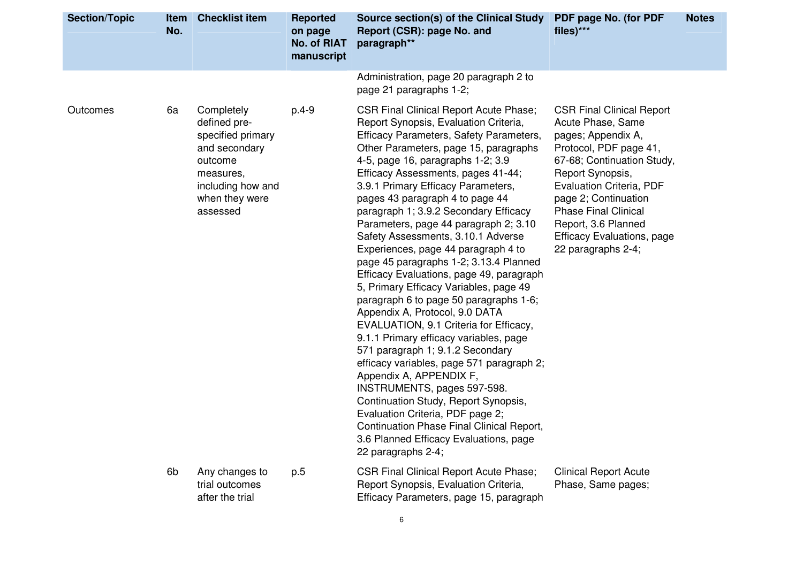| <b>Section/Topic</b> | <b>Item</b><br>No. | <b>Checklist item</b>                                                                                                                       | <b>Reported</b><br>on page<br><b>No. of RIAT</b><br>manuscript | Source section(s) of the Clinical Study<br>Report (CSR): page No. and<br>paragraph**                                                                                                                                                                                                                                                                                                                                                                                                                                                                                                                                                                                                                                                                                                                                                                                                                                                                                                                                                                                                                                              | PDF page No. (for PDF<br>$files)***$                                                                                                                                                                                                                                                                                         | <b>Notes</b> |
|----------------------|--------------------|---------------------------------------------------------------------------------------------------------------------------------------------|----------------------------------------------------------------|-----------------------------------------------------------------------------------------------------------------------------------------------------------------------------------------------------------------------------------------------------------------------------------------------------------------------------------------------------------------------------------------------------------------------------------------------------------------------------------------------------------------------------------------------------------------------------------------------------------------------------------------------------------------------------------------------------------------------------------------------------------------------------------------------------------------------------------------------------------------------------------------------------------------------------------------------------------------------------------------------------------------------------------------------------------------------------------------------------------------------------------|------------------------------------------------------------------------------------------------------------------------------------------------------------------------------------------------------------------------------------------------------------------------------------------------------------------------------|--------------|
|                      |                    |                                                                                                                                             |                                                                | Administration, page 20 paragraph 2 to<br>page 21 paragraphs 1-2;                                                                                                                                                                                                                                                                                                                                                                                                                                                                                                                                                                                                                                                                                                                                                                                                                                                                                                                                                                                                                                                                 |                                                                                                                                                                                                                                                                                                                              |              |
| Outcomes             | 6a                 | Completely<br>defined pre-<br>specified primary<br>and secondary<br>outcome<br>measures,<br>including how and<br>when they were<br>assessed | $p.4-9$                                                        | <b>CSR Final Clinical Report Acute Phase;</b><br>Report Synopsis, Evaluation Criteria,<br>Efficacy Parameters, Safety Parameters,<br>Other Parameters, page 15, paragraphs<br>4-5, page 16, paragraphs 1-2; 3.9<br>Efficacy Assessments, pages 41-44;<br>3.9.1 Primary Efficacy Parameters,<br>pages 43 paragraph 4 to page 44<br>paragraph 1; 3.9.2 Secondary Efficacy<br>Parameters, page 44 paragraph 2; 3.10<br>Safety Assessments, 3.10.1 Adverse<br>Experiences, page 44 paragraph 4 to<br>page 45 paragraphs 1-2; 3.13.4 Planned<br>Efficacy Evaluations, page 49, paragraph<br>5, Primary Efficacy Variables, page 49<br>paragraph 6 to page 50 paragraphs 1-6;<br>Appendix A, Protocol, 9.0 DATA<br>EVALUATION, 9.1 Criteria for Efficacy,<br>9.1.1 Primary efficacy variables, page<br>571 paragraph 1; 9.1.2 Secondary<br>efficacy variables, page 571 paragraph 2;<br>Appendix A, APPENDIX F,<br>INSTRUMENTS, pages 597-598.<br>Continuation Study, Report Synopsis,<br>Evaluation Criteria, PDF page 2;<br>Continuation Phase Final Clinical Report,<br>3.6 Planned Efficacy Evaluations, page<br>22 paragraphs 2-4; | <b>CSR Final Clinical Report</b><br>Acute Phase, Same<br>pages; Appendix A,<br>Protocol, PDF page 41,<br>67-68; Continuation Study,<br>Report Synopsis,<br>Evaluation Criteria, PDF<br>page 2; Continuation<br><b>Phase Final Clinical</b><br>Report, 3.6 Planned<br><b>Efficacy Evaluations, page</b><br>22 paragraphs 2-4; |              |
|                      | 6 <sub>b</sub>     | Any changes to<br>trial outcomes<br>after the trial                                                                                         | p.5                                                            | <b>CSR Final Clinical Report Acute Phase;</b><br>Report Synopsis, Evaluation Criteria,<br>Efficacy Parameters, page 15, paragraph                                                                                                                                                                                                                                                                                                                                                                                                                                                                                                                                                                                                                                                                                                                                                                                                                                                                                                                                                                                                 | <b>Clinical Report Acute</b><br>Phase, Same pages;                                                                                                                                                                                                                                                                           |              |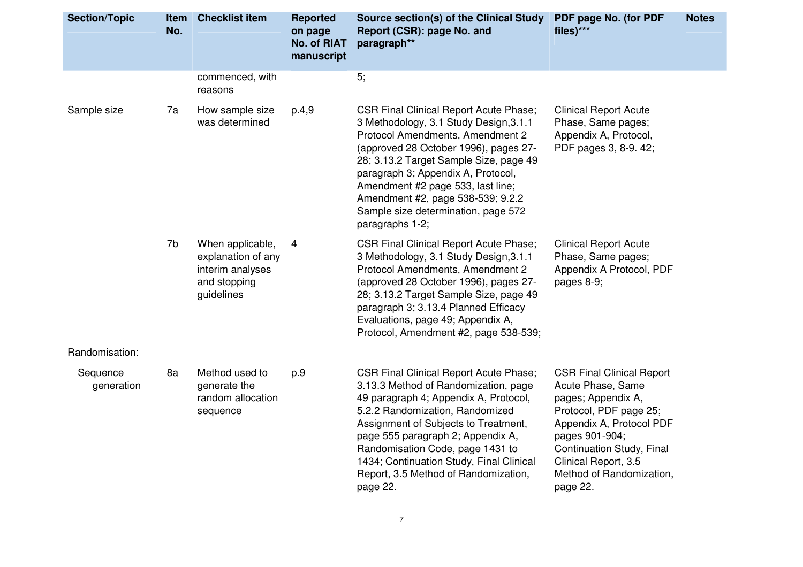| <b>Section/Topic</b>   | <b>Item</b><br>No. | <b>Checklist item</b>                                                                    | <b>Reported</b><br>on page<br><b>No. of RIAT</b><br>manuscript | Source section(s) of the Clinical Study<br>Report (CSR): page No. and<br>paragraph**                                                                                                                                                                                                                                                                                                     | PDF page No. (for PDF<br>files)***                                                                                                                                                                                                               | <b>Notes</b> |
|------------------------|--------------------|------------------------------------------------------------------------------------------|----------------------------------------------------------------|------------------------------------------------------------------------------------------------------------------------------------------------------------------------------------------------------------------------------------------------------------------------------------------------------------------------------------------------------------------------------------------|--------------------------------------------------------------------------------------------------------------------------------------------------------------------------------------------------------------------------------------------------|--------------|
|                        |                    | commenced, with<br>reasons                                                               |                                                                | 5;                                                                                                                                                                                                                                                                                                                                                                                       |                                                                                                                                                                                                                                                  |              |
| Sample size            | 7a                 | How sample size<br>was determined                                                        | p.4,9                                                          | <b>CSR Final Clinical Report Acute Phase;</b><br>3 Methodology, 3.1 Study Design, 3.1.1<br>Protocol Amendments, Amendment 2<br>(approved 28 October 1996), pages 27-<br>28; 3.13.2 Target Sample Size, page 49<br>paragraph 3; Appendix A, Protocol,<br>Amendment #2 page 533, last line;<br>Amendment #2, page 538-539; 9.2.2<br>Sample size determination, page 572<br>paragraphs 1-2; | <b>Clinical Report Acute</b><br>Phase, Same pages;<br>Appendix A, Protocol,<br>PDF pages 3, 8-9. 42;                                                                                                                                             |              |
|                        | 7b                 | When applicable,<br>explanation of any<br>interim analyses<br>and stopping<br>guidelines | 4                                                              | <b>CSR Final Clinical Report Acute Phase;</b><br>3 Methodology, 3.1 Study Design, 3.1.1<br>Protocol Amendments, Amendment 2<br>(approved 28 October 1996), pages 27-<br>28; 3.13.2 Target Sample Size, page 49<br>paragraph 3; 3.13.4 Planned Efficacy<br>Evaluations, page 49; Appendix A,<br>Protocol, Amendment #2, page 538-539;                                                     | <b>Clinical Report Acute</b><br>Phase, Same pages;<br>Appendix A Protocol, PDF<br>pages 8-9;                                                                                                                                                     |              |
| Randomisation:         |                    |                                                                                          |                                                                |                                                                                                                                                                                                                                                                                                                                                                                          |                                                                                                                                                                                                                                                  |              |
| Sequence<br>generation | 8a                 | Method used to<br>generate the<br>random allocation<br>sequence                          | p.9                                                            | <b>CSR Final Clinical Report Acute Phase;</b><br>3.13.3 Method of Randomization, page<br>49 paragraph 4; Appendix A, Protocol,<br>5.2.2 Randomization, Randomized<br>Assignment of Subjects to Treatment,<br>page 555 paragraph 2; Appendix A,<br>Randomisation Code, page 1431 to<br>1434; Continuation Study, Final Clinical<br>Report, 3.5 Method of Randomization,<br>page 22.       | <b>CSR Final Clinical Report</b><br>Acute Phase, Same<br>pages; Appendix A,<br>Protocol, PDF page 25;<br>Appendix A, Protocol PDF<br>pages 901-904;<br>Continuation Study, Final<br>Clinical Report, 3.5<br>Method of Randomization,<br>page 22. |              |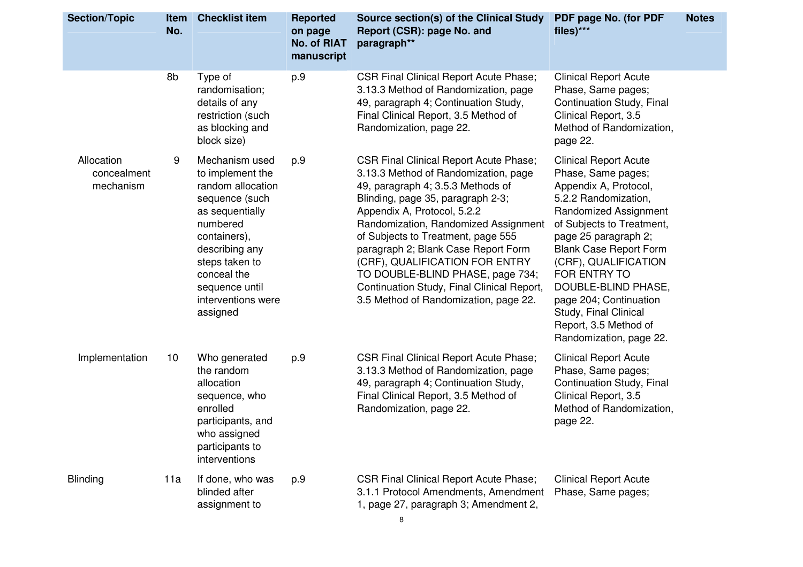| <b>Section/Topic</b>                   | Item<br>No. | <b>Checklist item</b>                                                                                                                                                                                                           | <b>Reported</b><br>on page<br><b>No. of RIAT</b><br>manuscript | Source section(s) of the Clinical Study<br>Report (CSR): page No. and<br>paragraph**                                                                                                                                                                                                                                                                                                                                                                                             | PDF page No. (for PDF<br>files)***                                                                                                                                                                                                                                                                                                                                                       | <b>Notes</b> |
|----------------------------------------|-------------|---------------------------------------------------------------------------------------------------------------------------------------------------------------------------------------------------------------------------------|----------------------------------------------------------------|----------------------------------------------------------------------------------------------------------------------------------------------------------------------------------------------------------------------------------------------------------------------------------------------------------------------------------------------------------------------------------------------------------------------------------------------------------------------------------|------------------------------------------------------------------------------------------------------------------------------------------------------------------------------------------------------------------------------------------------------------------------------------------------------------------------------------------------------------------------------------------|--------------|
|                                        | 8b          | Type of<br>randomisation;<br>details of any<br>restriction (such<br>as blocking and<br>block size)                                                                                                                              | p.9                                                            | <b>CSR Final Clinical Report Acute Phase;</b><br>3.13.3 Method of Randomization, page<br>49, paragraph 4; Continuation Study,<br>Final Clinical Report, 3.5 Method of<br>Randomization, page 22.                                                                                                                                                                                                                                                                                 | <b>Clinical Report Acute</b><br>Phase, Same pages;<br>Continuation Study, Final<br>Clinical Report, 3.5<br>Method of Randomization,<br>page 22.                                                                                                                                                                                                                                          |              |
| Allocation<br>concealment<br>mechanism | 9           | Mechanism used<br>to implement the<br>random allocation<br>sequence (such<br>as sequentially<br>numbered<br>containers),<br>describing any<br>steps taken to<br>conceal the<br>sequence until<br>interventions were<br>assigned | p.9                                                            | <b>CSR Final Clinical Report Acute Phase;</b><br>3.13.3 Method of Randomization, page<br>49, paragraph 4; 3.5.3 Methods of<br>Blinding, page 35, paragraph 2-3;<br>Appendix A, Protocol, 5.2.2<br>Randomization, Randomized Assignment<br>of Subjects to Treatment, page 555<br>paragraph 2; Blank Case Report Form<br>(CRF), QUALIFICATION FOR ENTRY<br>TO DOUBLE-BLIND PHASE, page 734;<br>Continuation Study, Final Clinical Report,<br>3.5 Method of Randomization, page 22. | <b>Clinical Report Acute</b><br>Phase, Same pages;<br>Appendix A, Protocol,<br>5.2.2 Randomization,<br>Randomized Assignment<br>of Subjects to Treatment,<br>page 25 paragraph 2;<br><b>Blank Case Report Form</b><br>(CRF), QUALIFICATION<br>FOR ENTRY TO<br>DOUBLE-BLIND PHASE,<br>page 204; Continuation<br>Study, Final Clinical<br>Report, 3.5 Method of<br>Randomization, page 22. |              |
| Implementation                         | 10          | Who generated<br>the random<br>allocation<br>sequence, who<br>enrolled<br>participants, and<br>who assigned<br>participants to<br>interventions                                                                                 | p.9                                                            | <b>CSR Final Clinical Report Acute Phase;</b><br>3.13.3 Method of Randomization, page<br>49, paragraph 4; Continuation Study,<br>Final Clinical Report, 3.5 Method of<br>Randomization, page 22.                                                                                                                                                                                                                                                                                 | <b>Clinical Report Acute</b><br>Phase, Same pages;<br>Continuation Study, Final<br>Clinical Report, 3.5<br>Method of Randomization,<br>page 22.                                                                                                                                                                                                                                          |              |
| <b>Blinding</b>                        | 11a         | If done, who was<br>blinded after<br>assignment to                                                                                                                                                                              | p.9                                                            | <b>CSR Final Clinical Report Acute Phase;</b><br>3.1.1 Protocol Amendments, Amendment<br>1, page 27, paragraph 3; Amendment 2,<br>8                                                                                                                                                                                                                                                                                                                                              | <b>Clinical Report Acute</b><br>Phase, Same pages;                                                                                                                                                                                                                                                                                                                                       |              |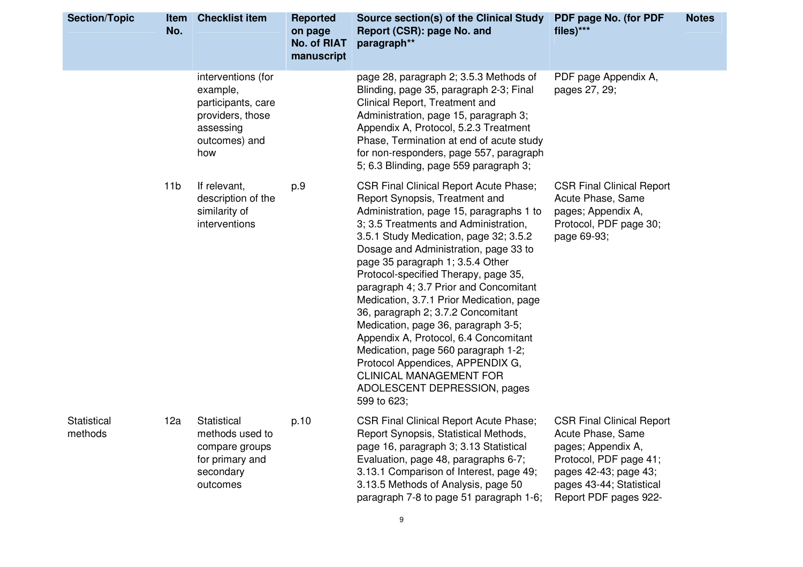| <b>Section/Topic</b>   | <b>Item</b><br>No. | <b>Checklist item</b>                                                                                         | <b>Reported</b><br>on page<br><b>No. of RIAT</b><br>manuscript | Source section(s) of the Clinical Study<br>Report (CSR): page No. and<br>paragraph**                                                                                                                                                                                                                                                                                                                                                                                                                                                                                                                                                                                                                        | <b>PDF page No. (for PDF</b><br>files)***                                                                                                                                           | <b>Notes</b> |
|------------------------|--------------------|---------------------------------------------------------------------------------------------------------------|----------------------------------------------------------------|-------------------------------------------------------------------------------------------------------------------------------------------------------------------------------------------------------------------------------------------------------------------------------------------------------------------------------------------------------------------------------------------------------------------------------------------------------------------------------------------------------------------------------------------------------------------------------------------------------------------------------------------------------------------------------------------------------------|-------------------------------------------------------------------------------------------------------------------------------------------------------------------------------------|--------------|
|                        |                    | interventions (for<br>example,<br>participants, care<br>providers, those<br>assessing<br>outcomes) and<br>how |                                                                | page 28, paragraph 2; 3.5.3 Methods of<br>Blinding, page 35, paragraph 2-3; Final<br>Clinical Report, Treatment and<br>Administration, page 15, paragraph 3;<br>Appendix A, Protocol, 5.2.3 Treatment<br>Phase, Termination at end of acute study<br>for non-responders, page 557, paragraph<br>5; 6.3 Blinding, page 559 paragraph 3;                                                                                                                                                                                                                                                                                                                                                                      | PDF page Appendix A,<br>pages 27, 29;                                                                                                                                               |              |
|                        | 11 <sub>b</sub>    | If relevant,<br>description of the<br>similarity of<br>interventions                                          | p.9                                                            | <b>CSR Final Clinical Report Acute Phase;</b><br>Report Synopsis, Treatment and<br>Administration, page 15, paragraphs 1 to<br>3; 3.5 Treatments and Administration,<br>3.5.1 Study Medication, page 32; 3.5.2<br>Dosage and Administration, page 33 to<br>page 35 paragraph 1; 3.5.4 Other<br>Protocol-specified Therapy, page 35,<br>paragraph 4; 3.7 Prior and Concomitant<br>Medication, 3.7.1 Prior Medication, page<br>36, paragraph 2; 3.7.2 Concomitant<br>Medication, page 36, paragraph 3-5;<br>Appendix A, Protocol, 6.4 Concomitant<br>Medication, page 560 paragraph 1-2;<br>Protocol Appendices, APPENDIX G,<br><b>CLINICAL MANAGEMENT FOR</b><br>ADOLESCENT DEPRESSION, pages<br>599 to 623; | <b>CSR Final Clinical Report</b><br>Acute Phase, Same<br>pages; Appendix A,<br>Protocol, PDF page 30;<br>page 69-93;                                                                |              |
| Statistical<br>methods | 12a                | Statistical<br>methods used to<br>compare groups<br>for primary and<br>secondary<br>outcomes                  | p.10                                                           | <b>CSR Final Clinical Report Acute Phase;</b><br>Report Synopsis, Statistical Methods,<br>page 16, paragraph 3, 3.13 Statistical<br>Evaluation, page 48, paragraphs 6-7;<br>3.13.1 Comparison of Interest, page 49;<br>3.13.5 Methods of Analysis, page 50<br>paragraph 7-8 to page 51 paragraph 1-6;                                                                                                                                                                                                                                                                                                                                                                                                       | <b>CSR Final Clinical Report</b><br>Acute Phase, Same<br>pages; Appendix A,<br>Protocol, PDF page 41;<br>pages 42-43; page 43;<br>pages 43-44; Statistical<br>Report PDF pages 922- |              |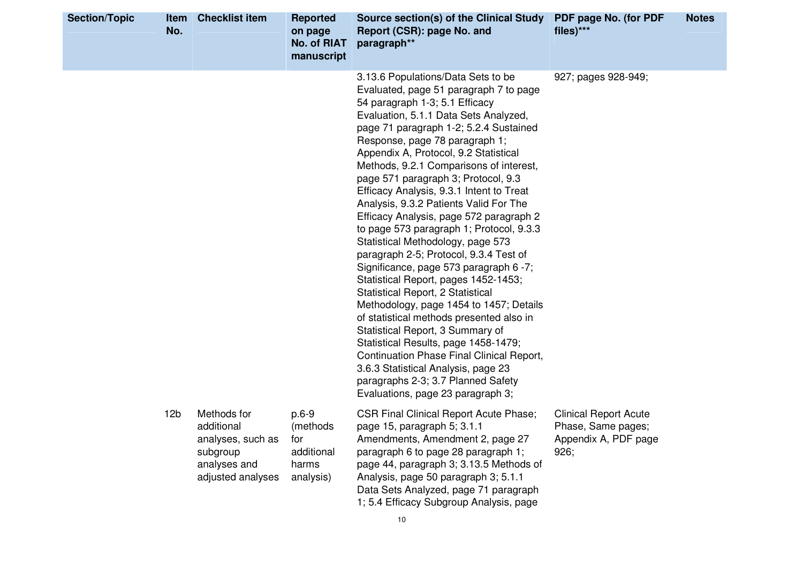| <b>Section/Topic</b> | <b>Item</b><br>No. | <b>Checklist item</b>                                                                           | <b>Reported</b><br>on page<br><b>No. of RIAT</b><br>manuscript | Source section(s) of the Clinical Study<br>Report (CSR): page No. and<br>paragraph**                                                                                                                                                                                                                                                                                                                                                                                                                                                                                                                                                                                                                                                                                                                                                                                                                                                                                                                                                                                                | PDF page No. (for PDF<br>files)***                                                 | <b>Notes</b> |
|----------------------|--------------------|-------------------------------------------------------------------------------------------------|----------------------------------------------------------------|-------------------------------------------------------------------------------------------------------------------------------------------------------------------------------------------------------------------------------------------------------------------------------------------------------------------------------------------------------------------------------------------------------------------------------------------------------------------------------------------------------------------------------------------------------------------------------------------------------------------------------------------------------------------------------------------------------------------------------------------------------------------------------------------------------------------------------------------------------------------------------------------------------------------------------------------------------------------------------------------------------------------------------------------------------------------------------------|------------------------------------------------------------------------------------|--------------|
|                      |                    |                                                                                                 |                                                                | 3.13.6 Populations/Data Sets to be<br>Evaluated, page 51 paragraph 7 to page<br>54 paragraph 1-3; 5.1 Efficacy<br>Evaluation, 5.1.1 Data Sets Analyzed,<br>page 71 paragraph 1-2; 5.2.4 Sustained<br>Response, page 78 paragraph 1;<br>Appendix A, Protocol, 9.2 Statistical<br>Methods, 9.2.1 Comparisons of interest,<br>page 571 paragraph 3; Protocol, 9.3<br>Efficacy Analysis, 9.3.1 Intent to Treat<br>Analysis, 9.3.2 Patients Valid For The<br>Efficacy Analysis, page 572 paragraph 2<br>to page 573 paragraph 1; Protocol, 9.3.3<br>Statistical Methodology, page 573<br>paragraph 2-5; Protocol, 9.3.4 Test of<br>Significance, page 573 paragraph 6 -7;<br>Statistical Report, pages 1452-1453;<br>Statistical Report, 2 Statistical<br>Methodology, page 1454 to 1457; Details<br>of statistical methods presented also in<br>Statistical Report, 3 Summary of<br>Statistical Results, page 1458-1479;<br>Continuation Phase Final Clinical Report,<br>3.6.3 Statistical Analysis, page 23<br>paragraphs 2-3; 3.7 Planned Safety<br>Evaluations, page 23 paragraph 3; | 927; pages 928-949;                                                                |              |
|                      | 12 <sub>b</sub>    | Methods for<br>additional<br>analyses, such as<br>subgroup<br>analyses and<br>adjusted analyses | $p.6-9$<br>(methods<br>for<br>additional<br>harms<br>analysis) | <b>CSR Final Clinical Report Acute Phase;</b><br>page 15, paragraph 5, 3.1.1<br>Amendments, Amendment 2, page 27<br>paragraph 6 to page 28 paragraph 1;<br>page 44, paragraph 3; 3.13.5 Methods of<br>Analysis, page 50 paragraph 3; 5.1.1<br>Data Sets Analyzed, page 71 paragraph<br>1; 5.4 Efficacy Subgroup Analysis, page                                                                                                                                                                                                                                                                                                                                                                                                                                                                                                                                                                                                                                                                                                                                                      | <b>Clinical Report Acute</b><br>Phase, Same pages;<br>Appendix A, PDF page<br>926; |              |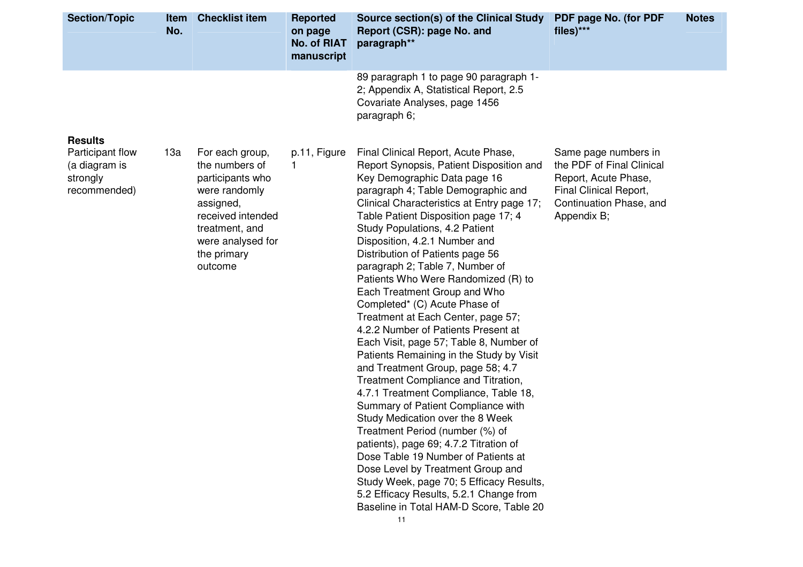| <b>Section/Topic</b>                                                            | No. | <b>Item</b> Checklist item                                                                                                                                                | <b>Reported</b><br>on page<br><b>No. of RIAT</b><br>manuscript | Source section(s) of the Clinical Study<br>Report (CSR): page No. and<br>paragraph**                                                                                                                                                                                                                                                                                                                                                                                                                                                                                                                                                                                                                                                                                                                                                                                                                                                                                                                                                                                                                                                                        | PDF page No. (for PDF<br>files)***                                                                                                            | <b>Notes</b> |
|---------------------------------------------------------------------------------|-----|---------------------------------------------------------------------------------------------------------------------------------------------------------------------------|----------------------------------------------------------------|-------------------------------------------------------------------------------------------------------------------------------------------------------------------------------------------------------------------------------------------------------------------------------------------------------------------------------------------------------------------------------------------------------------------------------------------------------------------------------------------------------------------------------------------------------------------------------------------------------------------------------------------------------------------------------------------------------------------------------------------------------------------------------------------------------------------------------------------------------------------------------------------------------------------------------------------------------------------------------------------------------------------------------------------------------------------------------------------------------------------------------------------------------------|-----------------------------------------------------------------------------------------------------------------------------------------------|--------------|
|                                                                                 |     |                                                                                                                                                                           |                                                                | 89 paragraph 1 to page 90 paragraph 1-<br>2; Appendix A, Statistical Report, 2.5<br>Covariate Analyses, page 1456<br>paragraph 6;                                                                                                                                                                                                                                                                                                                                                                                                                                                                                                                                                                                                                                                                                                                                                                                                                                                                                                                                                                                                                           |                                                                                                                                               |              |
| <b>Results</b><br>Participant flow<br>(a diagram is<br>strongly<br>recommended) | 13a | For each group,<br>the numbers of<br>participants who<br>were randomly<br>assigned,<br>received intended<br>treatment, and<br>were analysed for<br>the primary<br>outcome | p.11, Figure<br>1                                              | Final Clinical Report, Acute Phase,<br>Report Synopsis, Patient Disposition and<br>Key Demographic Data page 16<br>paragraph 4; Table Demographic and<br>Clinical Characteristics at Entry page 17;<br>Table Patient Disposition page 17; 4<br>Study Populations, 4.2 Patient<br>Disposition, 4.2.1 Number and<br>Distribution of Patients page 56<br>paragraph 2; Table 7, Number of<br>Patients Who Were Randomized (R) to<br>Each Treatment Group and Who<br>Completed* (C) Acute Phase of<br>Treatment at Each Center, page 57;<br>4.2.2 Number of Patients Present at<br>Each Visit, page 57; Table 8, Number of<br>Patients Remaining in the Study by Visit<br>and Treatment Group, page 58; 4.7<br>Treatment Compliance and Titration,<br>4.7.1 Treatment Compliance, Table 18,<br>Summary of Patient Compliance with<br>Study Medication over the 8 Week<br>Treatment Period (number (%) of<br>patients), page 69; 4.7.2 Titration of<br>Dose Table 19 Number of Patients at<br>Dose Level by Treatment Group and<br>Study Week, page 70; 5 Efficacy Results,<br>5.2 Efficacy Results, 5.2.1 Change from<br>Baseline in Total HAM-D Score, Table 20 | Same page numbers in<br>the PDF of Final Clinical<br>Report, Acute Phase,<br>Final Clinical Report,<br>Continuation Phase, and<br>Appendix B; |              |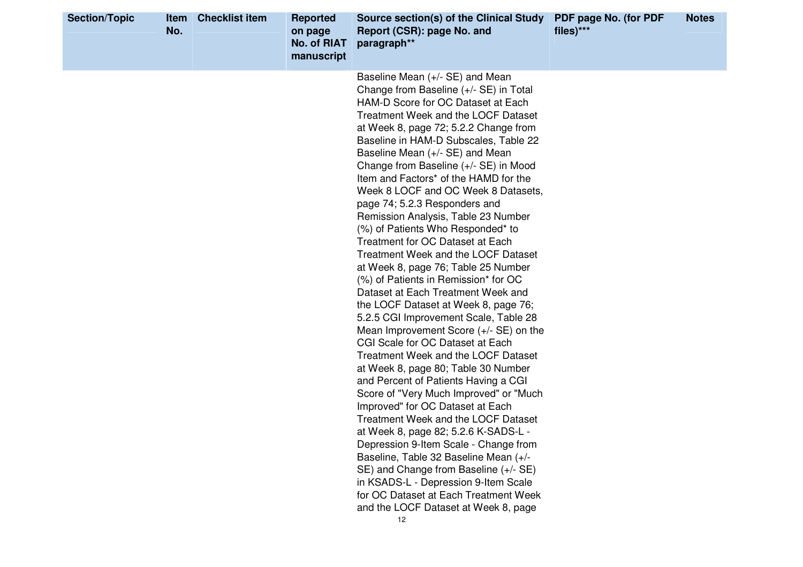| <b>Section/Topic</b> | <b>Item</b><br>No. | <b>Checklist item</b> | <b>Reported</b><br>on page<br><b>No. of RIAT</b><br>manuscript | Source section(s) of the Clinical Study<br>Report (CSR): page No. and<br>paragraph**                                                                                                                                                                                                                                                                                                                                                                                                                                                                                                                                                                                                                                                                                                                                                                                                                                                                                                                                                                                                                                                                                                                                                                                                                                                                                                                                                 | PDF page No. (for PDF<br>$files)***$ | <b>Notes</b> |
|----------------------|--------------------|-----------------------|----------------------------------------------------------------|--------------------------------------------------------------------------------------------------------------------------------------------------------------------------------------------------------------------------------------------------------------------------------------------------------------------------------------------------------------------------------------------------------------------------------------------------------------------------------------------------------------------------------------------------------------------------------------------------------------------------------------------------------------------------------------------------------------------------------------------------------------------------------------------------------------------------------------------------------------------------------------------------------------------------------------------------------------------------------------------------------------------------------------------------------------------------------------------------------------------------------------------------------------------------------------------------------------------------------------------------------------------------------------------------------------------------------------------------------------------------------------------------------------------------------------|--------------------------------------|--------------|
|                      |                    |                       |                                                                | Baseline Mean (+/- SE) and Mean<br>Change from Baseline (+/- SE) in Total<br>HAM-D Score for OC Dataset at Each<br>Treatment Week and the LOCF Dataset<br>at Week 8, page 72; 5.2.2 Change from<br>Baseline in HAM-D Subscales, Table 22<br>Baseline Mean (+/- SE) and Mean<br>Change from Baseline (+/- SE) in Mood<br>Item and Factors* of the HAMD for the<br>Week 8 LOCF and OC Week 8 Datasets,<br>page 74; 5.2.3 Responders and<br>Remission Analysis, Table 23 Number<br>(%) of Patients Who Responded* to<br>Treatment for OC Dataset at Each<br><b>Treatment Week and the LOCF Dataset</b><br>at Week 8, page 76; Table 25 Number<br>(%) of Patients in Remission* for OC<br>Dataset at Each Treatment Week and<br>the LOCF Dataset at Week 8, page 76;<br>5.2.5 CGI Improvement Scale, Table 28<br>Mean Improvement Score (+/- SE) on the<br>CGI Scale for OC Dataset at Each<br>Treatment Week and the LOCF Dataset<br>at Week 8, page 80; Table 30 Number<br>and Percent of Patients Having a CGI<br>Score of "Very Much Improved" or "Much<br>Improved" for OC Dataset at Each<br>Treatment Week and the LOCF Dataset<br>at Week 8, page 82; 5.2.6 K-SADS-L -<br>Depression 9-Item Scale - Change from<br>Baseline, Table 32 Baseline Mean (+/-<br>SE) and Change from Baseline (+/- SE)<br>in KSADS-L - Depression 9-Item Scale<br>for OC Dataset at Each Treatment Week<br>and the LOCF Dataset at Week 8, page<br>12 |                                      |              |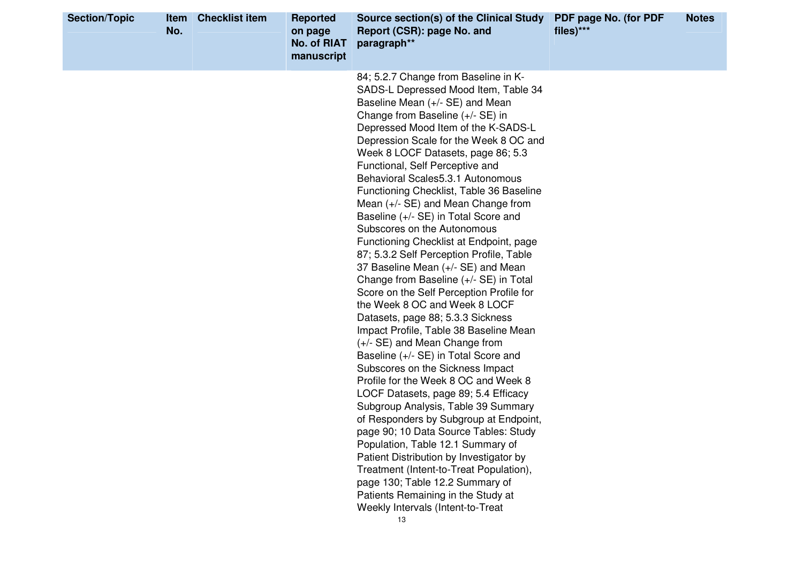| <b>Section/Topic</b> | Item<br>No. | <b>Checklist item</b> | <b>Reported</b><br>on page<br><b>No. of RIAT</b><br>manuscript | Source section(s) of the Clinical Study<br>Report (CSR): page No. and<br>paragraph**                                                                                                                                                                                                                                                                                                                                                                                                                                                                                                                                                                                                                                                                                                                                                                                                                                                                                                                                                                                                                                                                                                                                                                                                                                                                                                                                    | PDF page No. (for PDF<br>files)*** | <b>Notes</b> |
|----------------------|-------------|-----------------------|----------------------------------------------------------------|-------------------------------------------------------------------------------------------------------------------------------------------------------------------------------------------------------------------------------------------------------------------------------------------------------------------------------------------------------------------------------------------------------------------------------------------------------------------------------------------------------------------------------------------------------------------------------------------------------------------------------------------------------------------------------------------------------------------------------------------------------------------------------------------------------------------------------------------------------------------------------------------------------------------------------------------------------------------------------------------------------------------------------------------------------------------------------------------------------------------------------------------------------------------------------------------------------------------------------------------------------------------------------------------------------------------------------------------------------------------------------------------------------------------------|------------------------------------|--------------|
|                      |             |                       |                                                                | 84; 5.2.7 Change from Baseline in K-<br>SADS-L Depressed Mood Item, Table 34<br>Baseline Mean (+/- SE) and Mean<br>Change from Baseline (+/- SE) in<br>Depressed Mood Item of the K-SADS-L<br>Depression Scale for the Week 8 OC and<br>Week 8 LOCF Datasets, page 86; 5.3<br>Functional, Self Perceptive and<br>Behavioral Scales 5.3.1 Autonomous<br>Functioning Checklist, Table 36 Baseline<br>Mean $(+/-$ SE) and Mean Change from<br>Baseline (+/- SE) in Total Score and<br>Subscores on the Autonomous<br>Functioning Checklist at Endpoint, page<br>87; 5.3.2 Self Perception Profile, Table<br>37 Baseline Mean (+/- SE) and Mean<br>Change from Baseline (+/- SE) in Total<br>Score on the Self Perception Profile for<br>the Week 8 OC and Week 8 LOCF<br>Datasets, page 88; 5.3.3 Sickness<br>Impact Profile, Table 38 Baseline Mean<br>(+/- SE) and Mean Change from<br>Baseline (+/- SE) in Total Score and<br>Subscores on the Sickness Impact<br>Profile for the Week 8 OC and Week 8<br>LOCF Datasets, page 89; 5.4 Efficacy<br>Subgroup Analysis, Table 39 Summary<br>of Responders by Subgroup at Endpoint,<br>page 90; 10 Data Source Tables: Study<br>Population, Table 12.1 Summary of<br>Patient Distribution by Investigator by<br>Treatment (Intent-to-Treat Population),<br>page 130; Table 12.2 Summary of<br>Patients Remaining in the Study at<br>Weekly Intervals (Intent-to-Treat<br>13 |                                    |              |
|                      |             |                       |                                                                |                                                                                                                                                                                                                                                                                                                                                                                                                                                                                                                                                                                                                                                                                                                                                                                                                                                                                                                                                                                                                                                                                                                                                                                                                                                                                                                                                                                                                         |                                    |              |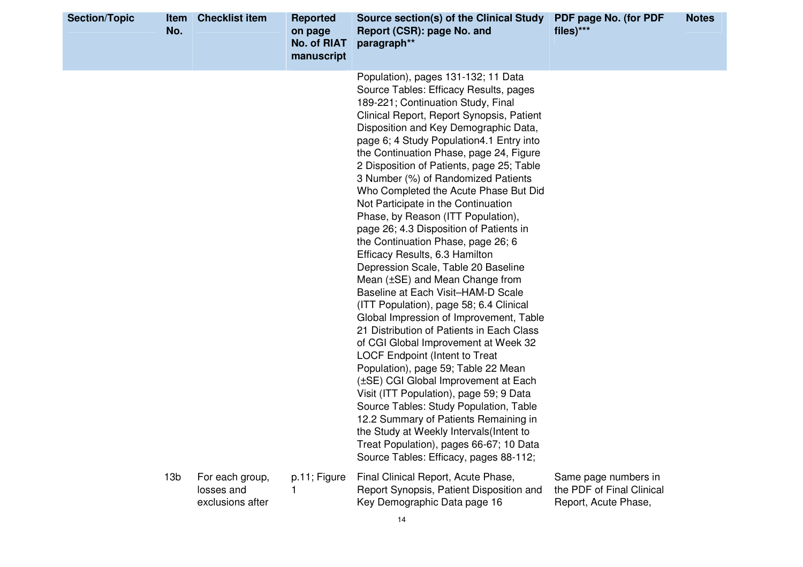| <b>Section/Topic</b> | <b>Item</b><br>No. | <b>Checklist item</b>                             | <b>Reported</b><br>on page<br><b>No. of RIAT</b><br>manuscript | Source section(s) of the Clinical Study<br>Report (CSR): page No. and<br>paragraph**                                                                                                                                                                                                                                                                                                                                                                                                                                                                                                                                                                                                                                                                                                                                                                                                                                                                                                                                                                                                                                                                                                                                                                                                                                 | PDF page No. (for PDF<br>files)***                                        | <b>Notes</b> |
|----------------------|--------------------|---------------------------------------------------|----------------------------------------------------------------|----------------------------------------------------------------------------------------------------------------------------------------------------------------------------------------------------------------------------------------------------------------------------------------------------------------------------------------------------------------------------------------------------------------------------------------------------------------------------------------------------------------------------------------------------------------------------------------------------------------------------------------------------------------------------------------------------------------------------------------------------------------------------------------------------------------------------------------------------------------------------------------------------------------------------------------------------------------------------------------------------------------------------------------------------------------------------------------------------------------------------------------------------------------------------------------------------------------------------------------------------------------------------------------------------------------------|---------------------------------------------------------------------------|--------------|
|                      |                    |                                                   |                                                                | Population), pages 131-132; 11 Data<br>Source Tables: Efficacy Results, pages<br>189-221; Continuation Study, Final<br>Clinical Report, Report Synopsis, Patient<br>Disposition and Key Demographic Data,<br>page 6; 4 Study Population4.1 Entry into<br>the Continuation Phase, page 24, Figure<br>2 Disposition of Patients, page 25; Table<br>3 Number (%) of Randomized Patients<br>Who Completed the Acute Phase But Did<br>Not Participate in the Continuation<br>Phase, by Reason (ITT Population),<br>page 26; 4.3 Disposition of Patients in<br>the Continuation Phase, page 26; 6<br>Efficacy Results, 6.3 Hamilton<br>Depression Scale, Table 20 Baseline<br>Mean $(\pm SE)$ and Mean Change from<br>Baseline at Each Visit-HAM-D Scale<br>(ITT Population), page 58; 6.4 Clinical<br>Global Impression of Improvement, Table<br>21 Distribution of Patients in Each Class<br>of CGI Global Improvement at Week 32<br><b>LOCF Endpoint (Intent to Treat</b><br>Population), page 59; Table 22 Mean<br>(±SE) CGI Global Improvement at Each<br>Visit (ITT Population), page 59; 9 Data<br>Source Tables: Study Population, Table<br>12.2 Summary of Patients Remaining in<br>the Study at Weekly Intervals (Intent to<br>Treat Population), pages 66-67; 10 Data<br>Source Tables: Efficacy, pages 88-112; |                                                                           |              |
|                      | 13 <sub>b</sub>    | For each group,<br>losses and<br>exclusions after | p.11; Figure                                                   | Final Clinical Report, Acute Phase,<br>Report Synopsis, Patient Disposition and<br>Key Demographic Data page 16                                                                                                                                                                                                                                                                                                                                                                                                                                                                                                                                                                                                                                                                                                                                                                                                                                                                                                                                                                                                                                                                                                                                                                                                      | Same page numbers in<br>the PDF of Final Clinical<br>Report, Acute Phase, |              |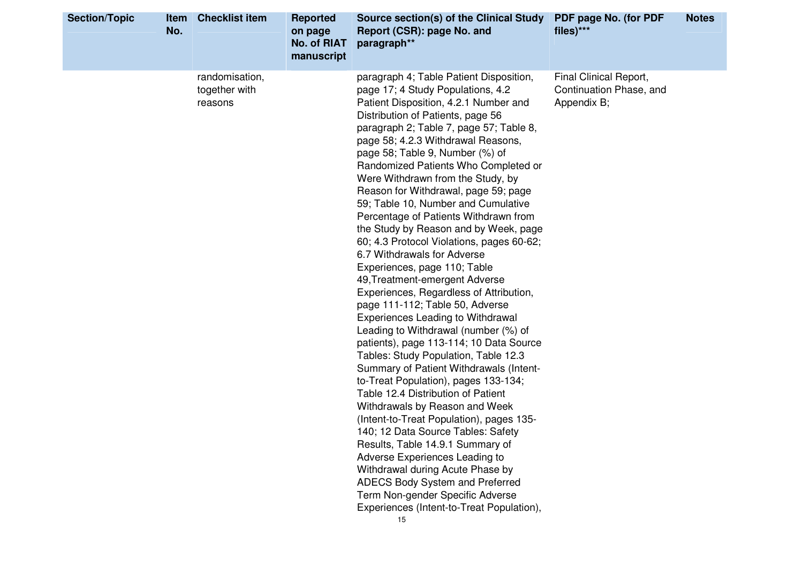| <b>Section/Topic</b> | <b>Item</b><br>No. | <b>Checklist item</b>                      | <b>Reported</b><br>on page<br><b>No. of RIAT</b><br>manuscript | Source section(s) of the Clinical Study<br>Report (CSR): page No. and<br>paragraph**                                                                                                                                                                                                                                                                                                                                                                                                                                                                                                                                                                                                                                                                                                                                                                                                                                                                                                                                                                                                                                                                                                                                                                                                                                                                                                                             | PDF page No. (for PDF<br>files)***                               | <b>Notes</b> |
|----------------------|--------------------|--------------------------------------------|----------------------------------------------------------------|------------------------------------------------------------------------------------------------------------------------------------------------------------------------------------------------------------------------------------------------------------------------------------------------------------------------------------------------------------------------------------------------------------------------------------------------------------------------------------------------------------------------------------------------------------------------------------------------------------------------------------------------------------------------------------------------------------------------------------------------------------------------------------------------------------------------------------------------------------------------------------------------------------------------------------------------------------------------------------------------------------------------------------------------------------------------------------------------------------------------------------------------------------------------------------------------------------------------------------------------------------------------------------------------------------------------------------------------------------------------------------------------------------------|------------------------------------------------------------------|--------------|
|                      |                    | randomisation,<br>together with<br>reasons |                                                                | paragraph 4; Table Patient Disposition,<br>page 17; 4 Study Populations, 4.2<br>Patient Disposition, 4.2.1 Number and<br>Distribution of Patients, page 56<br>paragraph 2; Table 7, page 57; Table 8,<br>page 58; 4.2.3 Withdrawal Reasons,<br>page 58; Table 9, Number (%) of<br>Randomized Patients Who Completed or<br>Were Withdrawn from the Study, by<br>Reason for Withdrawal, page 59; page<br>59; Table 10, Number and Cumulative<br>Percentage of Patients Withdrawn from<br>the Study by Reason and by Week, page<br>60; 4.3 Protocol Violations, pages 60-62;<br>6.7 Withdrawals for Adverse<br>Experiences, page 110; Table<br>49, Treatment-emergent Adverse<br>Experiences, Regardless of Attribution,<br>page 111-112; Table 50, Adverse<br><b>Experiences Leading to Withdrawal</b><br>Leading to Withdrawal (number (%) of<br>patients), page 113-114; 10 Data Source<br>Tables: Study Population, Table 12.3<br>Summary of Patient Withdrawals (Intent-<br>to-Treat Population), pages 133-134;<br>Table 12.4 Distribution of Patient<br>Withdrawals by Reason and Week<br>(Intent-to-Treat Population), pages 135-<br>140; 12 Data Source Tables: Safety<br>Results, Table 14.9.1 Summary of<br>Adverse Experiences Leading to<br>Withdrawal during Acute Phase by<br>ADECS Body System and Preferred<br>Term Non-gender Specific Adverse<br>Experiences (Intent-to-Treat Population),<br>15 | Final Clinical Report,<br>Continuation Phase, and<br>Appendix B; |              |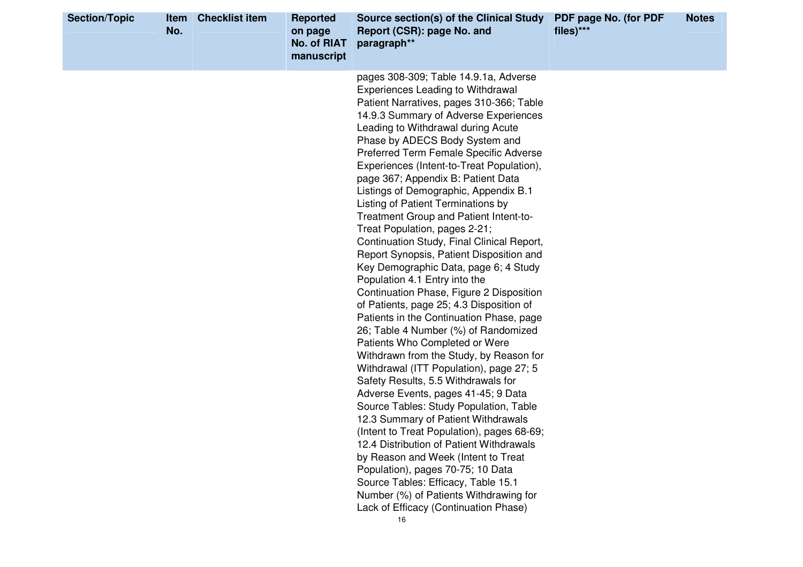| <b>Section/Topic</b> | <b>Item</b><br>No. | <b>Checklist item</b> | <b>Reported</b><br>on page<br>No. of RIAT<br>manuscript | Source section(s) of the Clinical Study<br>Report (CSR): page No. and<br>paragraph**                                                                                                                                                                                                                                                                                                                                                                                                                                                                                                                                                                                                                                                                                                                                                                                                                                                                                                                                                                                                                                                                                                                                                                                                                                                                                                                                                                                                      | PDF page No. (for PDF<br>files)*** | <b>Notes</b> |
|----------------------|--------------------|-----------------------|---------------------------------------------------------|-------------------------------------------------------------------------------------------------------------------------------------------------------------------------------------------------------------------------------------------------------------------------------------------------------------------------------------------------------------------------------------------------------------------------------------------------------------------------------------------------------------------------------------------------------------------------------------------------------------------------------------------------------------------------------------------------------------------------------------------------------------------------------------------------------------------------------------------------------------------------------------------------------------------------------------------------------------------------------------------------------------------------------------------------------------------------------------------------------------------------------------------------------------------------------------------------------------------------------------------------------------------------------------------------------------------------------------------------------------------------------------------------------------------------------------------------------------------------------------------|------------------------------------|--------------|
|                      |                    |                       |                                                         | pages 308-309; Table 14.9.1a, Adverse<br><b>Experiences Leading to Withdrawal</b><br>Patient Narratives, pages 310-366; Table<br>14.9.3 Summary of Adverse Experiences<br>Leading to Withdrawal during Acute<br>Phase by ADECS Body System and<br><b>Preferred Term Female Specific Adverse</b><br>Experiences (Intent-to-Treat Population),<br>page 367; Appendix B: Patient Data<br>Listings of Demographic, Appendix B.1<br>Listing of Patient Terminations by<br>Treatment Group and Patient Intent-to-<br>Treat Population, pages 2-21;<br>Continuation Study, Final Clinical Report,<br>Report Synopsis, Patient Disposition and<br>Key Demographic Data, page 6; 4 Study<br>Population 4.1 Entry into the<br>Continuation Phase, Figure 2 Disposition<br>of Patients, page 25; 4.3 Disposition of<br>Patients in the Continuation Phase, page<br>26; Table 4 Number (%) of Randomized<br>Patients Who Completed or Were<br>Withdrawn from the Study, by Reason for<br>Withdrawal (ITT Population), page 27; 5<br>Safety Results, 5.5 Withdrawals for<br>Adverse Events, pages 41-45; 9 Data<br>Source Tables: Study Population, Table<br>12.3 Summary of Patient Withdrawals<br>(Intent to Treat Population), pages 68-69;<br>12.4 Distribution of Patient Withdrawals<br>by Reason and Week (Intent to Treat<br>Population), pages 70-75; 10 Data<br>Source Tables: Efficacy, Table 15.1<br>Number (%) of Patients Withdrawing for<br>Lack of Efficacy (Continuation Phase)<br>16 |                                    |              |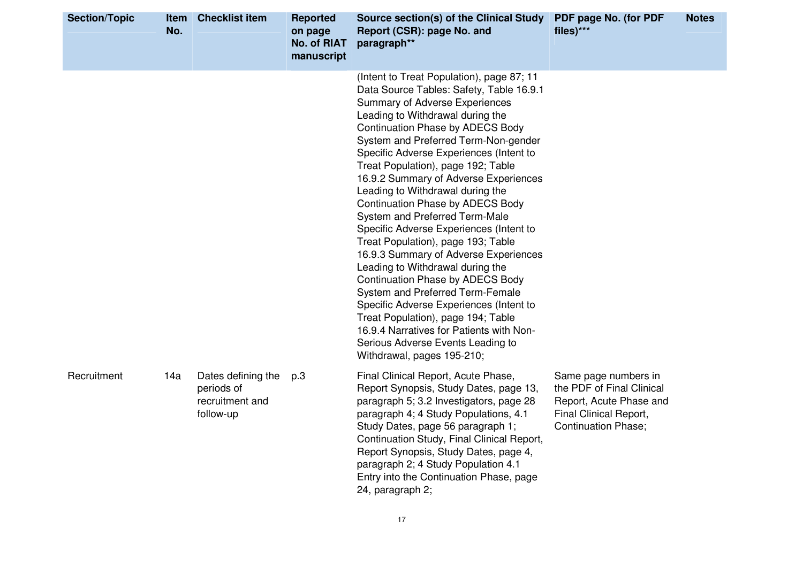| <b>Section/Topic</b> | <b>Item</b><br>No. | <b>Checklist item</b>                                            | <b>Reported</b><br>on page<br><b>No. of RIAT</b><br>manuscript | <b>Source section(s) of the Clinical Study</b><br>Report (CSR): page No. and<br>paragraph**                                                                                                                                                                                                                                                                                                                                                                                                                                                                                                                                                                                                                                                                                                                                                                                                                                            | PDF page No. (for PDF<br>files)***                                                                                                   | <b>Notes</b> |
|----------------------|--------------------|------------------------------------------------------------------|----------------------------------------------------------------|----------------------------------------------------------------------------------------------------------------------------------------------------------------------------------------------------------------------------------------------------------------------------------------------------------------------------------------------------------------------------------------------------------------------------------------------------------------------------------------------------------------------------------------------------------------------------------------------------------------------------------------------------------------------------------------------------------------------------------------------------------------------------------------------------------------------------------------------------------------------------------------------------------------------------------------|--------------------------------------------------------------------------------------------------------------------------------------|--------------|
|                      |                    |                                                                  |                                                                | (Intent to Treat Population), page 87; 11<br>Data Source Tables: Safety, Table 16.9.1<br>Summary of Adverse Experiences<br>Leading to Withdrawal during the<br><b>Continuation Phase by ADECS Body</b><br>System and Preferred Term-Non-gender<br>Specific Adverse Experiences (Intent to<br>Treat Population), page 192; Table<br>16.9.2 Summary of Adverse Experiences<br>Leading to Withdrawal during the<br><b>Continuation Phase by ADECS Body</b><br>System and Preferred Term-Male<br>Specific Adverse Experiences (Intent to<br>Treat Population), page 193; Table<br>16.9.3 Summary of Adverse Experiences<br>Leading to Withdrawal during the<br><b>Continuation Phase by ADECS Body</b><br>System and Preferred Term-Female<br>Specific Adverse Experiences (Intent to<br>Treat Population), page 194; Table<br>16.9.4 Narratives for Patients with Non-<br>Serious Adverse Events Leading to<br>Withdrawal, pages 195-210; |                                                                                                                                      |              |
| Recruitment          | 14a                | Dates defining the<br>periods of<br>recruitment and<br>follow-up | p.3                                                            | Final Clinical Report, Acute Phase,<br>Report Synopsis, Study Dates, page 13,<br>paragraph 5; 3.2 Investigators, page 28<br>paragraph 4; 4 Study Populations, 4.1<br>Study Dates, page 56 paragraph 1;<br>Continuation Study, Final Clinical Report,<br>Report Synopsis, Study Dates, page 4,<br>paragraph 2; 4 Study Population 4.1<br>Entry into the Continuation Phase, page<br>24, paragraph 2;                                                                                                                                                                                                                                                                                                                                                                                                                                                                                                                                    | Same page numbers in<br>the PDF of Final Clinical<br>Report, Acute Phase and<br>Final Clinical Report,<br><b>Continuation Phase;</b> |              |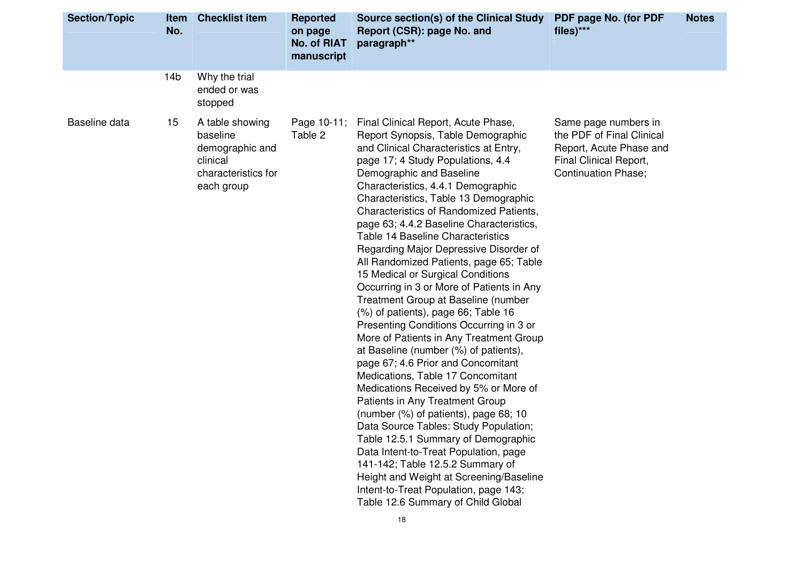| <b>Section/Topic</b> | <b>Item</b><br>No. | <b>Checklist item</b>                                                                           | <b>Reported</b><br>on page<br><b>No. of RIAT</b><br>manuscript | Source section(s) of the Clinical Study<br>Report (CSR): page No. and<br>paragraph**                                                                                                                                                                                                                                                                                                                                                                                                                                                                                                                                                                                                                                                                                                                                                                                                                                                                                                                                                                                                                                                                                                                                                                                       | PDF page No. (for PDF<br>files)***                                                                                                   | <b>Notes</b> |
|----------------------|--------------------|-------------------------------------------------------------------------------------------------|----------------------------------------------------------------|----------------------------------------------------------------------------------------------------------------------------------------------------------------------------------------------------------------------------------------------------------------------------------------------------------------------------------------------------------------------------------------------------------------------------------------------------------------------------------------------------------------------------------------------------------------------------------------------------------------------------------------------------------------------------------------------------------------------------------------------------------------------------------------------------------------------------------------------------------------------------------------------------------------------------------------------------------------------------------------------------------------------------------------------------------------------------------------------------------------------------------------------------------------------------------------------------------------------------------------------------------------------------|--------------------------------------------------------------------------------------------------------------------------------------|--------------|
|                      | 14 <sub>b</sub>    | Why the trial<br>ended or was<br>stopped                                                        |                                                                |                                                                                                                                                                                                                                                                                                                                                                                                                                                                                                                                                                                                                                                                                                                                                                                                                                                                                                                                                                                                                                                                                                                                                                                                                                                                            |                                                                                                                                      |              |
| Baseline data        | 15                 | A table showing<br>baseline<br>demographic and<br>clinical<br>characteristics for<br>each group | Page 10-11;<br>Table 2                                         | Final Clinical Report, Acute Phase,<br>Report Synopsis, Table Demographic<br>and Clinical Characteristics at Entry,<br>page 17; 4 Study Populations, 4.4<br>Demographic and Baseline<br>Characteristics, 4.4.1 Demographic<br>Characteristics, Table 13 Demographic<br>Characteristics of Randomized Patients,<br>page 63; 4.4.2 Baseline Characteristics,<br>Table 14 Baseline Characteristics<br>Regarding Major Depressive Disorder of<br>All Randomized Patients, page 65; Table<br>15 Medical or Surgical Conditions<br>Occurring in 3 or More of Patients in Any<br>Treatment Group at Baseline (number<br>(%) of patients), page 66; Table 16<br>Presenting Conditions Occurring in 3 or<br>More of Patients in Any Treatment Group<br>at Baseline (number (%) of patients),<br>page 67; 4.6 Prior and Concomitant<br>Medications, Table 17 Concomitant<br>Medications Received by 5% or More of<br>Patients in Any Treatment Group<br>(number (%) of patients), page 68; 10<br>Data Source Tables: Study Population;<br>Table 12.5.1 Summary of Demographic<br>Data Intent-to-Treat Population, page<br>141-142; Table 12.5.2 Summary of<br>Height and Weight at Screening/Baseline<br>Intent-to-Treat Population, page 143;<br>Table 12.6 Summary of Child Global | Same page numbers in<br>the PDF of Final Clinical<br>Report, Acute Phase and<br>Final Clinical Report,<br><b>Continuation Phase;</b> |              |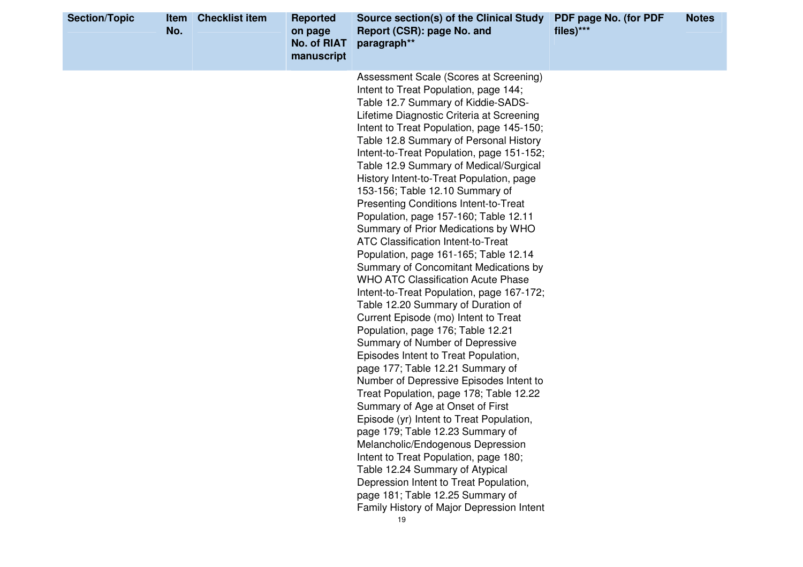| <b>Section/Topic</b> | <b>Item</b><br>No. | <b>Checklist item</b> | <b>Reported</b><br>on page<br><b>No. of RIAT</b><br>manuscript | Source section(s) of the Clinical Study<br>Report (CSR): page No. and<br>paragraph**                                                                                                                                                                                                                                                                                                                                                                                                                                                                                                                                                                                                                                                                                                                                                                                                                                                                                                                                                                                                                                                                                                                                                                                                                                                                                                                                                                                             | PDF page No. (for PDF<br>files)*** | <b>Notes</b> |
|----------------------|--------------------|-----------------------|----------------------------------------------------------------|----------------------------------------------------------------------------------------------------------------------------------------------------------------------------------------------------------------------------------------------------------------------------------------------------------------------------------------------------------------------------------------------------------------------------------------------------------------------------------------------------------------------------------------------------------------------------------------------------------------------------------------------------------------------------------------------------------------------------------------------------------------------------------------------------------------------------------------------------------------------------------------------------------------------------------------------------------------------------------------------------------------------------------------------------------------------------------------------------------------------------------------------------------------------------------------------------------------------------------------------------------------------------------------------------------------------------------------------------------------------------------------------------------------------------------------------------------------------------------|------------------------------------|--------------|
|                      |                    |                       |                                                                | Assessment Scale (Scores at Screening)<br>Intent to Treat Population, page 144;<br>Table 12.7 Summary of Kiddie-SADS-<br>Lifetime Diagnostic Criteria at Screening<br>Intent to Treat Population, page 145-150;<br>Table 12.8 Summary of Personal History<br>Intent-to-Treat Population, page 151-152;<br>Table 12.9 Summary of Medical/Surgical<br>History Intent-to-Treat Population, page<br>153-156; Table 12.10 Summary of<br><b>Presenting Conditions Intent-to-Treat</b><br>Population, page 157-160; Table 12.11<br>Summary of Prior Medications by WHO<br><b>ATC Classification Intent-to-Treat</b><br>Population, page 161-165; Table 12.14<br>Summary of Concomitant Medications by<br><b>WHO ATC Classification Acute Phase</b><br>Intent-to-Treat Population, page 167-172;<br>Table 12.20 Summary of Duration of<br>Current Episode (mo) Intent to Treat<br>Population, page 176; Table 12.21<br>Summary of Number of Depressive<br>Episodes Intent to Treat Population,<br>page 177; Table 12.21 Summary of<br>Number of Depressive Episodes Intent to<br>Treat Population, page 178; Table 12.22<br>Summary of Age at Onset of First<br>Episode (yr) Intent to Treat Population,<br>page 179; Table 12.23 Summary of<br>Melancholic/Endogenous Depression<br>Intent to Treat Population, page 180;<br>Table 12.24 Summary of Atypical<br>Depression Intent to Treat Population,<br>page 181; Table 12.25 Summary of<br>Family History of Major Depression Intent |                                    |              |
|                      |                    |                       |                                                                | 19                                                                                                                                                                                                                                                                                                                                                                                                                                                                                                                                                                                                                                                                                                                                                                                                                                                                                                                                                                                                                                                                                                                                                                                                                                                                                                                                                                                                                                                                               |                                    |              |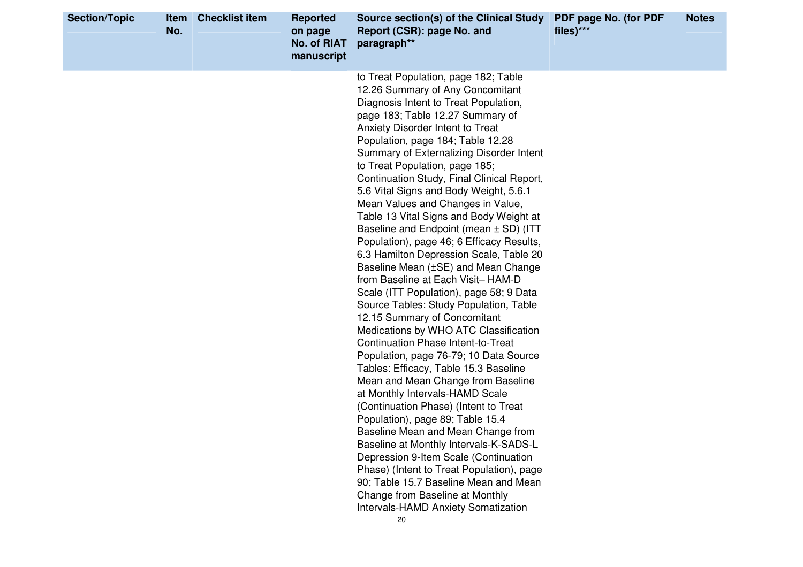| <b>Section/Topic</b> | Item<br>No. | <b>Checklist item</b> | <b>Reported</b><br>on page<br><b>No. of RIAT</b><br>manuscript | Source section(s) of the Clinical Study<br>Report (CSR): page No. and<br>paragraph**                                                                                                                                                                                                                                                                                                                                                                                                                                                                                                                                                                                                                                                                                                                                                                                                                                                                                                                                                                                                                                                                                                                                                                                                                                                                                                                                                                      | PDF page No. (for PDF<br>files)*** | <b>Notes</b> |
|----------------------|-------------|-----------------------|----------------------------------------------------------------|-----------------------------------------------------------------------------------------------------------------------------------------------------------------------------------------------------------------------------------------------------------------------------------------------------------------------------------------------------------------------------------------------------------------------------------------------------------------------------------------------------------------------------------------------------------------------------------------------------------------------------------------------------------------------------------------------------------------------------------------------------------------------------------------------------------------------------------------------------------------------------------------------------------------------------------------------------------------------------------------------------------------------------------------------------------------------------------------------------------------------------------------------------------------------------------------------------------------------------------------------------------------------------------------------------------------------------------------------------------------------------------------------------------------------------------------------------------|------------------------------------|--------------|
|                      |             |                       |                                                                | to Treat Population, page 182; Table<br>12.26 Summary of Any Concomitant<br>Diagnosis Intent to Treat Population,<br>page 183; Table 12.27 Summary of<br>Anxiety Disorder Intent to Treat<br>Population, page 184; Table 12.28<br>Summary of Externalizing Disorder Intent<br>to Treat Population, page 185;<br>Continuation Study, Final Clinical Report,<br>5.6 Vital Signs and Body Weight, 5.6.1<br>Mean Values and Changes in Value,<br>Table 13 Vital Signs and Body Weight at<br>Baseline and Endpoint (mean $\pm$ SD) (ITT<br>Population), page 46; 6 Efficacy Results,<br>6.3 Hamilton Depression Scale, Table 20<br>Baseline Mean (±SE) and Mean Change<br>from Baseline at Each Visit-HAM-D<br>Scale (ITT Population), page 58; 9 Data<br>Source Tables: Study Population, Table<br>12.15 Summary of Concomitant<br>Medications by WHO ATC Classification<br><b>Continuation Phase Intent-to-Treat</b><br>Population, page 76-79; 10 Data Source<br>Tables: Efficacy, Table 15.3 Baseline<br>Mean and Mean Change from Baseline<br>at Monthly Intervals-HAMD Scale<br>(Continuation Phase) (Intent to Treat<br>Population), page 89; Table 15.4<br>Baseline Mean and Mean Change from<br>Baseline at Monthly Intervals-K-SADS-L<br>Depression 9-Item Scale (Continuation<br>Phase) (Intent to Treat Population), page<br>90; Table 15.7 Baseline Mean and Mean<br>Change from Baseline at Monthly<br>Intervals-HAMD Anxiety Somatization<br>20 |                                    |              |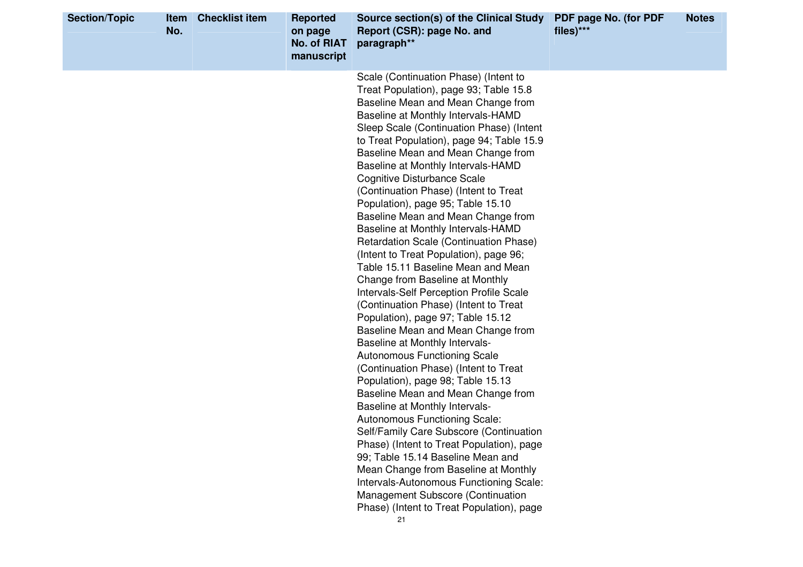| <b>Section/Topic</b> | <b>Item</b><br>No. | <b>Checklist item</b> | <b>Reported</b><br>on page<br><b>No. of RIAT</b><br>manuscript | Source section(s) of the Clinical Study<br>Report (CSR): page No. and<br>paragraph**                                                                                                                                                                                                                                                                                                                                                                                                                                                                                                                                                                                                                                                                                                                                                                                                                                                                                                                                                                                                                                                                                                                                                                                                                                                                                                                                                               | PDF page No. (for PDF<br>files)*** | <b>Notes</b> |
|----------------------|--------------------|-----------------------|----------------------------------------------------------------|----------------------------------------------------------------------------------------------------------------------------------------------------------------------------------------------------------------------------------------------------------------------------------------------------------------------------------------------------------------------------------------------------------------------------------------------------------------------------------------------------------------------------------------------------------------------------------------------------------------------------------------------------------------------------------------------------------------------------------------------------------------------------------------------------------------------------------------------------------------------------------------------------------------------------------------------------------------------------------------------------------------------------------------------------------------------------------------------------------------------------------------------------------------------------------------------------------------------------------------------------------------------------------------------------------------------------------------------------------------------------------------------------------------------------------------------------|------------------------------------|--------------|
|                      |                    |                       |                                                                | Scale (Continuation Phase) (Intent to<br>Treat Population), page 93; Table 15.8<br>Baseline Mean and Mean Change from<br>Baseline at Monthly Intervals-HAMD<br>Sleep Scale (Continuation Phase) (Intent<br>to Treat Population), page 94; Table 15.9<br>Baseline Mean and Mean Change from<br>Baseline at Monthly Intervals-HAMD<br><b>Cognitive Disturbance Scale</b><br>(Continuation Phase) (Intent to Treat<br>Population), page 95; Table 15.10<br>Baseline Mean and Mean Change from<br>Baseline at Monthly Intervals-HAMD<br>Retardation Scale (Continuation Phase)<br>(Intent to Treat Population), page 96;<br>Table 15.11 Baseline Mean and Mean<br>Change from Baseline at Monthly<br>Intervals-Self Perception Profile Scale<br>(Continuation Phase) (Intent to Treat<br>Population), page 97; Table 15.12<br>Baseline Mean and Mean Change from<br><b>Baseline at Monthly Intervals-</b><br><b>Autonomous Functioning Scale</b><br>(Continuation Phase) (Intent to Treat<br>Population), page 98; Table 15.13<br>Baseline Mean and Mean Change from<br><b>Baseline at Monthly Intervals-</b><br>Autonomous Functioning Scale:<br>Self/Family Care Subscore (Continuation<br>Phase) (Intent to Treat Population), page<br>99; Table 15.14 Baseline Mean and<br>Mean Change from Baseline at Monthly<br>Intervals-Autonomous Functioning Scale:<br>Management Subscore (Continuation<br>Phase) (Intent to Treat Population), page<br>21 |                                    |              |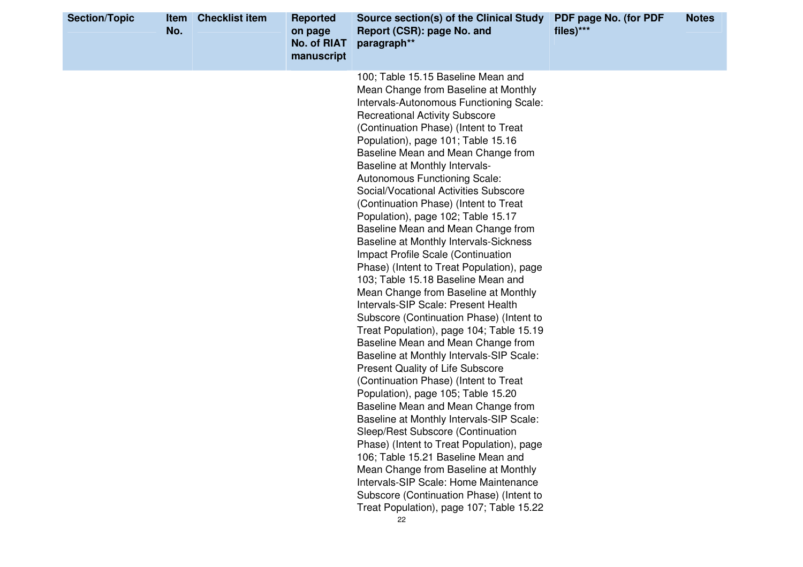| <b>Section/Topic</b> | Item<br>No. | <b>Checklist item</b> | <b>Reported</b><br>on page<br><b>No. of RIAT</b><br>manuscript | Source section(s) of the Clinical Study<br>Report (CSR): page No. and<br>paragraph**                                                                                                                                                                                                                                                                                                                                                                                                                                                                                                                                                                                                                                                                                                                                                                                                                                                                                                                                                                                                                                                                                                                                                                                                                                                                                                                                                                                 | PDF page No. (for PDF<br>files)*** | <b>Notes</b> |
|----------------------|-------------|-----------------------|----------------------------------------------------------------|----------------------------------------------------------------------------------------------------------------------------------------------------------------------------------------------------------------------------------------------------------------------------------------------------------------------------------------------------------------------------------------------------------------------------------------------------------------------------------------------------------------------------------------------------------------------------------------------------------------------------------------------------------------------------------------------------------------------------------------------------------------------------------------------------------------------------------------------------------------------------------------------------------------------------------------------------------------------------------------------------------------------------------------------------------------------------------------------------------------------------------------------------------------------------------------------------------------------------------------------------------------------------------------------------------------------------------------------------------------------------------------------------------------------------------------------------------------------|------------------------------------|--------------|
|                      |             |                       |                                                                | 100; Table 15.15 Baseline Mean and<br>Mean Change from Baseline at Monthly<br>Intervals-Autonomous Functioning Scale:<br><b>Recreational Activity Subscore</b><br>(Continuation Phase) (Intent to Treat<br>Population), page 101; Table 15.16<br>Baseline Mean and Mean Change from<br>Baseline at Monthly Intervals-<br>Autonomous Functioning Scale:<br>Social/Vocational Activities Subscore<br>(Continuation Phase) (Intent to Treat<br>Population), page 102; Table 15.17<br>Baseline Mean and Mean Change from<br><b>Baseline at Monthly Intervals-Sickness</b><br>Impact Profile Scale (Continuation<br>Phase) (Intent to Treat Population), page<br>103; Table 15.18 Baseline Mean and<br>Mean Change from Baseline at Monthly<br>Intervals-SIP Scale: Present Health<br>Subscore (Continuation Phase) (Intent to<br>Treat Population), page 104; Table 15.19<br>Baseline Mean and Mean Change from<br>Baseline at Monthly Intervals-SIP Scale:<br><b>Present Quality of Life Subscore</b><br>(Continuation Phase) (Intent to Treat<br>Population), page 105; Table 15.20<br>Baseline Mean and Mean Change from<br>Baseline at Monthly Intervals-SIP Scale:<br>Sleep/Rest Subscore (Continuation<br>Phase) (Intent to Treat Population), page<br>106; Table 15.21 Baseline Mean and<br>Mean Change from Baseline at Monthly<br>Intervals-SIP Scale: Home Maintenance<br>Subscore (Continuation Phase) (Intent to<br>Treat Population), page 107; Table 15.22 |                                    |              |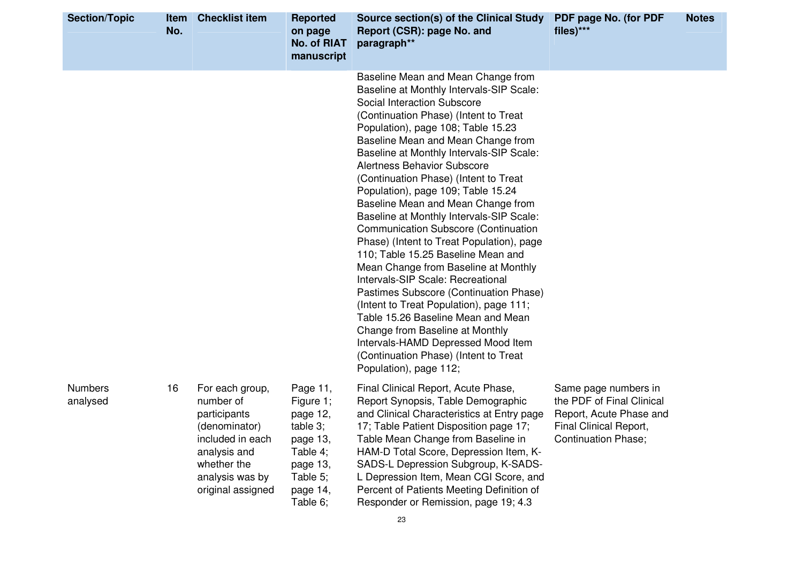| <b>Section/Topic</b>       | Item<br>No. | <b>Checklist item</b>                                                                                                                                    | <b>Reported</b><br>on page<br><b>No. of RIAT</b><br>manuscript                                                           | Source section(s) of the Clinical Study PDF page No. (for PDF<br>Report (CSR): page No. and<br>paragraph**                                                                                                                                                                                                                                                                                                                                                                                                                                                                                                                                                                                                                                                                                                                                                                                                                                                                  | files)***                                                                                                                            | <b>Notes</b> |
|----------------------------|-------------|----------------------------------------------------------------------------------------------------------------------------------------------------------|--------------------------------------------------------------------------------------------------------------------------|-----------------------------------------------------------------------------------------------------------------------------------------------------------------------------------------------------------------------------------------------------------------------------------------------------------------------------------------------------------------------------------------------------------------------------------------------------------------------------------------------------------------------------------------------------------------------------------------------------------------------------------------------------------------------------------------------------------------------------------------------------------------------------------------------------------------------------------------------------------------------------------------------------------------------------------------------------------------------------|--------------------------------------------------------------------------------------------------------------------------------------|--------------|
|                            |             |                                                                                                                                                          |                                                                                                                          | Baseline Mean and Mean Change from<br>Baseline at Monthly Intervals-SIP Scale:<br>Social Interaction Subscore<br>(Continuation Phase) (Intent to Treat<br>Population), page 108; Table 15.23<br>Baseline Mean and Mean Change from<br>Baseline at Monthly Intervals-SIP Scale:<br><b>Alertness Behavior Subscore</b><br>(Continuation Phase) (Intent to Treat<br>Population), page 109; Table 15.24<br>Baseline Mean and Mean Change from<br>Baseline at Monthly Intervals-SIP Scale:<br><b>Communication Subscore (Continuation</b><br>Phase) (Intent to Treat Population), page<br>110; Table 15.25 Baseline Mean and<br>Mean Change from Baseline at Monthly<br>Intervals-SIP Scale: Recreational<br>Pastimes Subscore (Continuation Phase)<br>(Intent to Treat Population), page 111;<br>Table 15.26 Baseline Mean and Mean<br>Change from Baseline at Monthly<br>Intervals-HAMD Depressed Mood Item<br>(Continuation Phase) (Intent to Treat<br>Population), page 112; |                                                                                                                                      |              |
| <b>Numbers</b><br>analysed | 16          | For each group,<br>number of<br>participants<br>(denominator)<br>included in each<br>analysis and<br>whether the<br>analysis was by<br>original assigned | Page 11,<br>Figure 1;<br>page 12,<br>table $3$ ;<br>page 13,<br>Table 4;<br>page 13,<br>Table 5;<br>page 14,<br>Table 6; | Final Clinical Report, Acute Phase,<br>Report Synopsis, Table Demographic<br>and Clinical Characteristics at Entry page<br>17; Table Patient Disposition page 17;<br>Table Mean Change from Baseline in<br>HAM-D Total Score, Depression Item, K-<br>SADS-L Depression Subgroup, K-SADS-<br>L Depression Item, Mean CGI Score, and<br>Percent of Patients Meeting Definition of<br>Responder or Remission, page 19; 4.3                                                                                                                                                                                                                                                                                                                                                                                                                                                                                                                                                     | Same page numbers in<br>the PDF of Final Clinical<br>Report, Acute Phase and<br>Final Clinical Report,<br><b>Continuation Phase;</b> |              |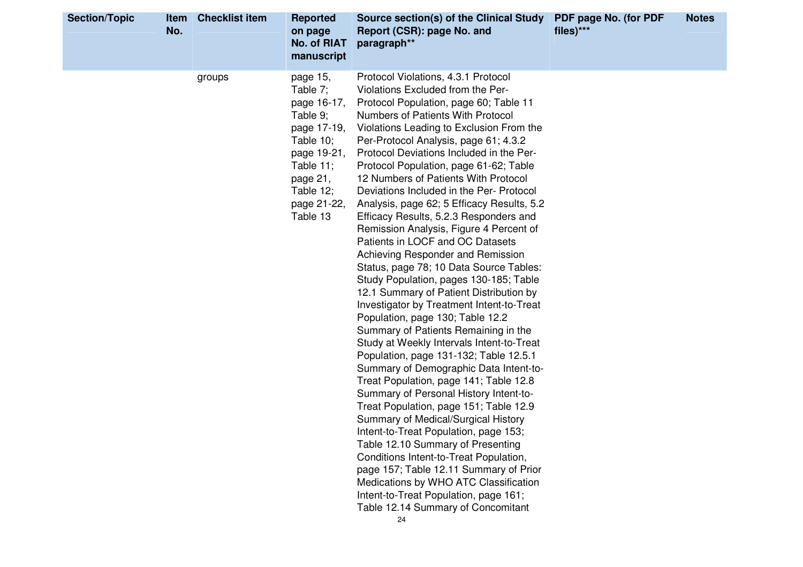| <b>Section/Topic</b> | Item<br>No. | <b>Checklist item</b> | <b>Reported</b><br>on page<br>No. of RIAT<br>manuscript                                                                                                           | Source section(s) of the Clinical Study<br>Report (CSR): page No. and<br>paragraph**                                                                                                                                                                                                                                                                                                                                                                                                                                                                                                                                                                                                                                                                                                                                                                                                                                                                                                                                                                                                                                                                                                                                                                                                                                                                                                                                                                                                              | PDF page No. (for PDF<br>files)*** | <b>Notes</b> |
|----------------------|-------------|-----------------------|-------------------------------------------------------------------------------------------------------------------------------------------------------------------|---------------------------------------------------------------------------------------------------------------------------------------------------------------------------------------------------------------------------------------------------------------------------------------------------------------------------------------------------------------------------------------------------------------------------------------------------------------------------------------------------------------------------------------------------------------------------------------------------------------------------------------------------------------------------------------------------------------------------------------------------------------------------------------------------------------------------------------------------------------------------------------------------------------------------------------------------------------------------------------------------------------------------------------------------------------------------------------------------------------------------------------------------------------------------------------------------------------------------------------------------------------------------------------------------------------------------------------------------------------------------------------------------------------------------------------------------------------------------------------------------|------------------------------------|--------------|
|                      |             | groups                | page 15,<br>Table 7;<br>page 16-17,<br>Table 9;<br>page 17-19,<br>Table $10$ ;<br>page 19-21,<br>Table 11;<br>page 21,<br>Table $12$ ;<br>page 21-22,<br>Table 13 | Protocol Violations, 4.3.1 Protocol<br>Violations Excluded from the Per-<br>Protocol Population, page 60; Table 11<br>Numbers of Patients With Protocol<br>Violations Leading to Exclusion From the<br>Per-Protocol Analysis, page 61; 4.3.2<br>Protocol Deviations Included in the Per-<br>Protocol Population, page 61-62; Table<br>12 Numbers of Patients With Protocol<br>Deviations Included in the Per- Protocol<br>Analysis, page 62; 5 Efficacy Results, 5.2<br>Efficacy Results, 5.2.3 Responders and<br>Remission Analysis, Figure 4 Percent of<br>Patients in LOCF and OC Datasets<br>Achieving Responder and Remission<br>Status, page 78; 10 Data Source Tables:<br>Study Population, pages 130-185; Table<br>12.1 Summary of Patient Distribution by<br>Investigator by Treatment Intent-to-Treat<br>Population, page 130; Table 12.2<br>Summary of Patients Remaining in the<br>Study at Weekly Intervals Intent-to-Treat<br>Population, page 131-132; Table 12.5.1<br>Summary of Demographic Data Intent-to-<br>Treat Population, page 141; Table 12.8<br>Summary of Personal History Intent-to-<br>Treat Population, page 151; Table 12.9<br>Summary of Medical/Surgical History<br>Intent-to-Treat Population, page 153;<br>Table 12.10 Summary of Presenting<br>Conditions Intent-to-Treat Population,<br>page 157; Table 12.11 Summary of Prior<br>Medications by WHO ATC Classification<br>Intent-to-Treat Population, page 161;<br>Table 12.14 Summary of Concomitant<br>24 |                                    |              |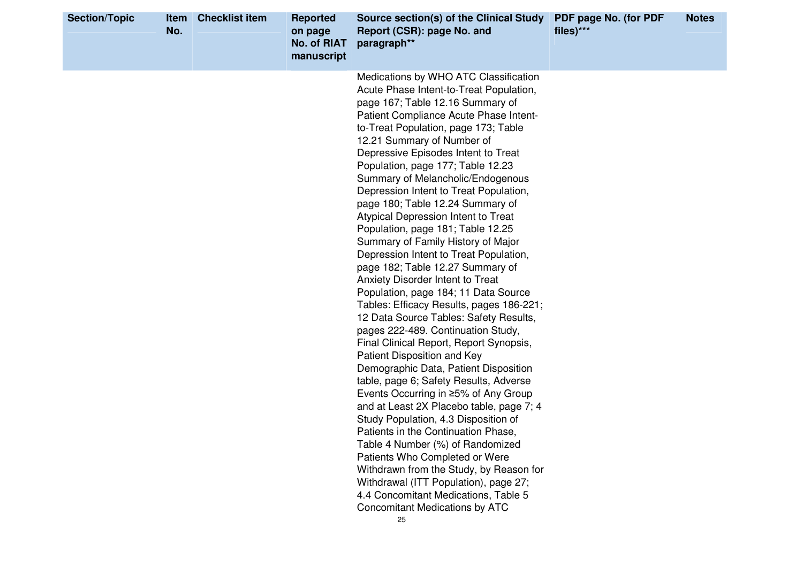| <b>Section/Topic</b> | Item<br>No. | <b>Checklist item</b> | <b>Reported</b><br>on page<br><b>No. of RIAT</b><br>manuscript | Source section(s) of the Clinical Study<br>Report (CSR): page No. and<br>paragraph**                                                                                                                                                                                                                                                                                                                                                                                                                                                                                                                                                                                                                                                                                                                                                                                                                                                                                                                                                                                                                                                                                                                                                                                                                                                                                                                                          | PDF page No. (for PDF<br>files)*** | <b>Notes</b> |
|----------------------|-------------|-----------------------|----------------------------------------------------------------|-------------------------------------------------------------------------------------------------------------------------------------------------------------------------------------------------------------------------------------------------------------------------------------------------------------------------------------------------------------------------------------------------------------------------------------------------------------------------------------------------------------------------------------------------------------------------------------------------------------------------------------------------------------------------------------------------------------------------------------------------------------------------------------------------------------------------------------------------------------------------------------------------------------------------------------------------------------------------------------------------------------------------------------------------------------------------------------------------------------------------------------------------------------------------------------------------------------------------------------------------------------------------------------------------------------------------------------------------------------------------------------------------------------------------------|------------------------------------|--------------|
|                      |             |                       |                                                                | Medications by WHO ATC Classification<br>Acute Phase Intent-to-Treat Population,<br>page 167; Table 12.16 Summary of<br>Patient Compliance Acute Phase Intent-<br>to-Treat Population, page 173; Table<br>12.21 Summary of Number of<br>Depressive Episodes Intent to Treat<br>Population, page 177; Table 12.23<br>Summary of Melancholic/Endogenous<br>Depression Intent to Treat Population,<br>page 180; Table 12.24 Summary of<br>Atypical Depression Intent to Treat<br>Population, page 181; Table 12.25<br>Summary of Family History of Major<br>Depression Intent to Treat Population,<br>page 182; Table 12.27 Summary of<br><b>Anxiety Disorder Intent to Treat</b><br>Population, page 184; 11 Data Source<br>Tables: Efficacy Results, pages 186-221;<br>12 Data Source Tables: Safety Results,<br>pages 222-489. Continuation Study,<br>Final Clinical Report, Report Synopsis,<br>Patient Disposition and Key<br>Demographic Data, Patient Disposition<br>table, page 6; Safety Results, Adverse<br>Events Occurring in ≥5% of Any Group<br>and at Least 2X Placebo table, page 7; 4<br>Study Population, 4.3 Disposition of<br>Patients in the Continuation Phase,<br>Table 4 Number (%) of Randomized<br>Patients Who Completed or Were<br>Withdrawn from the Study, by Reason for<br>Withdrawal (ITT Population), page 27;<br>4.4 Concomitant Medications, Table 5<br><b>Concomitant Medications by ATC</b> |                                    |              |
|                      |             |                       |                                                                | 25                                                                                                                                                                                                                                                                                                                                                                                                                                                                                                                                                                                                                                                                                                                                                                                                                                                                                                                                                                                                                                                                                                                                                                                                                                                                                                                                                                                                                            |                                    |              |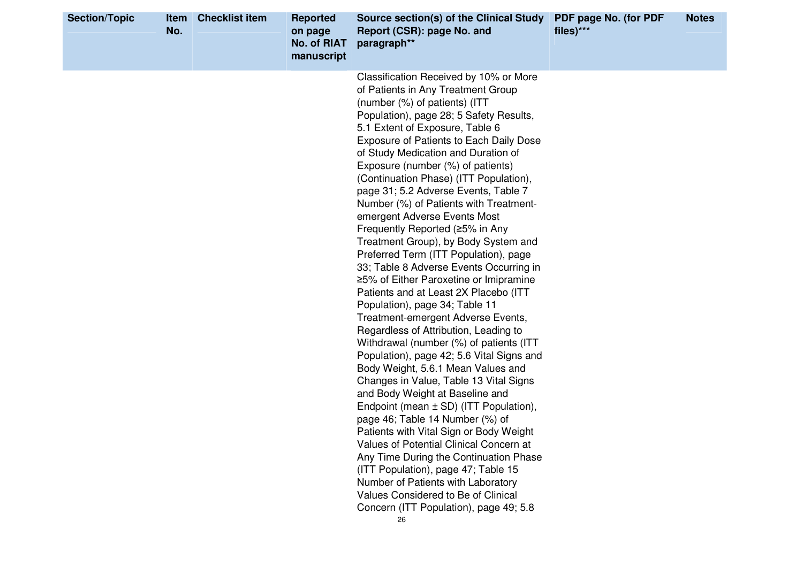| <b>Section/Topic</b> | <b>Item</b><br>No. | <b>Checklist item</b> | <b>Reported</b><br>on page<br><b>No. of RIAT</b><br>manuscript | Source section(s) of the Clinical Study<br>Report (CSR): page No. and<br>paragraph**                                                                                                                                                                                                                                                                                                                                                                                                                                                                                                                                                                                                                                                                                                                                                                                                                                                                                                                                                                                                                                                                                                                                                                                                                                                                                                                                                               | PDF page No. (for PDF<br>files)*** | <b>Notes</b> |
|----------------------|--------------------|-----------------------|----------------------------------------------------------------|----------------------------------------------------------------------------------------------------------------------------------------------------------------------------------------------------------------------------------------------------------------------------------------------------------------------------------------------------------------------------------------------------------------------------------------------------------------------------------------------------------------------------------------------------------------------------------------------------------------------------------------------------------------------------------------------------------------------------------------------------------------------------------------------------------------------------------------------------------------------------------------------------------------------------------------------------------------------------------------------------------------------------------------------------------------------------------------------------------------------------------------------------------------------------------------------------------------------------------------------------------------------------------------------------------------------------------------------------------------------------------------------------------------------------------------------------|------------------------------------|--------------|
|                      |                    |                       |                                                                | Classification Received by 10% or More<br>of Patients in Any Treatment Group<br>(number (%) of patients) (ITT<br>Population), page 28; 5 Safety Results,<br>5.1 Extent of Exposure, Table 6<br><b>Exposure of Patients to Each Daily Dose</b><br>of Study Medication and Duration of<br>Exposure (number (%) of patients)<br>(Continuation Phase) (ITT Population),<br>page 31; 5.2 Adverse Events, Table 7<br>Number (%) of Patients with Treatment-<br>emergent Adverse Events Most<br>Frequently Reported (≥5% in Any<br>Treatment Group), by Body System and<br>Preferred Term (ITT Population), page<br>33; Table 8 Adverse Events Occurring in<br>≥5% of Either Paroxetine or Imipramine<br>Patients and at Least 2X Placebo (ITT<br>Population), page 34; Table 11<br>Treatment-emergent Adverse Events,<br>Regardless of Attribution, Leading to<br>Withdrawal (number (%) of patients (ITT<br>Population), page 42; 5.6 Vital Signs and<br>Body Weight, 5.6.1 Mean Values and<br>Changes in Value, Table 13 Vital Signs<br>and Body Weight at Baseline and<br>Endpoint (mean $\pm$ SD) (ITT Population),<br>page 46; Table 14 Number (%) of<br>Patients with Vital Sign or Body Weight<br>Values of Potential Clinical Concern at<br>Any Time During the Continuation Phase<br>(ITT Population), page 47; Table 15<br>Number of Patients with Laboratory<br>Values Considered to Be of Clinical<br>Concern (ITT Population), page 49; 5.8 |                                    |              |
|                      |                    |                       |                                                                | 26                                                                                                                                                                                                                                                                                                                                                                                                                                                                                                                                                                                                                                                                                                                                                                                                                                                                                                                                                                                                                                                                                                                                                                                                                                                                                                                                                                                                                                                 |                                    |              |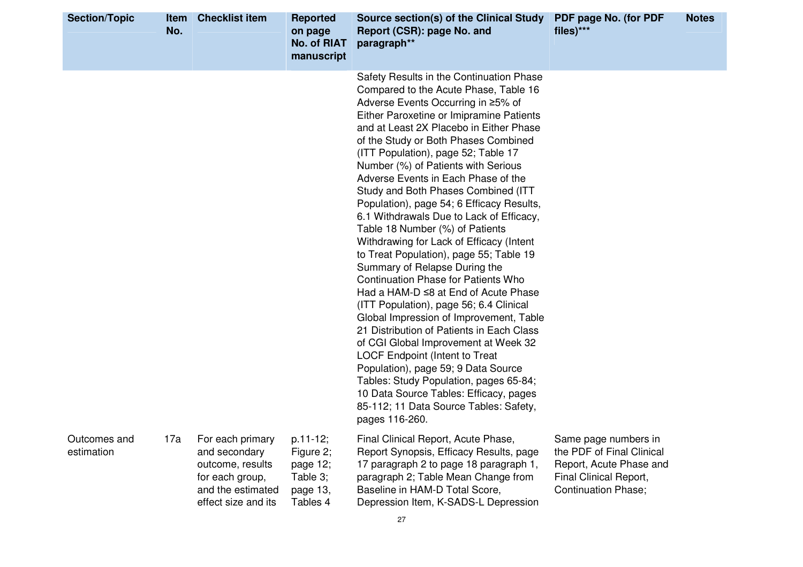| <b>Section/Topic</b>       | <b>Item</b><br>No. | <b>Checklist item</b>                                                                                                | <b>Reported</b><br>on page<br><b>No. of RIAT</b><br>manuscript        | Source section(s) of the Clinical Study<br>Report (CSR): page No. and<br>paragraph**                                                                                                                                                                                                                                                                                                                                                                                                                                                                                                                                                                                                                                                                                                                                                                                                                                                                                                                                                                                                                                                                                    | PDF page No. (for PDF<br>files)***                                                                                                   | <b>Notes</b> |
|----------------------------|--------------------|----------------------------------------------------------------------------------------------------------------------|-----------------------------------------------------------------------|-------------------------------------------------------------------------------------------------------------------------------------------------------------------------------------------------------------------------------------------------------------------------------------------------------------------------------------------------------------------------------------------------------------------------------------------------------------------------------------------------------------------------------------------------------------------------------------------------------------------------------------------------------------------------------------------------------------------------------------------------------------------------------------------------------------------------------------------------------------------------------------------------------------------------------------------------------------------------------------------------------------------------------------------------------------------------------------------------------------------------------------------------------------------------|--------------------------------------------------------------------------------------------------------------------------------------|--------------|
|                            |                    |                                                                                                                      |                                                                       | Safety Results in the Continuation Phase<br>Compared to the Acute Phase, Table 16<br>Adverse Events Occurring in ≥5% of<br>Either Paroxetine or Imipramine Patients<br>and at Least 2X Placebo in Either Phase<br>of the Study or Both Phases Combined<br>(ITT Population), page 52; Table 17<br>Number (%) of Patients with Serious<br>Adverse Events in Each Phase of the<br>Study and Both Phases Combined (ITT<br>Population), page 54; 6 Efficacy Results,<br>6.1 Withdrawals Due to Lack of Efficacy,<br>Table 18 Number (%) of Patients<br>Withdrawing for Lack of Efficacy (Intent<br>to Treat Population), page 55; Table 19<br>Summary of Relapse During the<br><b>Continuation Phase for Patients Who</b><br>Had a HAM-D ≤8 at End of Acute Phase<br>(ITT Population), page 56; 6.4 Clinical<br>Global Impression of Improvement, Table<br>21 Distribution of Patients in Each Class<br>of CGI Global Improvement at Week 32<br><b>LOCF Endpoint (Intent to Treat</b><br>Population), page 59; 9 Data Source<br>Tables: Study Population, pages 65-84;<br>10 Data Source Tables: Efficacy, pages<br>85-112; 11 Data Source Tables: Safety,<br>pages 116-260. |                                                                                                                                      |              |
| Outcomes and<br>estimation | 17a                | For each primary<br>and secondary<br>outcome, results<br>for each group,<br>and the estimated<br>effect size and its | p.11-12;<br>Figure 2;<br>page 12;<br>Table 3;<br>page 13,<br>Tables 4 | Final Clinical Report, Acute Phase,<br>Report Synopsis, Efficacy Results, page<br>17 paragraph 2 to page 18 paragraph 1,<br>paragraph 2; Table Mean Change from<br>Baseline in HAM-D Total Score,<br>Depression Item, K-SADS-L Depression                                                                                                                                                                                                                                                                                                                                                                                                                                                                                                                                                                                                                                                                                                                                                                                                                                                                                                                               | Same page numbers in<br>the PDF of Final Clinical<br>Report, Acute Phase and<br>Final Clinical Report,<br><b>Continuation Phase;</b> |              |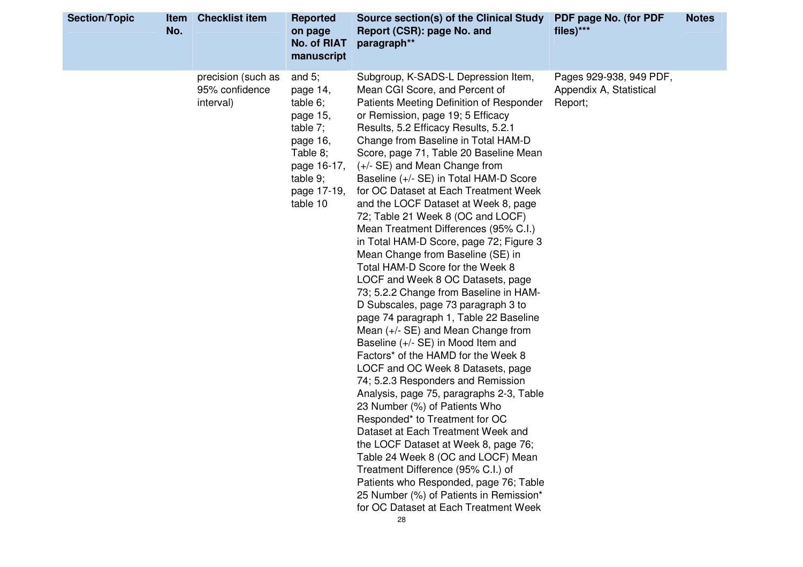| <b>Section/Topic</b><br><b>Item</b><br>No. | <b>Checklist item</b>                             | <b>Reported</b><br>on page<br>No. of RIAT<br>manuscript                                                                                    | Source section(s) of the Clinical Study<br>Report (CSR): page No. and<br>paragraph**                                                                                                                                                                                                                                                                                                                                                                                                                                                                                                                                                                                                                                                                                                                                                                                                                                                                                                                                                                                                                                                                                                                                                                                                                                                                                                                                       | PDF page No. (for PDF<br>files)***                            | <b>Notes</b> |
|--------------------------------------------|---------------------------------------------------|--------------------------------------------------------------------------------------------------------------------------------------------|----------------------------------------------------------------------------------------------------------------------------------------------------------------------------------------------------------------------------------------------------------------------------------------------------------------------------------------------------------------------------------------------------------------------------------------------------------------------------------------------------------------------------------------------------------------------------------------------------------------------------------------------------------------------------------------------------------------------------------------------------------------------------------------------------------------------------------------------------------------------------------------------------------------------------------------------------------------------------------------------------------------------------------------------------------------------------------------------------------------------------------------------------------------------------------------------------------------------------------------------------------------------------------------------------------------------------------------------------------------------------------------------------------------------------|---------------------------------------------------------------|--------------|
|                                            | precision (such as<br>95% confidence<br>interval) | and $5$ ;<br>page 14,<br>table 6;<br>page 15,<br>table 7;<br>page 16,<br>Table 8;<br>page 16-17,<br>table $9$ ;<br>page 17-19,<br>table 10 | Subgroup, K-SADS-L Depression Item,<br>Mean CGI Score, and Percent of<br>Patients Meeting Definition of Responder<br>or Remission, page 19; 5 Efficacy<br>Results, 5.2 Efficacy Results, 5.2.1<br>Change from Baseline in Total HAM-D<br>Score, page 71, Table 20 Baseline Mean<br>(+/- SE) and Mean Change from<br>Baseline (+/- SE) in Total HAM-D Score<br>for OC Dataset at Each Treatment Week<br>and the LOCF Dataset at Week 8, page<br>72; Table 21 Week 8 (OC and LOCF)<br>Mean Treatment Differences (95% C.I.)<br>in Total HAM-D Score, page 72; Figure 3<br>Mean Change from Baseline (SE) in<br>Total HAM-D Score for the Week 8<br>LOCF and Week 8 OC Datasets, page<br>73; 5.2.2 Change from Baseline in HAM-<br>D Subscales, page 73 paragraph 3 to<br>page 74 paragraph 1, Table 22 Baseline<br>Mean $(+/-$ SE) and Mean Change from<br>Baseline (+/- SE) in Mood Item and<br>Factors* of the HAMD for the Week 8<br>LOCF and OC Week 8 Datasets, page<br>74; 5.2.3 Responders and Remission<br>Analysis, page 75, paragraphs 2-3, Table<br>23 Number (%) of Patients Who<br>Responded* to Treatment for OC<br>Dataset at Each Treatment Week and<br>the LOCF Dataset at Week 8, page 76;<br>Table 24 Week 8 (OC and LOCF) Mean<br>Treatment Difference (95% C.I.) of<br>Patients who Responded, page 76; Table<br>25 Number (%) of Patients in Remission*<br>for OC Dataset at Each Treatment Week<br>28 | Pages 929-938, 949 PDF,<br>Appendix A, Statistical<br>Report; |              |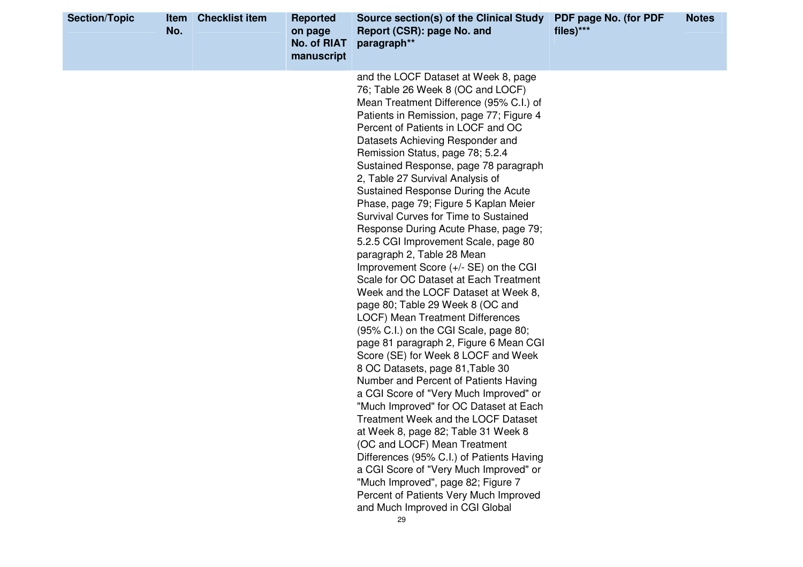| and the LOCF Dataset at Week 8, page<br>76; Table 26 Week 8 (OC and LOCF)<br>Mean Treatment Difference (95% C.I.) of<br>Patients in Remission, page 77; Figure 4<br>Percent of Patients in LOCF and OC<br>Datasets Achieving Responder and<br>Remission Status, page 78; 5.2.4<br>Sustained Response, page 78 paragraph<br>2, Table 27 Survival Analysis of<br>Sustained Response During the Acute<br>Phase, page 79; Figure 5 Kaplan Meier<br>Survival Curves for Time to Sustained<br>Response During Acute Phase, page 79;<br>5.2.5 CGI Improvement Scale, page 80<br>paragraph 2, Table 28 Mean<br>Improvement Score (+/- SE) on the CGI<br>Scale for OC Dataset at Each Treatment<br>Week and the LOCF Dataset at Week 8,<br>page 80; Table 29 Week 8 (OC and<br><b>LOCF) Mean Treatment Differences</b><br>(95% C.I.) on the CGI Scale, page 80;<br>page 81 paragraph 2, Figure 6 Mean CGI<br>Score (SE) for Week 8 LOCF and Week<br>8 OC Datasets, page 81, Table 30<br>Number and Percent of Patients Having<br>a CGI Score of "Very Much Improved" or<br>"Much Improved" for OC Dataset at Each<br>Treatment Week and the LOCF Dataset<br>at Week 8, page 82; Table 31 Week 8<br>(OC and LOCF) Mean Treatment<br>Differences (95% C.I.) of Patients Having<br>a CGI Score of "Very Much Improved" or<br>"Much Improved", page 82; Figure 7<br>Percent of Patients Very Much Improved | <b>Section/Topic</b> | <b>Item</b><br>No. | <b>Checklist item</b> | <b>Reported</b><br>on page<br><b>No. of RIAT</b><br>manuscript | Source section(s) of the Clinical Study<br>Report (CSR): page No. and<br>paragraph** | PDF page No. (for PDF<br>files)*** | <b>Notes</b> |
|-----------------------------------------------------------------------------------------------------------------------------------------------------------------------------------------------------------------------------------------------------------------------------------------------------------------------------------------------------------------------------------------------------------------------------------------------------------------------------------------------------------------------------------------------------------------------------------------------------------------------------------------------------------------------------------------------------------------------------------------------------------------------------------------------------------------------------------------------------------------------------------------------------------------------------------------------------------------------------------------------------------------------------------------------------------------------------------------------------------------------------------------------------------------------------------------------------------------------------------------------------------------------------------------------------------------------------------------------------------------------------------------------|----------------------|--------------------|-----------------------|----------------------------------------------------------------|--------------------------------------------------------------------------------------|------------------------------------|--------------|
| 29                                                                                                                                                                                                                                                                                                                                                                                                                                                                                                                                                                                                                                                                                                                                                                                                                                                                                                                                                                                                                                                                                                                                                                                                                                                                                                                                                                                            |                      |                    |                       |                                                                | and Much Improved in CGI Global                                                      |                                    |              |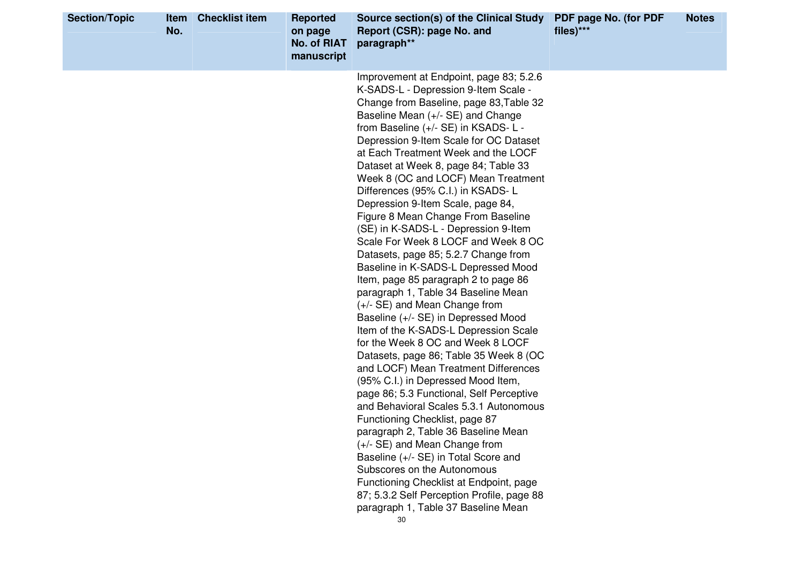| <b>Section/Topic</b> | Item<br>No. | <b>Checklist item</b> | <b>Reported</b><br>on page<br>No. of RIAT<br>manuscript | Source section(s) of the Clinical Study<br>Report (CSR): page No. and<br>paragraph**                                                                                                                                                                                                                                                                                                                                                                                                                                                                                                                                                                                                                                                                                                                                                                                                                                                                                                                                                                                                                                                                                                                                                                                                                                                                                                                                            | PDF page No. (for PDF<br>$files)***$ | <b>Notes</b> |
|----------------------|-------------|-----------------------|---------------------------------------------------------|---------------------------------------------------------------------------------------------------------------------------------------------------------------------------------------------------------------------------------------------------------------------------------------------------------------------------------------------------------------------------------------------------------------------------------------------------------------------------------------------------------------------------------------------------------------------------------------------------------------------------------------------------------------------------------------------------------------------------------------------------------------------------------------------------------------------------------------------------------------------------------------------------------------------------------------------------------------------------------------------------------------------------------------------------------------------------------------------------------------------------------------------------------------------------------------------------------------------------------------------------------------------------------------------------------------------------------------------------------------------------------------------------------------------------------|--------------------------------------|--------------|
|                      |             |                       |                                                         | Improvement at Endpoint, page 83; 5.2.6<br>K-SADS-L - Depression 9-Item Scale -<br>Change from Baseline, page 83, Table 32<br>Baseline Mean (+/- SE) and Change<br>from Baseline (+/- SE) in KSADS- L -<br>Depression 9-Item Scale for OC Dataset<br>at Each Treatment Week and the LOCF<br>Dataset at Week 8, page 84; Table 33<br>Week 8 (OC and LOCF) Mean Treatment<br>Differences (95% C.I.) in KSADS-L<br>Depression 9-Item Scale, page 84,<br>Figure 8 Mean Change From Baseline<br>(SE) in K-SADS-L - Depression 9-Item<br>Scale For Week 8 LOCF and Week 8 OC<br>Datasets, page 85; 5.2.7 Change from<br>Baseline in K-SADS-L Depressed Mood<br>Item, page 85 paragraph 2 to page 86<br>paragraph 1, Table 34 Baseline Mean<br>(+/- SE) and Mean Change from<br>Baseline (+/- SE) in Depressed Mood<br>Item of the K-SADS-L Depression Scale<br>for the Week 8 OC and Week 8 LOCF<br>Datasets, page 86; Table 35 Week 8 (OC<br>and LOCF) Mean Treatment Differences<br>(95% C.I.) in Depressed Mood Item,<br>page 86; 5.3 Functional, Self Perceptive<br>and Behavioral Scales 5.3.1 Autonomous<br>Functioning Checklist, page 87<br>paragraph 2, Table 36 Baseline Mean<br>(+/- SE) and Mean Change from<br>Baseline (+/- SE) in Total Score and<br>Subscores on the Autonomous<br>Functioning Checklist at Endpoint, page<br>87; 5.3.2 Self Perception Profile, page 88<br>paragraph 1, Table 37 Baseline Mean<br>30 |                                      |              |
|                      |             |                       |                                                         |                                                                                                                                                                                                                                                                                                                                                                                                                                                                                                                                                                                                                                                                                                                                                                                                                                                                                                                                                                                                                                                                                                                                                                                                                                                                                                                                                                                                                                 |                                      |              |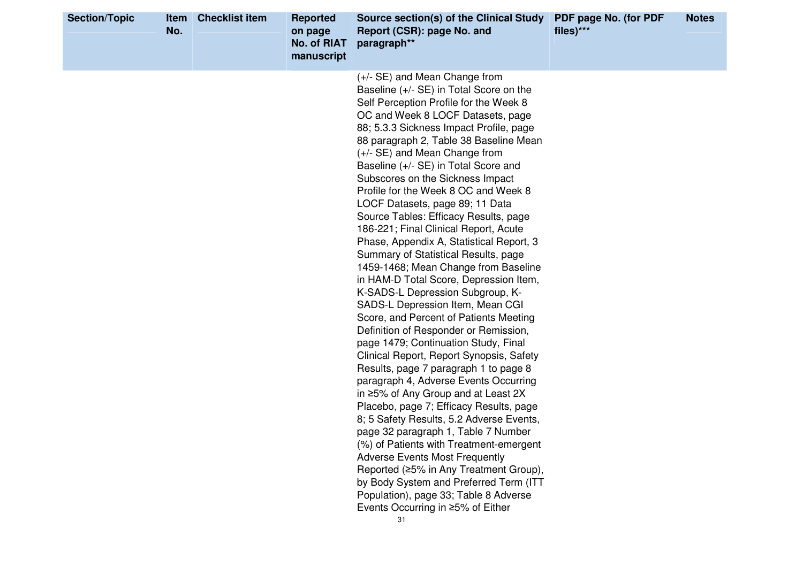| <b>Section/Topic</b> | Item<br>No. | <b>Checklist item</b> | <b>Reported</b><br>on page<br>No. of RIAT<br>manuscript | Source section(s) of the Clinical Study<br>Report (CSR): page No. and<br>paragraph**                                                                                                                                                                                                                                                                                                                                                                                                                                                                                                                                                                                                                                                                                                                                                                                                                                                                                                                                                                                                                                                                                                                                                                                                                                                                                                                                                                             | PDF page No. (for PDF<br>files)*** | <b>Notes</b> |
|----------------------|-------------|-----------------------|---------------------------------------------------------|------------------------------------------------------------------------------------------------------------------------------------------------------------------------------------------------------------------------------------------------------------------------------------------------------------------------------------------------------------------------------------------------------------------------------------------------------------------------------------------------------------------------------------------------------------------------------------------------------------------------------------------------------------------------------------------------------------------------------------------------------------------------------------------------------------------------------------------------------------------------------------------------------------------------------------------------------------------------------------------------------------------------------------------------------------------------------------------------------------------------------------------------------------------------------------------------------------------------------------------------------------------------------------------------------------------------------------------------------------------------------------------------------------------------------------------------------------------|------------------------------------|--------------|
|                      |             |                       |                                                         | (+/- SE) and Mean Change from<br>Baseline $(+/-$ SE) in Total Score on the<br>Self Perception Profile for the Week 8<br>OC and Week 8 LOCF Datasets, page<br>88; 5.3.3 Sickness Impact Profile, page<br>88 paragraph 2, Table 38 Baseline Mean<br>(+/- SE) and Mean Change from<br>Baseline (+/- SE) in Total Score and<br>Subscores on the Sickness Impact<br>Profile for the Week 8 OC and Week 8<br>LOCF Datasets, page 89; 11 Data<br>Source Tables: Efficacy Results, page<br>186-221; Final Clinical Report, Acute<br>Phase, Appendix A, Statistical Report, 3<br>Summary of Statistical Results, page<br>1459-1468; Mean Change from Baseline<br>in HAM-D Total Score, Depression Item,<br>K-SADS-L Depression Subgroup, K-<br>SADS-L Depression Item, Mean CGI<br>Score, and Percent of Patients Meeting<br>Definition of Responder or Remission,<br>page 1479; Continuation Study, Final<br>Clinical Report, Report Synopsis, Safety<br>Results, page 7 paragraph 1 to page 8<br>paragraph 4, Adverse Events Occurring<br>in ≥5% of Any Group and at Least 2X<br>Placebo, page 7; Efficacy Results, page<br>8; 5 Safety Results, 5.2 Adverse Events,<br>page 32 paragraph 1, Table 7 Number<br>(%) of Patients with Treatment-emergent<br><b>Adverse Events Most Frequently</b><br>Reported (≥5% in Any Treatment Group),<br>by Body System and Preferred Term (ITT<br>Population), page 33; Table 8 Adverse<br>Events Occurring in ≥5% of Either<br>31 |                                    |              |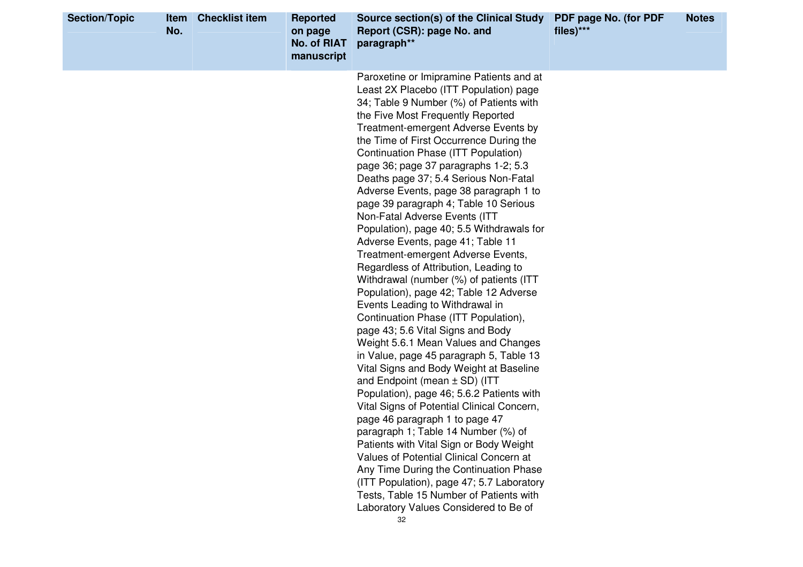| <b>Section/Topic</b> | <b>Item</b><br>No. | <b>Checklist item</b> | <b>Reported</b><br>on page<br><b>No. of RIAT</b><br>manuscript | Source section(s) of the Clinical Study<br>Report (CSR): page No. and<br>paragraph**                                                                                                                                                                                                                                                                                                                                                                                                                                                                                                                                                                                                                                                                                                                                                                                                                                                                                                                                                                                                                                                                                                                                                                                                                                                                                                                                                                                            | PDF page No. (for PDF<br>files)*** | <b>Notes</b> |
|----------------------|--------------------|-----------------------|----------------------------------------------------------------|---------------------------------------------------------------------------------------------------------------------------------------------------------------------------------------------------------------------------------------------------------------------------------------------------------------------------------------------------------------------------------------------------------------------------------------------------------------------------------------------------------------------------------------------------------------------------------------------------------------------------------------------------------------------------------------------------------------------------------------------------------------------------------------------------------------------------------------------------------------------------------------------------------------------------------------------------------------------------------------------------------------------------------------------------------------------------------------------------------------------------------------------------------------------------------------------------------------------------------------------------------------------------------------------------------------------------------------------------------------------------------------------------------------------------------------------------------------------------------|------------------------------------|--------------|
|                      |                    |                       |                                                                | Paroxetine or Imipramine Patients and at<br>Least 2X Placebo (ITT Population) page<br>34; Table 9 Number (%) of Patients with<br>the Five Most Frequently Reported<br>Treatment-emergent Adverse Events by<br>the Time of First Occurrence During the<br>Continuation Phase (ITT Population)<br>page 36; page 37 paragraphs 1-2; 5.3<br>Deaths page 37; 5.4 Serious Non-Fatal<br>Adverse Events, page 38 paragraph 1 to<br>page 39 paragraph 4; Table 10 Serious<br>Non-Fatal Adverse Events (ITT<br>Population), page 40; 5.5 Withdrawals for<br>Adverse Events, page 41; Table 11<br>Treatment-emergent Adverse Events,<br>Regardless of Attribution, Leading to<br>Withdrawal (number (%) of patients (ITT<br>Population), page 42; Table 12 Adverse<br>Events Leading to Withdrawal in<br>Continuation Phase (ITT Population),<br>page 43; 5.6 Vital Signs and Body<br>Weight 5.6.1 Mean Values and Changes<br>in Value, page 45 paragraph 5, Table 13<br>Vital Signs and Body Weight at Baseline<br>and Endpoint (mean $\pm$ SD) (ITT<br>Population), page 46; 5.6.2 Patients with<br>Vital Signs of Potential Clinical Concern,<br>page 46 paragraph 1 to page 47<br>paragraph 1; Table 14 Number (%) of<br>Patients with Vital Sign or Body Weight<br>Values of Potential Clinical Concern at<br>Any Time During the Continuation Phase<br>(ITT Population), page 47; 5.7 Laboratory<br>Tests, Table 15 Number of Patients with<br>Laboratory Values Considered to Be of |                                    |              |
|                      |                    |                       |                                                                | 32                                                                                                                                                                                                                                                                                                                                                                                                                                                                                                                                                                                                                                                                                                                                                                                                                                                                                                                                                                                                                                                                                                                                                                                                                                                                                                                                                                                                                                                                              |                                    |              |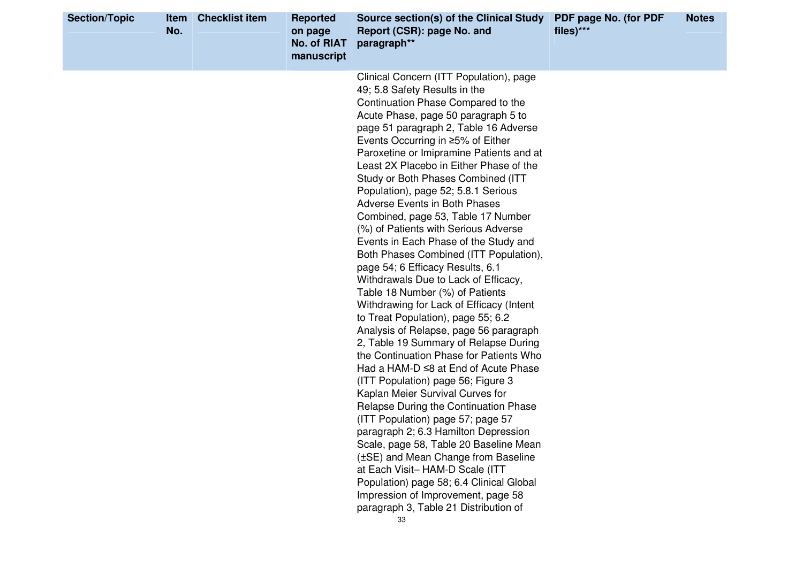| <b>Section/Topic</b> | <b>Item</b><br>No. | <b>Checklist item</b> | <b>Reported</b><br>on page<br><b>No. of RIAT</b><br>manuscript | Source section(s) of the Clinical Study<br>Report (CSR): page No. and<br>paragraph**                                                                                                                                                                                                                                                                                                                                                                                                                                                                                                                                                                                                                                                                                                                                                                                                                                                                                                                                                                                                                                                                                                                                                                                                                                                                                                                                                        | PDF page No. (for PDF<br>files)*** | <b>Notes</b> |
|----------------------|--------------------|-----------------------|----------------------------------------------------------------|---------------------------------------------------------------------------------------------------------------------------------------------------------------------------------------------------------------------------------------------------------------------------------------------------------------------------------------------------------------------------------------------------------------------------------------------------------------------------------------------------------------------------------------------------------------------------------------------------------------------------------------------------------------------------------------------------------------------------------------------------------------------------------------------------------------------------------------------------------------------------------------------------------------------------------------------------------------------------------------------------------------------------------------------------------------------------------------------------------------------------------------------------------------------------------------------------------------------------------------------------------------------------------------------------------------------------------------------------------------------------------------------------------------------------------------------|------------------------------------|--------------|
|                      |                    |                       |                                                                | Clinical Concern (ITT Population), page<br>49; 5.8 Safety Results in the<br>Continuation Phase Compared to the<br>Acute Phase, page 50 paragraph 5 to<br>page 51 paragraph 2, Table 16 Adverse<br>Events Occurring in ≥5% of Either<br>Paroxetine or Imipramine Patients and at<br>Least 2X Placebo in Either Phase of the<br>Study or Both Phases Combined (ITT<br>Population), page 52; 5.8.1 Serious<br><b>Adverse Events in Both Phases</b><br>Combined, page 53, Table 17 Number<br>(%) of Patients with Serious Adverse<br>Events in Each Phase of the Study and<br>Both Phases Combined (ITT Population),<br>page 54; 6 Efficacy Results, 6.1<br>Withdrawals Due to Lack of Efficacy,<br>Table 18 Number (%) of Patients<br>Withdrawing for Lack of Efficacy (Intent<br>to Treat Population), page 55; 6.2<br>Analysis of Relapse, page 56 paragraph<br>2, Table 19 Summary of Relapse During<br>the Continuation Phase for Patients Who<br>Had a HAM-D $\leq$ 8 at End of Acute Phase<br>(ITT Population) page 56; Figure 3<br>Kaplan Meier Survival Curves for<br>Relapse During the Continuation Phase<br>(ITT Population) page 57; page 57<br>paragraph 2; 6.3 Hamilton Depression<br>Scale, page 58, Table 20 Baseline Mean<br>(±SE) and Mean Change from Baseline<br>at Each Visit-HAM-D Scale (ITT<br>Population) page 58; 6.4 Clinical Global<br>Impression of Improvement, page 58<br>paragraph 3, Table 21 Distribution of |                                    |              |
|                      |                    |                       |                                                                | 33                                                                                                                                                                                                                                                                                                                                                                                                                                                                                                                                                                                                                                                                                                                                                                                                                                                                                                                                                                                                                                                                                                                                                                                                                                                                                                                                                                                                                                          |                                    |              |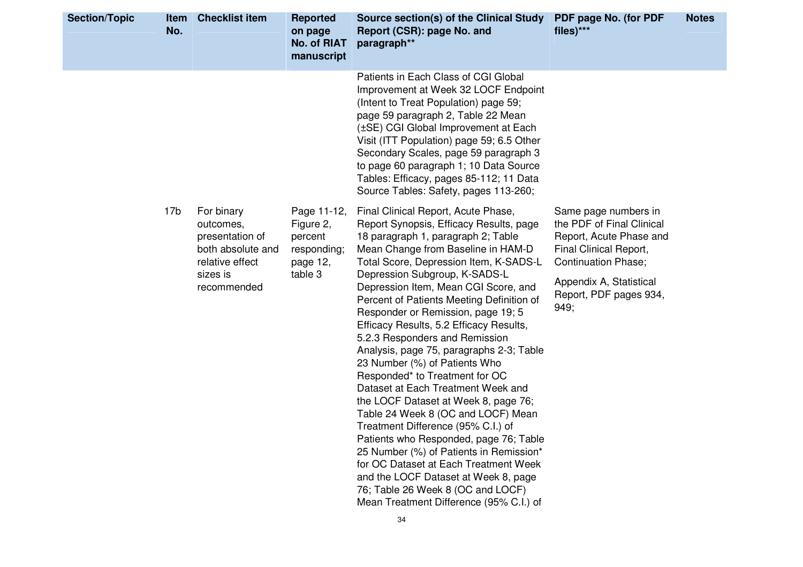| <b>Section/Topic</b> | Item<br>No.     | <b>Checklist item</b>                                                                                         | <b>Reported</b><br>on page<br><b>No. of RIAT</b><br>manuscript            | Source section(s) of the Clinical Study<br>Report (CSR): page No. and<br>paragraph**                                                                                                                                                                                                                                                                                                                                                                                                                                                                                                                                                                                                                                                                                                                                                                                                                                                                                         | PDF page No. (for PDF<br>files)***                                                                                                                                                                | <b>Notes</b> |
|----------------------|-----------------|---------------------------------------------------------------------------------------------------------------|---------------------------------------------------------------------------|------------------------------------------------------------------------------------------------------------------------------------------------------------------------------------------------------------------------------------------------------------------------------------------------------------------------------------------------------------------------------------------------------------------------------------------------------------------------------------------------------------------------------------------------------------------------------------------------------------------------------------------------------------------------------------------------------------------------------------------------------------------------------------------------------------------------------------------------------------------------------------------------------------------------------------------------------------------------------|---------------------------------------------------------------------------------------------------------------------------------------------------------------------------------------------------|--------------|
|                      |                 |                                                                                                               |                                                                           | Patients in Each Class of CGI Global<br>Improvement at Week 32 LOCF Endpoint<br>(Intent to Treat Population) page 59;<br>page 59 paragraph 2, Table 22 Mean<br>(±SE) CGI Global Improvement at Each<br>Visit (ITT Population) page 59; 6.5 Other<br>Secondary Scales, page 59 paragraph 3<br>to page 60 paragraph 1; 10 Data Source<br>Tables: Efficacy, pages 85-112; 11 Data<br>Source Tables: Safety, pages 113-260;                                                                                                                                                                                                                                                                                                                                                                                                                                                                                                                                                      |                                                                                                                                                                                                   |              |
|                      | 17 <sub>b</sub> | For binary<br>outcomes,<br>presentation of<br>both absolute and<br>relative effect<br>sizes is<br>recommended | Page 11-12,<br>Figure 2,<br>percent<br>responding;<br>page 12,<br>table 3 | Final Clinical Report, Acute Phase,<br>Report Synopsis, Efficacy Results, page<br>18 paragraph 1, paragraph 2; Table<br>Mean Change from Baseline in HAM-D<br>Total Score, Depression Item, K-SADS-L<br>Depression Subgroup, K-SADS-L<br>Depression Item, Mean CGI Score, and<br>Percent of Patients Meeting Definition of<br>Responder or Remission, page 19; 5<br>Efficacy Results, 5.2 Efficacy Results,<br>5.2.3 Responders and Remission<br>Analysis, page 75, paragraphs 2-3; Table<br>23 Number (%) of Patients Who<br>Responded* to Treatment for OC<br>Dataset at Each Treatment Week and<br>the LOCF Dataset at Week 8, page 76;<br>Table 24 Week 8 (OC and LOCF) Mean<br>Treatment Difference (95% C.I.) of<br>Patients who Responded, page 76; Table<br>25 Number (%) of Patients in Remission*<br>for OC Dataset at Each Treatment Week<br>and the LOCF Dataset at Week 8, page<br>76; Table 26 Week 8 (OC and LOCF)<br>Mean Treatment Difference (95% C.I.) of | Same page numbers in<br>the PDF of Final Clinical<br>Report, Acute Phase and<br>Final Clinical Report,<br><b>Continuation Phase;</b><br>Appendix A, Statistical<br>Report, PDF pages 934,<br>949; |              |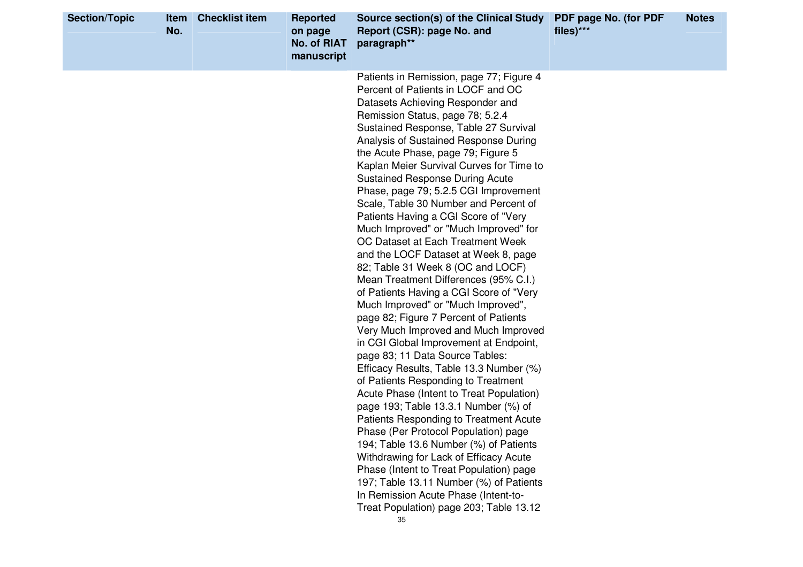| Patients in Remission, page 77; Figure 4<br>Percent of Patients in LOCF and OC<br>Datasets Achieving Responder and<br>Remission Status, page 78, 5.2.4<br>Sustained Response, Table 27 Survival<br>Analysis of Sustained Response During<br>the Acute Phase, page 79; Figure 5<br>Kaplan Meier Survival Curves for Time to<br><b>Sustained Response During Acute</b><br>Phase, page 79; 5.2.5 CGI Improvement<br>Scale, Table 30 Number and Percent of<br>Patients Having a CGI Score of "Very<br>Much Improved" or "Much Improved" for<br>OC Dataset at Each Treatment Week<br>and the LOCF Dataset at Week 8, page<br>82; Table 31 Week 8 (OC and LOCF)<br>Mean Treatment Differences (95% C.I.)<br>of Patients Having a CGI Score of "Very<br>Much Improved" or "Much Improved",<br>page 82; Figure 7 Percent of Patients<br>Very Much Improved and Much Improved<br>in CGI Global Improvement at Endpoint,<br>page 83; 11 Data Source Tables:<br>Efficacy Results, Table 13.3 Number (%)<br>of Patients Responding to Treatment<br>Acute Phase (Intent to Treat Population)<br>page 193; Table 13.3.1 Number (%) of<br>Patients Responding to Treatment Acute<br>Phase (Per Protocol Population) page<br>194; Table 13.6 Number (%) of Patients<br>Withdrawing for Lack of Efficacy Acute | <b>Section/Topic</b> | <b>Item</b><br>No. | <b>Checklist item</b> | <b>Reported</b><br>on page<br>No. of RIAT<br>manuscript | Source section(s) of the Clinical Study<br>Report (CSR): page No. and<br>paragraph** | PDF page No. (for PDF<br>files)*** | <b>Notes</b> |
|-----------------------------------------------------------------------------------------------------------------------------------------------------------------------------------------------------------------------------------------------------------------------------------------------------------------------------------------------------------------------------------------------------------------------------------------------------------------------------------------------------------------------------------------------------------------------------------------------------------------------------------------------------------------------------------------------------------------------------------------------------------------------------------------------------------------------------------------------------------------------------------------------------------------------------------------------------------------------------------------------------------------------------------------------------------------------------------------------------------------------------------------------------------------------------------------------------------------------------------------------------------------------------------------------|----------------------|--------------------|-----------------------|---------------------------------------------------------|--------------------------------------------------------------------------------------|------------------------------------|--------------|
| 197; Table 13.11 Number (%) of Patients<br>In Remission Acute Phase (Intent-to-<br>Treat Population) page 203; Table 13.12<br>35                                                                                                                                                                                                                                                                                                                                                                                                                                                                                                                                                                                                                                                                                                                                                                                                                                                                                                                                                                                                                                                                                                                                                              |                      |                    |                       |                                                         | Phase (Intent to Treat Population) page                                              |                                    |              |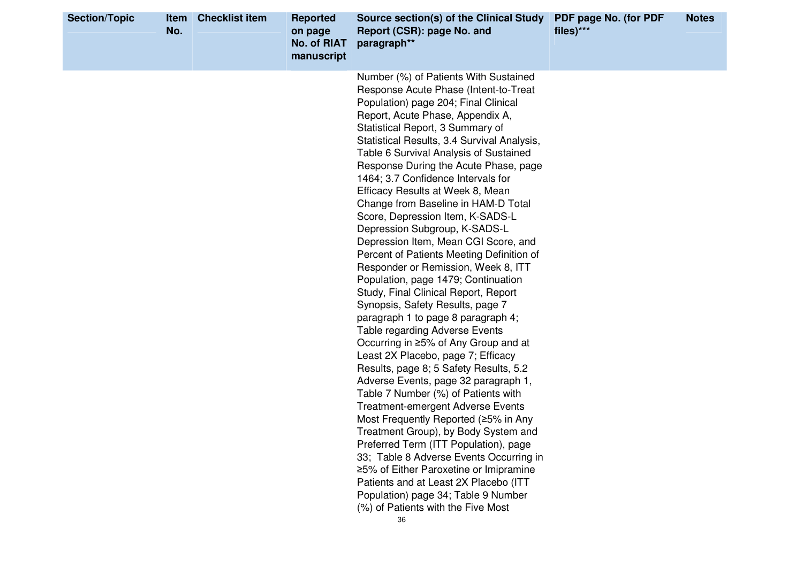| <b>Section/Topic</b> | Item<br>No. | <b>Checklist item</b> | <b>Reported</b><br>on page<br><b>No. of RIAT</b><br>manuscript | Source section(s) of the Clinical Study<br>Report (CSR): page No. and<br>paragraph**                                                                                                                                                                                                                                                                                                                                                                                                                                                                                                                                                                                                                                                                                                                                                                                                                                                                                                                                                                                                                                                                                                                                                                                                                                                                                                                                                              | PDF page No. (for PDF<br>files)*** | <b>Notes</b> |
|----------------------|-------------|-----------------------|----------------------------------------------------------------|---------------------------------------------------------------------------------------------------------------------------------------------------------------------------------------------------------------------------------------------------------------------------------------------------------------------------------------------------------------------------------------------------------------------------------------------------------------------------------------------------------------------------------------------------------------------------------------------------------------------------------------------------------------------------------------------------------------------------------------------------------------------------------------------------------------------------------------------------------------------------------------------------------------------------------------------------------------------------------------------------------------------------------------------------------------------------------------------------------------------------------------------------------------------------------------------------------------------------------------------------------------------------------------------------------------------------------------------------------------------------------------------------------------------------------------------------|------------------------------------|--------------|
|                      |             |                       |                                                                | Number (%) of Patients With Sustained<br>Response Acute Phase (Intent-to-Treat<br>Population) page 204; Final Clinical<br>Report, Acute Phase, Appendix A,<br>Statistical Report, 3 Summary of<br>Statistical Results, 3.4 Survival Analysis,<br>Table 6 Survival Analysis of Sustained<br>Response During the Acute Phase, page<br>1464; 3.7 Confidence Intervals for<br>Efficacy Results at Week 8, Mean<br>Change from Baseline in HAM-D Total<br>Score, Depression Item, K-SADS-L<br>Depression Subgroup, K-SADS-L<br>Depression Item, Mean CGI Score, and<br>Percent of Patients Meeting Definition of<br>Responder or Remission, Week 8, ITT<br>Population, page 1479; Continuation<br>Study, Final Clinical Report, Report<br>Synopsis, Safety Results, page 7<br>paragraph 1 to page 8 paragraph 4;<br><b>Table regarding Adverse Events</b><br>Occurring in ≥5% of Any Group and at<br>Least 2X Placebo, page 7; Efficacy<br>Results, page 8; 5 Safety Results, 5.2<br>Adverse Events, page 32 paragraph 1,<br>Table 7 Number (%) of Patients with<br><b>Treatment-emergent Adverse Events</b><br>Most Frequently Reported (≥5% in Any<br>Treatment Group), by Body System and<br>Preferred Term (ITT Population), page<br>33; Table 8 Adverse Events Occurring in<br>≥5% of Either Paroxetine or Imipramine<br>Patients and at Least 2X Placebo (ITT<br>Population) page 34; Table 9 Number<br>(%) of Patients with the Five Most<br>36 |                                    |              |
|                      |             |                       |                                                                |                                                                                                                                                                                                                                                                                                                                                                                                                                                                                                                                                                                                                                                                                                                                                                                                                                                                                                                                                                                                                                                                                                                                                                                                                                                                                                                                                                                                                                                   |                                    |              |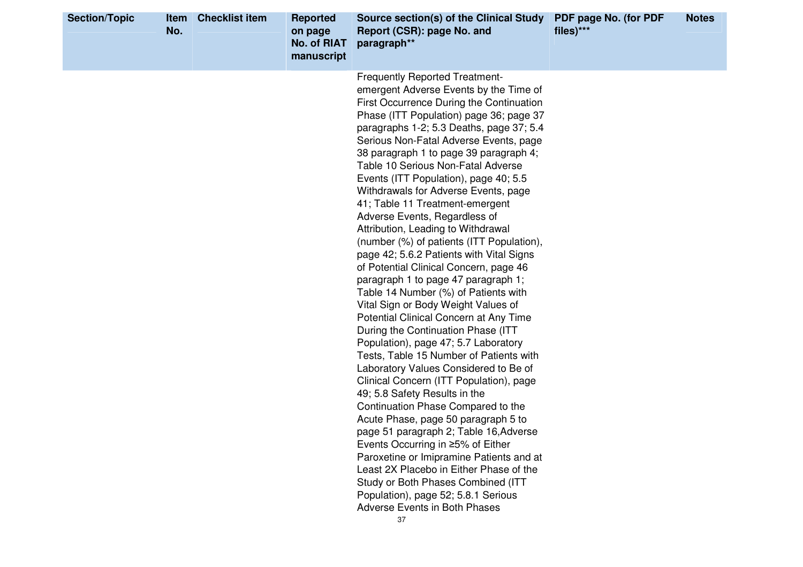| <b>Section/Topic</b> | <b>Item</b><br>No. | <b>Checklist item</b> | <b>Reported</b><br>on page<br><b>No. of RIAT</b><br>manuscript | Source section(s) of the Clinical Study<br>Report (CSR): page No. and<br>paragraph**                                                                                                                                                                                                                                                                                                                                                                                                                                                                                                                                                                                                                                                                                                                                                                                                                                                                                                                                                                                                                                                                                                                                                                                                                                                                                                                                                                            | PDF page No. (for PDF<br>files)*** | <b>Notes</b> |
|----------------------|--------------------|-----------------------|----------------------------------------------------------------|-----------------------------------------------------------------------------------------------------------------------------------------------------------------------------------------------------------------------------------------------------------------------------------------------------------------------------------------------------------------------------------------------------------------------------------------------------------------------------------------------------------------------------------------------------------------------------------------------------------------------------------------------------------------------------------------------------------------------------------------------------------------------------------------------------------------------------------------------------------------------------------------------------------------------------------------------------------------------------------------------------------------------------------------------------------------------------------------------------------------------------------------------------------------------------------------------------------------------------------------------------------------------------------------------------------------------------------------------------------------------------------------------------------------------------------------------------------------|------------------------------------|--------------|
|                      |                    |                       |                                                                | <b>Frequently Reported Treatment-</b><br>emergent Adverse Events by the Time of<br>First Occurrence During the Continuation<br>Phase (ITT Population) page 36; page 37<br>paragraphs 1-2; 5.3 Deaths, page 37; 5.4<br>Serious Non-Fatal Adverse Events, page<br>38 paragraph 1 to page 39 paragraph 4;<br>Table 10 Serious Non-Fatal Adverse<br>Events (ITT Population), page 40; 5.5<br>Withdrawals for Adverse Events, page<br>41; Table 11 Treatment-emergent<br>Adverse Events, Regardless of<br>Attribution, Leading to Withdrawal<br>(number (%) of patients (ITT Population),<br>page 42; 5.6.2 Patients with Vital Signs<br>of Potential Clinical Concern, page 46<br>paragraph 1 to page 47 paragraph 1;<br>Table 14 Number (%) of Patients with<br>Vital Sign or Body Weight Values of<br>Potential Clinical Concern at Any Time<br>During the Continuation Phase (ITT<br>Population), page 47; 5.7 Laboratory<br>Tests, Table 15 Number of Patients with<br>Laboratory Values Considered to Be of<br>Clinical Concern (ITT Population), page<br>49; 5.8 Safety Results in the<br>Continuation Phase Compared to the<br>Acute Phase, page 50 paragraph 5 to<br>page 51 paragraph 2; Table 16, Adverse<br>Events Occurring in ≥5% of Either<br>Paroxetine or Imipramine Patients and at<br>Least 2X Placebo in Either Phase of the<br>Study or Both Phases Combined (ITT<br>Population), page 52; 5.8.1 Serious<br>Adverse Events in Both Phases<br>37 |                                    |              |
|                      |                    |                       |                                                                |                                                                                                                                                                                                                                                                                                                                                                                                                                                                                                                                                                                                                                                                                                                                                                                                                                                                                                                                                                                                                                                                                                                                                                                                                                                                                                                                                                                                                                                                 |                                    |              |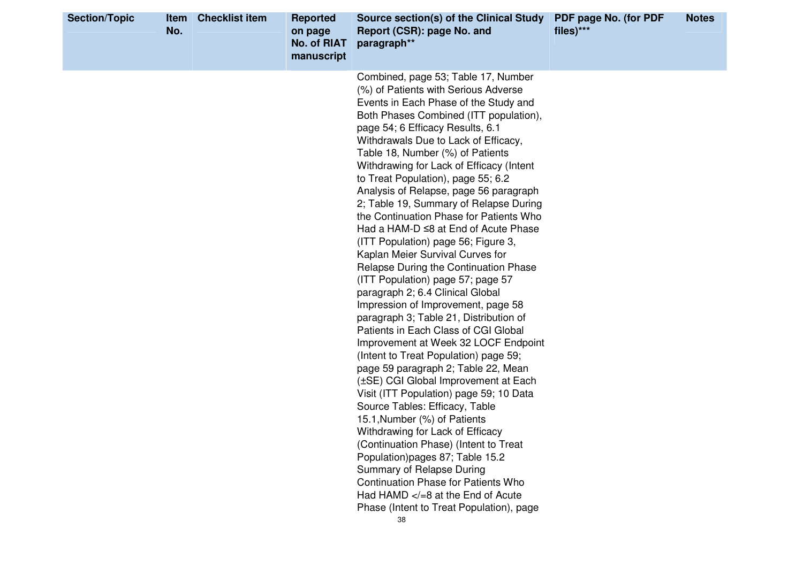| <b>Section/Topic</b> | Item<br>No. | <b>Checklist item</b> | <b>Reported</b><br>on page<br><b>No. of RIAT</b><br>manuscript | Source section(s) of the Clinical Study<br>Report (CSR): page No. and<br>paragraph**                                                                                                                                                                                                                                                                                                                                                                                                                                                                                                                                                                                                                                                                                                                                                                                                                                                                                                                                                                                                                                                                                                                                                                                                                                                                                                                                        | PDF page No. (for PDF<br>files)*** | <b>Notes</b> |
|----------------------|-------------|-----------------------|----------------------------------------------------------------|-----------------------------------------------------------------------------------------------------------------------------------------------------------------------------------------------------------------------------------------------------------------------------------------------------------------------------------------------------------------------------------------------------------------------------------------------------------------------------------------------------------------------------------------------------------------------------------------------------------------------------------------------------------------------------------------------------------------------------------------------------------------------------------------------------------------------------------------------------------------------------------------------------------------------------------------------------------------------------------------------------------------------------------------------------------------------------------------------------------------------------------------------------------------------------------------------------------------------------------------------------------------------------------------------------------------------------------------------------------------------------------------------------------------------------|------------------------------------|--------------|
|                      |             |                       |                                                                | Combined, page 53; Table 17, Number<br>(%) of Patients with Serious Adverse<br>Events in Each Phase of the Study and<br>Both Phases Combined (ITT population),<br>page 54; 6 Efficacy Results, 6.1<br>Withdrawals Due to Lack of Efficacy,<br>Table 18, Number (%) of Patients<br>Withdrawing for Lack of Efficacy (Intent<br>to Treat Population), page 55; 6.2<br>Analysis of Relapse, page 56 paragraph<br>2; Table 19, Summary of Relapse During<br>the Continuation Phase for Patients Who<br>Had a HAM-D ≤8 at End of Acute Phase<br>(ITT Population) page 56; Figure 3,<br>Kaplan Meier Survival Curves for<br>Relapse During the Continuation Phase<br>(ITT Population) page 57; page 57<br>paragraph 2; 6.4 Clinical Global<br>Impression of Improvement, page 58<br>paragraph 3; Table 21, Distribution of<br>Patients in Each Class of CGI Global<br>Improvement at Week 32 LOCF Endpoint<br>(Intent to Treat Population) page 59;<br>page 59 paragraph 2; Table 22, Mean<br>(±SE) CGI Global Improvement at Each<br>Visit (ITT Population) page 59; 10 Data<br>Source Tables: Efficacy, Table<br>15.1, Number (%) of Patients<br>Withdrawing for Lack of Efficacy<br>(Continuation Phase) (Intent to Treat<br>Population) pages 87; Table 15.2<br>Summary of Relapse During<br><b>Continuation Phase for Patients Who</b><br>Had HAMD $\lt$ /=8 at the End of Acute<br>Phase (Intent to Treat Population), page |                                    |              |
|                      |             |                       |                                                                | 38                                                                                                                                                                                                                                                                                                                                                                                                                                                                                                                                                                                                                                                                                                                                                                                                                                                                                                                                                                                                                                                                                                                                                                                                                                                                                                                                                                                                                          |                                    |              |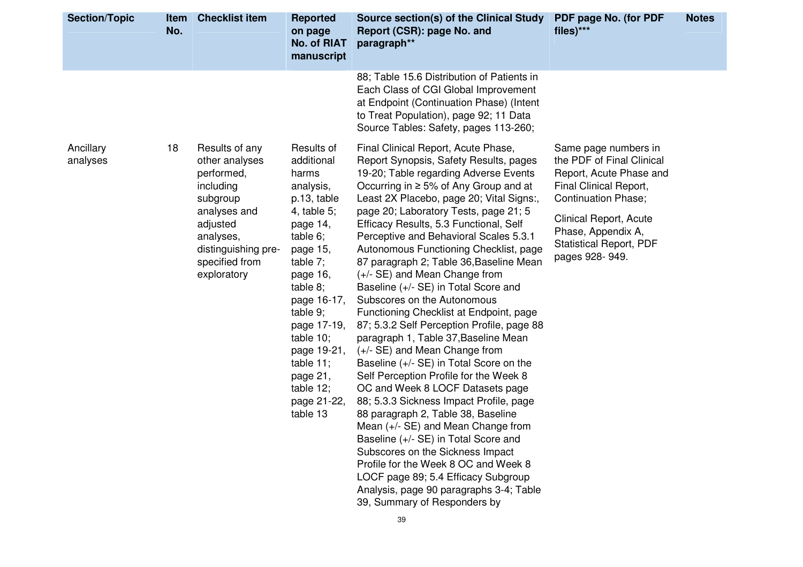| <b>Section/Topic</b>  | No. | Item Checklist item                                                                                                                                                      | <b>Reported</b><br>on page<br><b>No. of RIAT</b><br>manuscript                                                                                                                                                                                                                                 | Source section(s) of the Clinical Study<br>Report (CSR): page No. and<br>paragraph**                                                                                                                                                                                                                                                                                                                                                                                                                                                                                                                                                                                                                                                                                                                                                                                                                                                                                                                                                                                                                                                                                                          | PDF page No. (for PDF<br>files)***                                                                                                                                                                                                              | <b>Notes</b> |
|-----------------------|-----|--------------------------------------------------------------------------------------------------------------------------------------------------------------------------|------------------------------------------------------------------------------------------------------------------------------------------------------------------------------------------------------------------------------------------------------------------------------------------------|-----------------------------------------------------------------------------------------------------------------------------------------------------------------------------------------------------------------------------------------------------------------------------------------------------------------------------------------------------------------------------------------------------------------------------------------------------------------------------------------------------------------------------------------------------------------------------------------------------------------------------------------------------------------------------------------------------------------------------------------------------------------------------------------------------------------------------------------------------------------------------------------------------------------------------------------------------------------------------------------------------------------------------------------------------------------------------------------------------------------------------------------------------------------------------------------------|-------------------------------------------------------------------------------------------------------------------------------------------------------------------------------------------------------------------------------------------------|--------------|
|                       |     |                                                                                                                                                                          |                                                                                                                                                                                                                                                                                                | 88; Table 15.6 Distribution of Patients in<br>Each Class of CGI Global Improvement<br>at Endpoint (Continuation Phase) (Intent<br>to Treat Population), page 92; 11 Data<br>Source Tables: Safety, pages 113-260;                                                                                                                                                                                                                                                                                                                                                                                                                                                                                                                                                                                                                                                                                                                                                                                                                                                                                                                                                                             |                                                                                                                                                                                                                                                 |              |
| Ancillary<br>analyses | 18  | Results of any<br>other analyses<br>performed,<br>including<br>subgroup<br>analyses and<br>adjusted<br>analyses,<br>distinguishing pre-<br>specified from<br>exploratory | Results of<br>additional<br>harms<br>analysis,<br>p.13, table<br>4, table $5$ ;<br>page 14,<br>table 6;<br>page 15,<br>table 7;<br>page 16,<br>table 8;<br>page 16-17,<br>table 9;<br>page 17-19,<br>table 10;<br>page 19-21,<br>table 11;<br>page 21,<br>table 12;<br>page 21-22,<br>table 13 | Final Clinical Report, Acute Phase,<br>Report Synopsis, Safety Results, pages<br>19-20; Table regarding Adverse Events<br>Occurring in ≥ 5% of Any Group and at<br>Least 2X Placebo, page 20; Vital Signs:,<br>page 20; Laboratory Tests, page 21; 5<br>Efficacy Results, 5.3 Functional, Self<br>Perceptive and Behavioral Scales 5.3.1<br>Autonomous Functioning Checklist, page<br>87 paragraph 2; Table 36, Baseline Mean<br>(+/- SE) and Mean Change from<br>Baseline (+/- SE) in Total Score and<br>Subscores on the Autonomous<br>Functioning Checklist at Endpoint, page<br>87; 5.3.2 Self Perception Profile, page 88<br>paragraph 1, Table 37, Baseline Mean<br>(+/- SE) and Mean Change from<br>Baseline (+/- SE) in Total Score on the<br>Self Perception Profile for the Week 8<br>OC and Week 8 LOCF Datasets page<br>88; 5.3.3 Sickness Impact Profile, page<br>88 paragraph 2, Table 38, Baseline<br>Mean (+/- SE) and Mean Change from<br>Baseline (+/- SE) in Total Score and<br>Subscores on the Sickness Impact<br>Profile for the Week 8 OC and Week 8<br>LOCF page 89; 5.4 Efficacy Subgroup<br>Analysis, page 90 paragraphs 3-4; Table<br>39, Summary of Responders by | Same page numbers in<br>the PDF of Final Clinical<br>Report, Acute Phase and<br>Final Clinical Report,<br><b>Continuation Phase;</b><br><b>Clinical Report, Acute</b><br>Phase, Appendix A,<br><b>Statistical Report, PDF</b><br>pages 928-949. |              |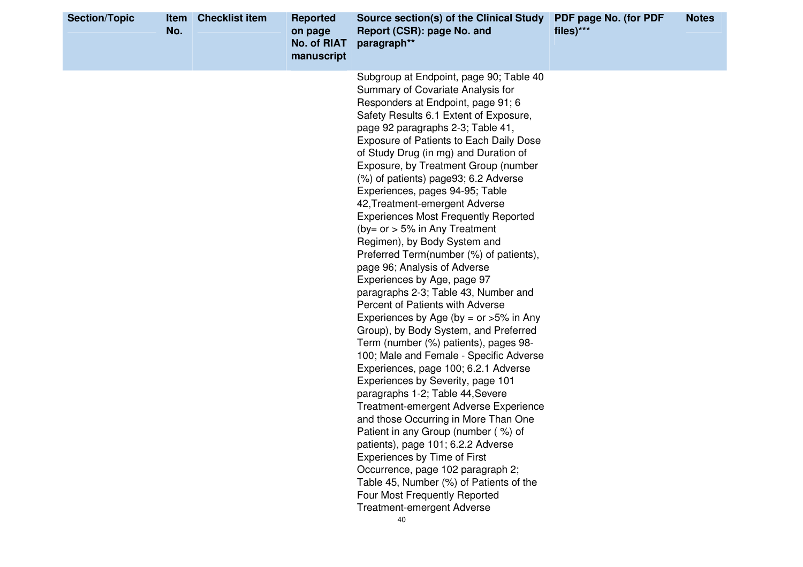| <b>Section/Topic</b> | <b>Item</b><br>No. | <b>Checklist item</b> | <b>Reported</b><br>on page<br><b>No. of RIAT</b><br>manuscript | Source section(s) of the Clinical Study<br>Report (CSR): page No. and<br>paragraph**                                                                                                                                                                                                                                                                                                                                                                                                                                                                                                                                                                                                                                                                                                                                                                                                                                                                                                                                                                                                                                                                                                                                                                                                                                                                                                                            | PDF page No. (for PDF<br>files)*** | <b>Notes</b> |
|----------------------|--------------------|-----------------------|----------------------------------------------------------------|-----------------------------------------------------------------------------------------------------------------------------------------------------------------------------------------------------------------------------------------------------------------------------------------------------------------------------------------------------------------------------------------------------------------------------------------------------------------------------------------------------------------------------------------------------------------------------------------------------------------------------------------------------------------------------------------------------------------------------------------------------------------------------------------------------------------------------------------------------------------------------------------------------------------------------------------------------------------------------------------------------------------------------------------------------------------------------------------------------------------------------------------------------------------------------------------------------------------------------------------------------------------------------------------------------------------------------------------------------------------------------------------------------------------|------------------------------------|--------------|
|                      |                    |                       |                                                                | Subgroup at Endpoint, page 90; Table 40<br>Summary of Covariate Analysis for<br>Responders at Endpoint, page 91; 6<br>Safety Results 6.1 Extent of Exposure,<br>page 92 paragraphs 2-3; Table 41,<br>Exposure of Patients to Each Daily Dose<br>of Study Drug (in mg) and Duration of<br>Exposure, by Treatment Group (number<br>(%) of patients) page93; 6.2 Adverse<br>Experiences, pages 94-95; Table<br>42, Treatment-emergent Adverse<br><b>Experiences Most Frequently Reported</b><br>(by= or $> 5\%$ in Any Treatment<br>Regimen), by Body System and<br>Preferred Term(number (%) of patients),<br>page 96; Analysis of Adverse<br>Experiences by Age, page 97<br>paragraphs 2-3; Table 43, Number and<br>Percent of Patients with Adverse<br>Experiences by Age (by = or $>5\%$ in Any<br>Group), by Body System, and Preferred<br>Term (number (%) patients), pages 98-<br>100; Male and Female - Specific Adverse<br>Experiences, page 100; 6.2.1 Adverse<br>Experiences by Severity, page 101<br>paragraphs 1-2; Table 44, Severe<br><b>Treatment-emergent Adverse Experience</b><br>and those Occurring in More Than One<br>Patient in any Group (number (%) of<br>patients), page 101; 6.2.2 Adverse<br><b>Experiences by Time of First</b><br>Occurrence, page 102 paragraph 2;<br>Table 45, Number (%) of Patients of the<br>Four Most Frequently Reported<br>Treatment-emergent Adverse<br>40 |                                    |              |
|                      |                    |                       |                                                                |                                                                                                                                                                                                                                                                                                                                                                                                                                                                                                                                                                                                                                                                                                                                                                                                                                                                                                                                                                                                                                                                                                                                                                                                                                                                                                                                                                                                                 |                                    |              |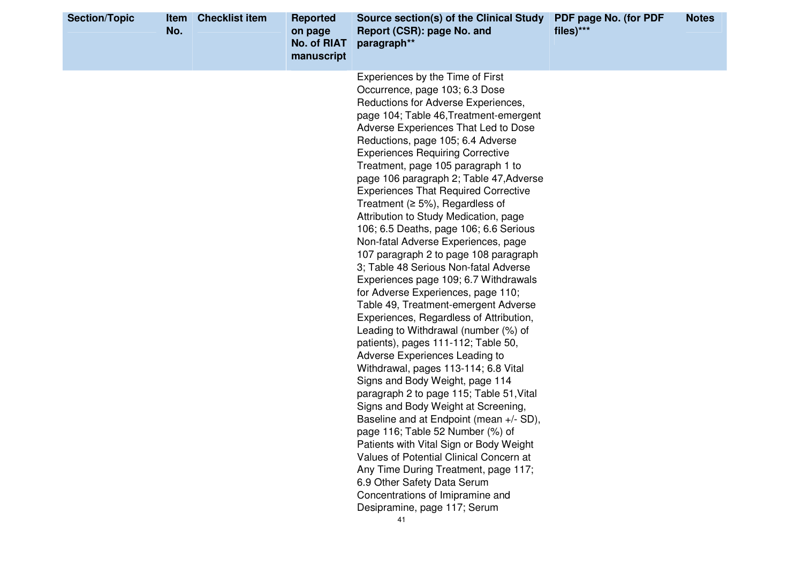| Experiences by the Time of First<br>Occurrence, page 103; 6.3 Dose<br>Reductions for Adverse Experiences,<br>page 104; Table 46, Treatment-emergent<br>Adverse Experiences That Led to Dose<br>Reductions, page 105; 6.4 Adverse<br><b>Experiences Requiring Corrective</b><br>Treatment, page 105 paragraph 1 to<br>page 106 paragraph 2; Table 47, Adverse<br><b>Experiences That Required Corrective</b><br>Treatment ( $\geq$ 5%), Regardless of<br>Attribution to Study Medication, page<br>106; 6.5 Deaths, page 106; 6.6 Serious<br>Non-fatal Adverse Experiences, page<br>107 paragraph 2 to page 108 paragraph<br>3; Table 48 Serious Non-fatal Adverse<br>Experiences page 109; 6.7 Withdrawals<br>for Adverse Experiences, page 110;<br>Table 49, Treatment-emergent Adverse<br>Experiences, Regardless of Attribution,<br>Leading to Withdrawal (number (%) of<br>patients), pages 111-112; Table 50,<br>Adverse Experiences Leading to<br>Withdrawal, pages 113-114; 6.8 Vital<br>Signs and Body Weight, page 114<br>paragraph 2 to page 115; Table 51, Vital<br>Signs and Body Weight at Screening,<br>Baseline and at Endpoint (mean +/- SD),<br>page 116; Table 52 Number (%) of<br>Patients with Vital Sign or Body Weight<br>Values of Potential Clinical Concern at<br>Any Time During Treatment, page 117;<br>6.9 Other Safety Data Serum<br>Concentrations of Imipramine and | <b>Section/Topic</b> | Item<br>No. | <b>Checklist item</b> | <b>Reported</b><br>on page<br><b>No. of RIAT</b><br>manuscript | Source section(s) of the Clinical Study<br>Report (CSR): page No. and<br>paragraph** | PDF page No. (for PDF<br>files)*** | <b>Notes</b> |
|---------------------------------------------------------------------------------------------------------------------------------------------------------------------------------------------------------------------------------------------------------------------------------------------------------------------------------------------------------------------------------------------------------------------------------------------------------------------------------------------------------------------------------------------------------------------------------------------------------------------------------------------------------------------------------------------------------------------------------------------------------------------------------------------------------------------------------------------------------------------------------------------------------------------------------------------------------------------------------------------------------------------------------------------------------------------------------------------------------------------------------------------------------------------------------------------------------------------------------------------------------------------------------------------------------------------------------------------------------------------------------------------------|----------------------|-------------|-----------------------|----------------------------------------------------------------|--------------------------------------------------------------------------------------|------------------------------------|--------------|
| 41                                                                                                                                                                                                                                                                                                                                                                                                                                                                                                                                                                                                                                                                                                                                                                                                                                                                                                                                                                                                                                                                                                                                                                                                                                                                                                                                                                                                |                      |             |                       |                                                                | Desipramine, page 117; Serum                                                         |                                    |              |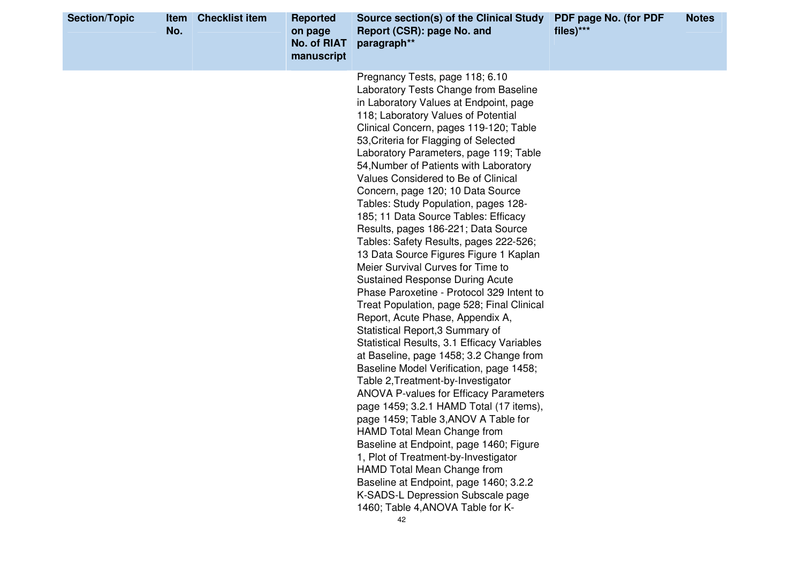| <b>Section/Topic</b> | Item<br>No. | <b>Checklist item</b> | <b>Reported</b><br>on page<br><b>No. of RIAT</b><br>manuscript | Source section(s) of the Clinical Study<br>Report (CSR): page No. and<br>paragraph**                                                                                                                                                                                                                                                                                                                                                                                                                                                                                                                                                                                                                                                                                                                                                                                                                                                                                                                                                                                                                                                                                                                                                                                                                                                                                                                                                                          | PDF page No. (for PDF<br>files)*** | <b>Notes</b> |
|----------------------|-------------|-----------------------|----------------------------------------------------------------|---------------------------------------------------------------------------------------------------------------------------------------------------------------------------------------------------------------------------------------------------------------------------------------------------------------------------------------------------------------------------------------------------------------------------------------------------------------------------------------------------------------------------------------------------------------------------------------------------------------------------------------------------------------------------------------------------------------------------------------------------------------------------------------------------------------------------------------------------------------------------------------------------------------------------------------------------------------------------------------------------------------------------------------------------------------------------------------------------------------------------------------------------------------------------------------------------------------------------------------------------------------------------------------------------------------------------------------------------------------------------------------------------------------------------------------------------------------|------------------------------------|--------------|
|                      |             |                       |                                                                | Pregnancy Tests, page 118; 6.10<br>Laboratory Tests Change from Baseline<br>in Laboratory Values at Endpoint, page<br>118; Laboratory Values of Potential<br>Clinical Concern, pages 119-120; Table<br>53, Criteria for Flagging of Selected<br>Laboratory Parameters, page 119; Table<br>54, Number of Patients with Laboratory<br>Values Considered to Be of Clinical<br>Concern, page 120; 10 Data Source<br>Tables: Study Population, pages 128-<br>185; 11 Data Source Tables: Efficacy<br>Results, pages 186-221; Data Source<br>Tables: Safety Results, pages 222-526;<br>13 Data Source Figures Figure 1 Kaplan<br>Meier Survival Curves for Time to<br><b>Sustained Response During Acute</b><br>Phase Paroxetine - Protocol 329 Intent to<br>Treat Population, page 528; Final Clinical<br>Report, Acute Phase, Appendix A,<br>Statistical Report, 3 Summary of<br>Statistical Results, 3.1 Efficacy Variables<br>at Baseline, page 1458; 3.2 Change from<br>Baseline Model Verification, page 1458;<br>Table 2, Treatment-by-Investigator<br><b>ANOVA P-values for Efficacy Parameters</b><br>page 1459; 3.2.1 HAMD Total (17 items),<br>page 1459; Table 3, ANOV A Table for<br>HAMD Total Mean Change from<br>Baseline at Endpoint, page 1460; Figure<br>1, Plot of Treatment-by-Investigator<br>HAMD Total Mean Change from<br>Baseline at Endpoint, page 1460; 3.2.2<br>K-SADS-L Depression Subscale page<br>1460; Table 4, ANOVA Table for K- |                                    |              |
|                      |             |                       |                                                                | 42                                                                                                                                                                                                                                                                                                                                                                                                                                                                                                                                                                                                                                                                                                                                                                                                                                                                                                                                                                                                                                                                                                                                                                                                                                                                                                                                                                                                                                                            |                                    |              |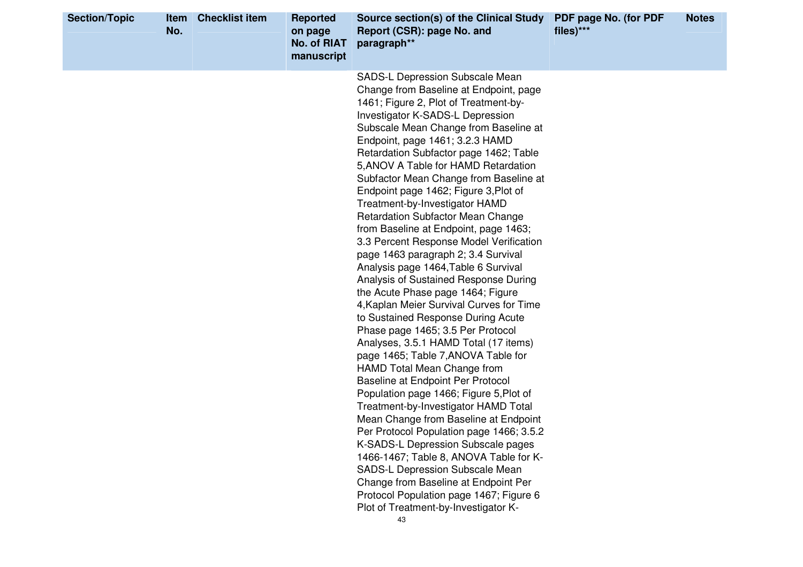| <b>Section/Topic</b> | <b>Item</b><br>No. | <b>Checklist item</b> | <b>Reported</b><br>on page<br><b>No. of RIAT</b><br>manuscript | Source section(s) of the Clinical Study<br>Report (CSR): page No. and<br>paragraph**                                                                                                                                                                                                                                                                                                                                                                                                                                                                                                                                                                                                                                                                                                                                                                                                                                                                                                                                                                                                                                                                                                                                                                                                                                                                                                                                                    | PDF page No. (for PDF<br>files)*** | <b>Notes</b> |
|----------------------|--------------------|-----------------------|----------------------------------------------------------------|-----------------------------------------------------------------------------------------------------------------------------------------------------------------------------------------------------------------------------------------------------------------------------------------------------------------------------------------------------------------------------------------------------------------------------------------------------------------------------------------------------------------------------------------------------------------------------------------------------------------------------------------------------------------------------------------------------------------------------------------------------------------------------------------------------------------------------------------------------------------------------------------------------------------------------------------------------------------------------------------------------------------------------------------------------------------------------------------------------------------------------------------------------------------------------------------------------------------------------------------------------------------------------------------------------------------------------------------------------------------------------------------------------------------------------------------|------------------------------------|--------------|
|                      |                    |                       |                                                                | SADS-L Depression Subscale Mean<br>Change from Baseline at Endpoint, page<br>1461; Figure 2, Plot of Treatment-by-<br>Investigator K-SADS-L Depression<br>Subscale Mean Change from Baseline at<br>Endpoint, page 1461; 3.2.3 HAMD<br>Retardation Subfactor page 1462; Table<br>5, ANOV A Table for HAMD Retardation<br>Subfactor Mean Change from Baseline at<br>Endpoint page 1462; Figure 3, Plot of<br>Treatment-by-Investigator HAMD<br><b>Retardation Subfactor Mean Change</b><br>from Baseline at Endpoint, page 1463;<br>3.3 Percent Response Model Verification<br>page 1463 paragraph 2; 3.4 Survival<br>Analysis page 1464, Table 6 Survival<br>Analysis of Sustained Response During<br>the Acute Phase page 1464; Figure<br>4, Kaplan Meier Survival Curves for Time<br>to Sustained Response During Acute<br>Phase page 1465; 3.5 Per Protocol<br>Analyses, 3.5.1 HAMD Total (17 items)<br>page 1465; Table 7, ANOVA Table for<br>HAMD Total Mean Change from<br>Baseline at Endpoint Per Protocol<br>Population page 1466; Figure 5, Plot of<br>Treatment-by-Investigator HAMD Total<br>Mean Change from Baseline at Endpoint<br>Per Protocol Population page 1466; 3.5.2<br>K-SADS-L Depression Subscale pages<br>1466-1467; Table 8, ANOVA Table for K-<br>SADS-L Depression Subscale Mean<br>Change from Baseline at Endpoint Per<br>Protocol Population page 1467; Figure 6<br>Plot of Treatment-by-Investigator K- |                                    |              |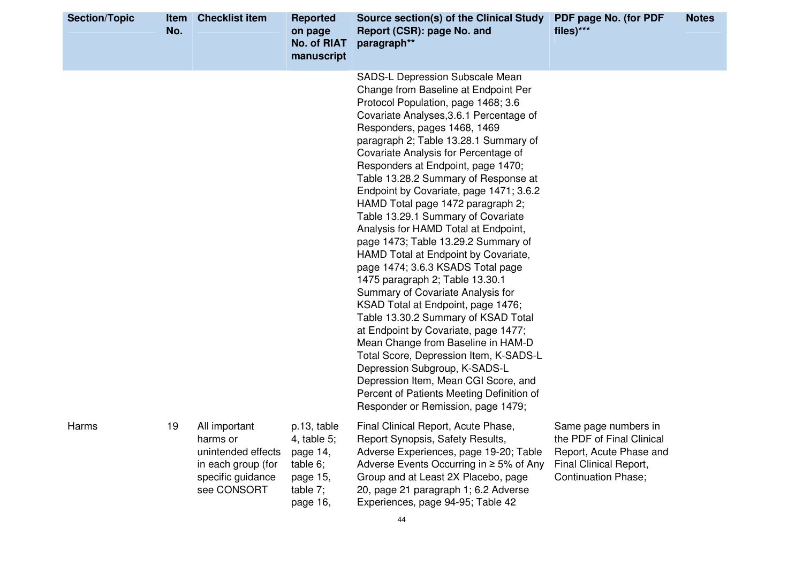| <b>Section/Topic</b> | Item<br>No. | <b>Checklist item</b>                                                                                     | <b>Reported</b><br>on page<br><b>No. of RIAT</b><br>manuscript                         | Source section(s) of the Clinical Study<br>Report (CSR): page No. and<br>paragraph**                                                                                                                                                                                                                                                                                                                                                                                                                                                                                                                                                                                                                                                                                                                                                                                                                                                                                                                                                                                                | PDF page No. (for PDF<br>files)***                                                                                                   | <b>Notes</b> |
|----------------------|-------------|-----------------------------------------------------------------------------------------------------------|----------------------------------------------------------------------------------------|-------------------------------------------------------------------------------------------------------------------------------------------------------------------------------------------------------------------------------------------------------------------------------------------------------------------------------------------------------------------------------------------------------------------------------------------------------------------------------------------------------------------------------------------------------------------------------------------------------------------------------------------------------------------------------------------------------------------------------------------------------------------------------------------------------------------------------------------------------------------------------------------------------------------------------------------------------------------------------------------------------------------------------------------------------------------------------------|--------------------------------------------------------------------------------------------------------------------------------------|--------------|
|                      |             |                                                                                                           |                                                                                        | SADS-L Depression Subscale Mean<br>Change from Baseline at Endpoint Per<br>Protocol Population, page 1468; 3.6<br>Covariate Analyses, 3.6.1 Percentage of<br>Responders, pages 1468, 1469<br>paragraph 2; Table 13.28.1 Summary of<br>Covariate Analysis for Percentage of<br>Responders at Endpoint, page 1470;<br>Table 13.28.2 Summary of Response at<br>Endpoint by Covariate, page 1471; 3.6.2<br>HAMD Total page 1472 paragraph 2;<br>Table 13.29.1 Summary of Covariate<br>Analysis for HAMD Total at Endpoint,<br>page 1473; Table 13.29.2 Summary of<br>HAMD Total at Endpoint by Covariate,<br>page 1474; 3.6.3 KSADS Total page<br>1475 paragraph 2; Table 13.30.1<br>Summary of Covariate Analysis for<br>KSAD Total at Endpoint, page 1476;<br>Table 13.30.2 Summary of KSAD Total<br>at Endpoint by Covariate, page 1477;<br>Mean Change from Baseline in HAM-D<br>Total Score, Depression Item, K-SADS-L<br>Depression Subgroup, K-SADS-L<br>Depression Item, Mean CGI Score, and<br>Percent of Patients Meeting Definition of<br>Responder or Remission, page 1479; |                                                                                                                                      |              |
| Harms                | 19          | All important<br>harms or<br>unintended effects<br>in each group (for<br>specific guidance<br>see CONSORT | p.13, table<br>4, table 5;<br>page 14,<br>table 6;<br>page 15,<br>table 7;<br>page 16, | Final Clinical Report, Acute Phase,<br>Report Synopsis, Safety Results,<br>Adverse Experiences, page 19-20; Table<br>Adverse Events Occurring in $\geq$ 5% of Any<br>Group and at Least 2X Placebo, page<br>20, page 21 paragraph 1; 6.2 Adverse<br>Experiences, page 94-95; Table 42                                                                                                                                                                                                                                                                                                                                                                                                                                                                                                                                                                                                                                                                                                                                                                                               | Same page numbers in<br>the PDF of Final Clinical<br>Report, Acute Phase and<br>Final Clinical Report,<br><b>Continuation Phase;</b> |              |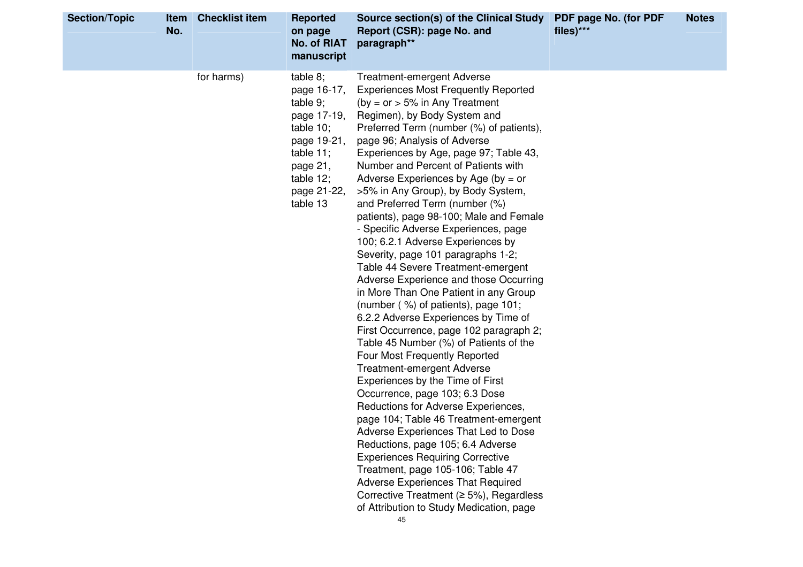| <b>Section/Topic</b> | No. | <b>Item</b> Checklist item | <b>Reported</b><br>on page<br>No. of RIAT<br>manuscript                                                                                                  | Source section(s) of the Clinical Study<br>Report (CSR): page No. and<br>paragraph**                                                                                                                                                                                                                                                                                                                                                                                                                                                                                                                                                                                                                                                                                                                                                                                                                                                                                                                                                                                                                                                                                                                                                                                                                                                                                                                                                  | PDF page No. (for PDF<br>files)*** | <b>Notes</b> |
|----------------------|-----|----------------------------|----------------------------------------------------------------------------------------------------------------------------------------------------------|---------------------------------------------------------------------------------------------------------------------------------------------------------------------------------------------------------------------------------------------------------------------------------------------------------------------------------------------------------------------------------------------------------------------------------------------------------------------------------------------------------------------------------------------------------------------------------------------------------------------------------------------------------------------------------------------------------------------------------------------------------------------------------------------------------------------------------------------------------------------------------------------------------------------------------------------------------------------------------------------------------------------------------------------------------------------------------------------------------------------------------------------------------------------------------------------------------------------------------------------------------------------------------------------------------------------------------------------------------------------------------------------------------------------------------------|------------------------------------|--------------|
|                      |     | for harms)                 | table 8;<br>page 16-17,<br>table $9$ ;<br>page 17-19,<br>table $10$ ;<br>page 19-21,<br>table $11$ ;<br>page 21,<br>table 12;<br>page 21-22,<br>table 13 | <b>Treatment-emergent Adverse</b><br><b>Experiences Most Frequently Reported</b><br>(by = $or$ > 5% in Any Treatment<br>Regimen), by Body System and<br>Preferred Term (number (%) of patients),<br>page 96; Analysis of Adverse<br>Experiences by Age, page 97; Table 43,<br>Number and Percent of Patients with<br>Adverse Experiences by Age (by = $or$<br>>5% in Any Group), by Body System,<br>and Preferred Term (number (%)<br>patients), page 98-100; Male and Female<br>- Specific Adverse Experiences, page<br>100; 6.2.1 Adverse Experiences by<br>Severity, page 101 paragraphs 1-2;<br>Table 44 Severe Treatment-emergent<br>Adverse Experience and those Occurring<br>in More Than One Patient in any Group<br>(number (%) of patients), page 101;<br>6.2.2 Adverse Experiences by Time of<br>First Occurrence, page 102 paragraph 2;<br>Table 45 Number (%) of Patients of the<br>Four Most Frequently Reported<br><b>Treatment-emergent Adverse</b><br>Experiences by the Time of First<br>Occurrence, page 103; 6.3 Dose<br>Reductions for Adverse Experiences,<br>page 104; Table 46 Treatment-emergent<br>Adverse Experiences That Led to Dose<br>Reductions, page 105; 6.4 Adverse<br><b>Experiences Requiring Corrective</b><br>Treatment, page 105-106; Table 47<br><b>Adverse Experiences That Required</b><br>Corrective Treatment ( $\geq$ 5%), Regardless<br>of Attribution to Study Medication, page<br>45 |                                    |              |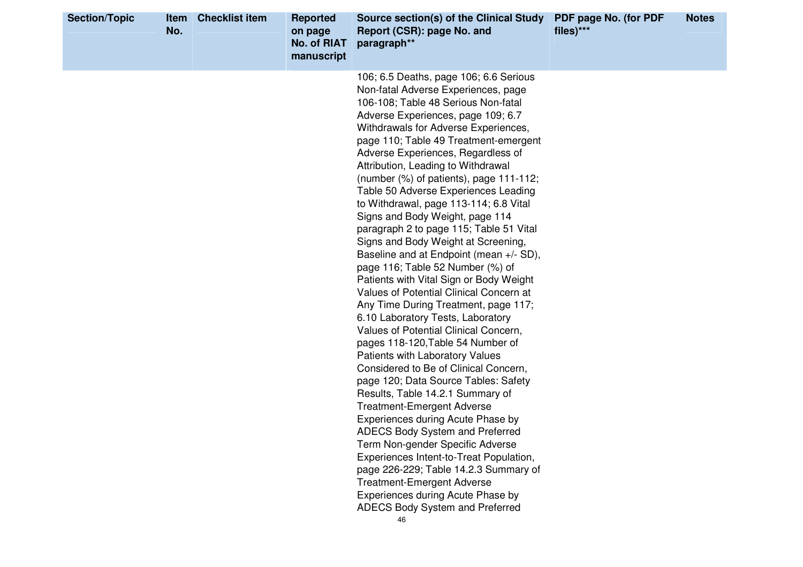| <b>Section/Topic</b> | Item<br>No. | <b>Checklist item</b> | <b>Reported</b><br>on page<br>No. of RIAT<br>manuscript | Source section(s) of the Clinical Study<br>Report (CSR): page No. and<br>paragraph**                                                                                                                                                                                                                                                                                                                                                                                                                                                                                                                                                                                                                                                                                                                                                                                                                                                                                                                                                                                                                                                                                                                                                                                                                                                                                                                                          | PDF page No. (for PDF<br>files)*** | <b>Notes</b> |
|----------------------|-------------|-----------------------|---------------------------------------------------------|-------------------------------------------------------------------------------------------------------------------------------------------------------------------------------------------------------------------------------------------------------------------------------------------------------------------------------------------------------------------------------------------------------------------------------------------------------------------------------------------------------------------------------------------------------------------------------------------------------------------------------------------------------------------------------------------------------------------------------------------------------------------------------------------------------------------------------------------------------------------------------------------------------------------------------------------------------------------------------------------------------------------------------------------------------------------------------------------------------------------------------------------------------------------------------------------------------------------------------------------------------------------------------------------------------------------------------------------------------------------------------------------------------------------------------|------------------------------------|--------------|
|                      |             |                       |                                                         | 106; 6.5 Deaths, page 106; 6.6 Serious<br>Non-fatal Adverse Experiences, page<br>106-108; Table 48 Serious Non-fatal<br>Adverse Experiences, page 109; 6.7<br>Withdrawals for Adverse Experiences,<br>page 110; Table 49 Treatment-emergent<br>Adverse Experiences, Regardless of<br>Attribution, Leading to Withdrawal<br>(number $(\%)$ of patients), page 111-112;<br>Table 50 Adverse Experiences Leading<br>to Withdrawal, page 113-114; 6.8 Vital<br>Signs and Body Weight, page 114<br>paragraph 2 to page 115; Table 51 Vital<br>Signs and Body Weight at Screening,<br>Baseline and at Endpoint (mean +/- SD),<br>page 116; Table 52 Number (%) of<br>Patients with Vital Sign or Body Weight<br>Values of Potential Clinical Concern at<br>Any Time During Treatment, page 117;<br>6.10 Laboratory Tests, Laboratory<br>Values of Potential Clinical Concern,<br>pages 118-120, Table 54 Number of<br>Patients with Laboratory Values<br>Considered to Be of Clinical Concern,<br>page 120; Data Source Tables: Safety<br>Results, Table 14.2.1 Summary of<br><b>Treatment-Emergent Adverse</b><br>Experiences during Acute Phase by<br><b>ADECS Body System and Preferred</b><br>Term Non-gender Specific Adverse<br>Experiences Intent-to-Treat Population,<br>page 226-229; Table 14.2.3 Summary of<br><b>Treatment-Emergent Adverse</b><br>Experiences during Acute Phase by<br>ADECS Body System and Preferred |                                    |              |
|                      |             |                       |                                                         | 46                                                                                                                                                                                                                                                                                                                                                                                                                                                                                                                                                                                                                                                                                                                                                                                                                                                                                                                                                                                                                                                                                                                                                                                                                                                                                                                                                                                                                            |                                    |              |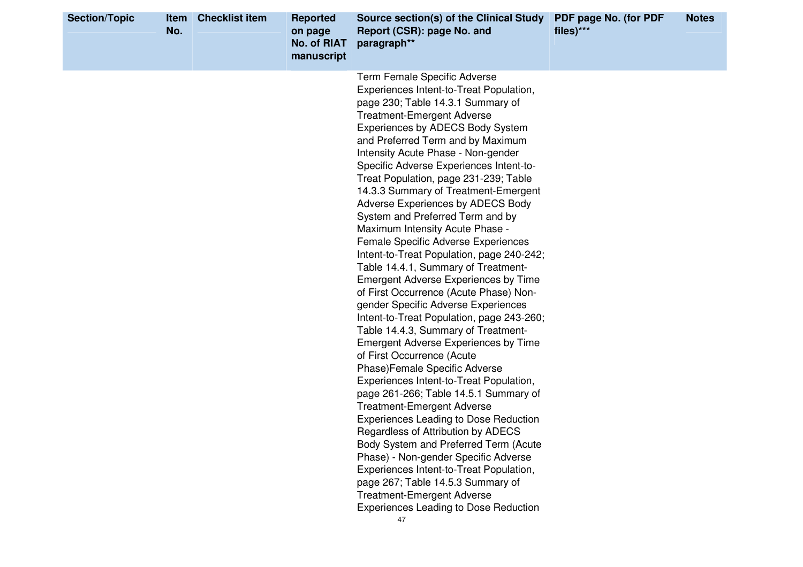| <b>Section/Topic</b> | Item<br>No. | <b>Checklist item</b> | <b>Reported</b><br>on page<br><b>No. of RIAT</b><br>manuscript | Source section(s) of the Clinical Study<br>Report (CSR): page No. and<br>paragraph**                                                                                                                                                                                                                                                                                                                                                                                                                                                                                                                                                                                                                                                                                                                                                                                                                                                                                                                                                                                                                                                                                                                                                                                                                                                                                                                                                                      | PDF page No. (for PDF<br>files)*** | <b>Notes</b> |
|----------------------|-------------|-----------------------|----------------------------------------------------------------|-----------------------------------------------------------------------------------------------------------------------------------------------------------------------------------------------------------------------------------------------------------------------------------------------------------------------------------------------------------------------------------------------------------------------------------------------------------------------------------------------------------------------------------------------------------------------------------------------------------------------------------------------------------------------------------------------------------------------------------------------------------------------------------------------------------------------------------------------------------------------------------------------------------------------------------------------------------------------------------------------------------------------------------------------------------------------------------------------------------------------------------------------------------------------------------------------------------------------------------------------------------------------------------------------------------------------------------------------------------------------------------------------------------------------------------------------------------|------------------------------------|--------------|
|                      |             |                       |                                                                | <b>Term Female Specific Adverse</b><br>Experiences Intent-to-Treat Population,<br>page 230; Table 14.3.1 Summary of<br><b>Treatment-Emergent Adverse</b><br>Experiences by ADECS Body System<br>and Preferred Term and by Maximum<br>Intensity Acute Phase - Non-gender<br>Specific Adverse Experiences Intent-to-<br>Treat Population, page 231-239; Table<br>14.3.3 Summary of Treatment-Emergent<br>Adverse Experiences by ADECS Body<br>System and Preferred Term and by<br>Maximum Intensity Acute Phase -<br><b>Female Specific Adverse Experiences</b><br>Intent-to-Treat Population, page 240-242;<br>Table 14.4.1, Summary of Treatment-<br><b>Emergent Adverse Experiences by Time</b><br>of First Occurrence (Acute Phase) Non-<br>gender Specific Adverse Experiences<br>Intent-to-Treat Population, page 243-260;<br>Table 14.4.3, Summary of Treatment-<br><b>Emergent Adverse Experiences by Time</b><br>of First Occurrence (Acute<br>Phase) Female Specific Adverse<br>Experiences Intent-to-Treat Population,<br>page 261-266; Table 14.5.1 Summary of<br><b>Treatment-Emergent Adverse</b><br><b>Experiences Leading to Dose Reduction</b><br>Regardless of Attribution by ADECS<br>Body System and Preferred Term (Acute<br>Phase) - Non-gender Specific Adverse<br>Experiences Intent-to-Treat Population,<br>page 267; Table 14.5.3 Summary of<br><b>Treatment-Emergent Adverse</b><br><b>Experiences Leading to Dose Reduction</b> |                                    |              |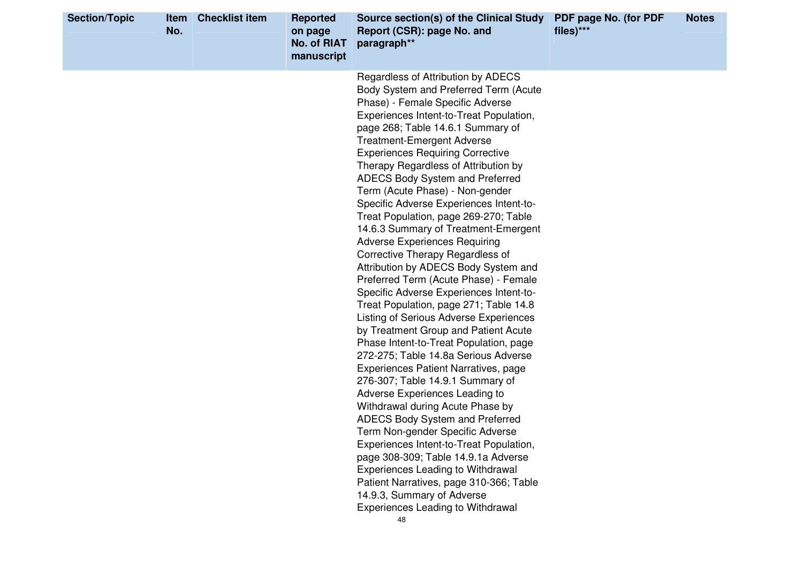| <b>Section/Topic</b> | Item<br>No. | <b>Checklist item</b> | <b>Reported</b><br>on page<br><b>No. of RIAT</b><br>manuscript | Source section(s) of the Clinical Study<br>Report (CSR): page No. and<br>paragraph**                                                                                                                                                                                                                                                                                                                                                                                                                                                                                                                                                                                                                                                                                                                                                                                                                                                                                                                                                                                                                                                                                                                                                                                                                                                                                                                                        | PDF page No. (for PDF<br>files)*** | <b>Notes</b> |
|----------------------|-------------|-----------------------|----------------------------------------------------------------|-----------------------------------------------------------------------------------------------------------------------------------------------------------------------------------------------------------------------------------------------------------------------------------------------------------------------------------------------------------------------------------------------------------------------------------------------------------------------------------------------------------------------------------------------------------------------------------------------------------------------------------------------------------------------------------------------------------------------------------------------------------------------------------------------------------------------------------------------------------------------------------------------------------------------------------------------------------------------------------------------------------------------------------------------------------------------------------------------------------------------------------------------------------------------------------------------------------------------------------------------------------------------------------------------------------------------------------------------------------------------------------------------------------------------------|------------------------------------|--------------|
|                      |             |                       |                                                                | Regardless of Attribution by ADECS<br>Body System and Preferred Term (Acute<br>Phase) - Female Specific Adverse<br>Experiences Intent-to-Treat Population,<br>page 268; Table 14.6.1 Summary of<br><b>Treatment-Emergent Adverse</b><br><b>Experiences Requiring Corrective</b><br>Therapy Regardless of Attribution by<br>ADECS Body System and Preferred<br>Term (Acute Phase) - Non-gender<br>Specific Adverse Experiences Intent-to-<br>Treat Population, page 269-270; Table<br>14.6.3 Summary of Treatment-Emergent<br><b>Adverse Experiences Requiring</b><br>Corrective Therapy Regardless of<br>Attribution by ADECS Body System and<br>Preferred Term (Acute Phase) - Female<br>Specific Adverse Experiences Intent-to-<br>Treat Population, page 271; Table 14.8<br><b>Listing of Serious Adverse Experiences</b><br>by Treatment Group and Patient Acute<br>Phase Intent-to-Treat Population, page<br>272-275; Table 14.8a Serious Adverse<br>Experiences Patient Narratives, page<br>276-307; Table 14.9.1 Summary of<br>Adverse Experiences Leading to<br>Withdrawal during Acute Phase by<br>ADECS Body System and Preferred<br>Term Non-gender Specific Adverse<br>Experiences Intent-to-Treat Population,<br>page 308-309; Table 14.9.1a Adverse<br>Experiences Leading to Withdrawal<br>Patient Narratives, page 310-366; Table<br>14.9.3, Summary of Adverse<br><b>Experiences Leading to Withdrawal</b> |                                    |              |
|                      |             |                       |                                                                | 48                                                                                                                                                                                                                                                                                                                                                                                                                                                                                                                                                                                                                                                                                                                                                                                                                                                                                                                                                                                                                                                                                                                                                                                                                                                                                                                                                                                                                          |                                    |              |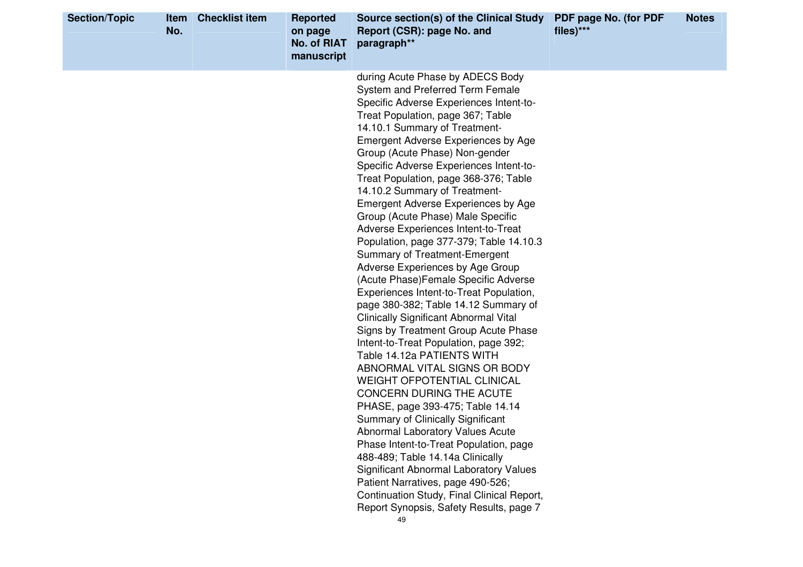| <b>Section/Topic</b> | Item<br>No. | <b>Checklist item</b> | <b>Reported</b><br>on page<br><b>No. of RIAT</b><br>manuscript | Source section(s) of the Clinical Study<br>Report (CSR): page No. and<br>paragraph**                                                                                                                                                                                                                                                                                                                                                                                                                                                                                                                                                                                                                                                                                                                                                                                                                                                                                                                                                                                                                                                                                                                                                                                                                                                                                                                        | PDF page No. (for PDF<br>files)*** | <b>Notes</b> |
|----------------------|-------------|-----------------------|----------------------------------------------------------------|-------------------------------------------------------------------------------------------------------------------------------------------------------------------------------------------------------------------------------------------------------------------------------------------------------------------------------------------------------------------------------------------------------------------------------------------------------------------------------------------------------------------------------------------------------------------------------------------------------------------------------------------------------------------------------------------------------------------------------------------------------------------------------------------------------------------------------------------------------------------------------------------------------------------------------------------------------------------------------------------------------------------------------------------------------------------------------------------------------------------------------------------------------------------------------------------------------------------------------------------------------------------------------------------------------------------------------------------------------------------------------------------------------------|------------------------------------|--------------|
|                      |             |                       |                                                                | during Acute Phase by ADECS Body<br>System and Preferred Term Female<br>Specific Adverse Experiences Intent-to-<br>Treat Population, page 367; Table<br>14.10.1 Summary of Treatment-<br><b>Emergent Adverse Experiences by Age</b><br>Group (Acute Phase) Non-gender<br>Specific Adverse Experiences Intent-to-<br>Treat Population, page 368-376; Table<br>14.10.2 Summary of Treatment-<br><b>Emergent Adverse Experiences by Age</b><br>Group (Acute Phase) Male Specific<br>Adverse Experiences Intent-to-Treat<br>Population, page 377-379; Table 14.10.3<br>Summary of Treatment-Emergent<br>Adverse Experiences by Age Group<br>(Acute Phase) Female Specific Adverse<br>Experiences Intent-to-Treat Population,<br>page 380-382; Table 14.12 Summary of<br><b>Clinically Significant Abnormal Vital</b><br>Signs by Treatment Group Acute Phase<br>Intent-to-Treat Population, page 392;<br>Table 14.12a PATIENTS WITH<br>ABNORMAL VITAL SIGNS OR BODY<br><b>WEIGHT OFPOTENTIAL CLINICAL</b><br>CONCERN DURING THE ACUTE<br>PHASE, page 393-475; Table 14.14<br>Summary of Clinically Significant<br>Abnormal Laboratory Values Acute<br>Phase Intent-to-Treat Population, page<br>488-489; Table 14.14a Clinically<br><b>Significant Abnormal Laboratory Values</b><br>Patient Narratives, page 490-526;<br>Continuation Study, Final Clinical Report,<br>Report Synopsis, Safety Results, page 7 |                                    |              |
|                      |             |                       |                                                                | 49                                                                                                                                                                                                                                                                                                                                                                                                                                                                                                                                                                                                                                                                                                                                                                                                                                                                                                                                                                                                                                                                                                                                                                                                                                                                                                                                                                                                          |                                    |              |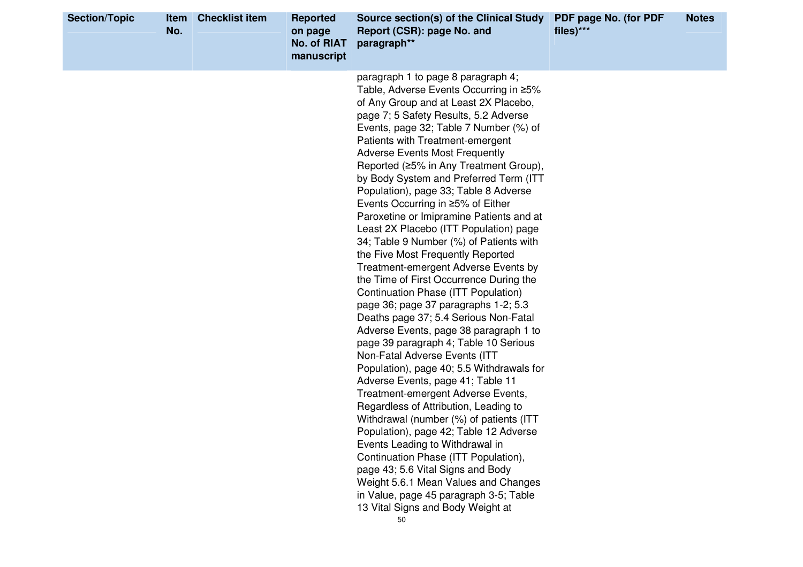| <b>Section/Topic</b> | <b>Item</b><br>No. | <b>Checklist item</b> | <b>Reported</b><br>on page<br><b>No. of RIAT</b><br>manuscript | Source section(s) of the Clinical Study<br>Report (CSR): page No. and<br>paragraph**                                                                                                                                                                                                                                                                                                                                                                                                                                                                                                                                                                                                                                                                                                                                                                                                                                                                                                                                                                                                                                                                                                                                                                                                                                                                                                                                                                                   | PDF page No. (for PDF<br>files)*** | <b>Notes</b> |
|----------------------|--------------------|-----------------------|----------------------------------------------------------------|------------------------------------------------------------------------------------------------------------------------------------------------------------------------------------------------------------------------------------------------------------------------------------------------------------------------------------------------------------------------------------------------------------------------------------------------------------------------------------------------------------------------------------------------------------------------------------------------------------------------------------------------------------------------------------------------------------------------------------------------------------------------------------------------------------------------------------------------------------------------------------------------------------------------------------------------------------------------------------------------------------------------------------------------------------------------------------------------------------------------------------------------------------------------------------------------------------------------------------------------------------------------------------------------------------------------------------------------------------------------------------------------------------------------------------------------------------------------|------------------------------------|--------------|
|                      |                    |                       |                                                                | paragraph 1 to page 8 paragraph 4;<br>Table, Adverse Events Occurring in ≥5%<br>of Any Group and at Least 2X Placebo,<br>page 7; 5 Safety Results, 5.2 Adverse<br>Events, page 32; Table 7 Number (%) of<br>Patients with Treatment-emergent<br><b>Adverse Events Most Frequently</b><br>Reported (≥5% in Any Treatment Group),<br>by Body System and Preferred Term (ITT<br>Population), page 33; Table 8 Adverse<br>Events Occurring in ≥5% of Either<br>Paroxetine or Imipramine Patients and at<br>Least 2X Placebo (ITT Population) page<br>34; Table 9 Number (%) of Patients with<br>the Five Most Frequently Reported<br>Treatment-emergent Adverse Events by<br>the Time of First Occurrence During the<br><b>Continuation Phase (ITT Population)</b><br>page 36; page 37 paragraphs 1-2; 5.3<br>Deaths page 37; 5.4 Serious Non-Fatal<br>Adverse Events, page 38 paragraph 1 to<br>page 39 paragraph 4; Table 10 Serious<br>Non-Fatal Adverse Events (ITT<br>Population), page 40; 5.5 Withdrawals for<br>Adverse Events, page 41; Table 11<br>Treatment-emergent Adverse Events,<br>Regardless of Attribution, Leading to<br>Withdrawal (number (%) of patients (ITT<br>Population), page 42; Table 12 Adverse<br>Events Leading to Withdrawal in<br>Continuation Phase (ITT Population),<br>page 43; 5.6 Vital Signs and Body<br>Weight 5.6.1 Mean Values and Changes<br>in Value, page 45 paragraph 3-5; Table<br>13 Vital Signs and Body Weight at<br>50 |                                    |              |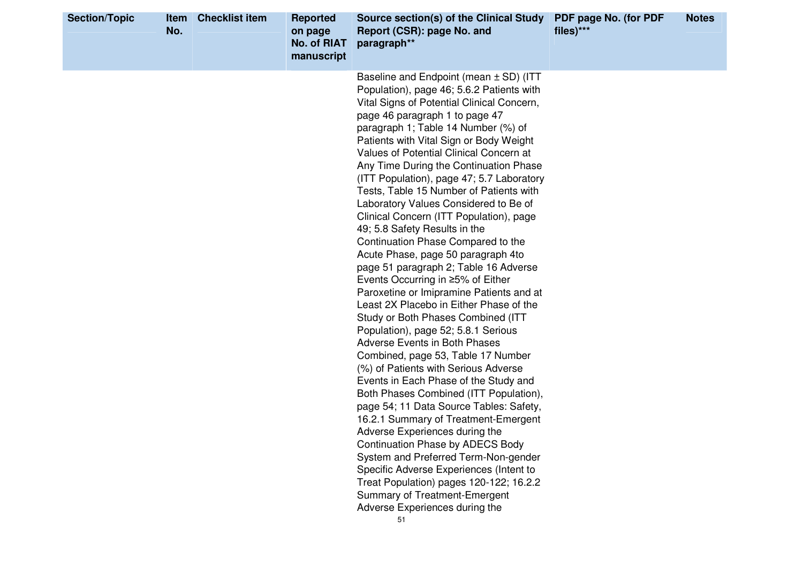| Baseline and Endpoint (mean ± SD) (ITT<br>Population), page 46; 5.6.2 Patients with<br>Vital Signs of Potential Clinical Concern,<br>page 46 paragraph 1 to page 47<br>paragraph 1; Table 14 Number (%) of<br>Patients with Vital Sign or Body Weight<br>Values of Potential Clinical Concern at<br>Any Time During the Continuation Phase<br>(ITT Population), page 47; 5.7 Laboratory<br>Tests, Table 15 Number of Patients with<br>Laboratory Values Considered to Be of<br>Clinical Concern (ITT Population), page<br>49; 5.8 Safety Results in the<br>Continuation Phase Compared to the<br>Acute Phase, page 50 paragraph 4to<br>page 51 paragraph 2; Table 16 Adverse<br>Events Occurring in ≥5% of Either<br>Paroxetine or Imipramine Patients and at<br>Least 2X Placebo in Either Phase of the<br>Study or Both Phases Combined (ITT<br>Population), page 52; 5.8.1 Serious<br>Adverse Events in Both Phases<br>Combined, page 53, Table 17 Number<br>(%) of Patients with Serious Adverse<br>Events in Each Phase of the Study and<br>Both Phases Combined (ITT Population),<br>page 54; 11 Data Source Tables: Safety,<br>16.2.1 Summary of Treatment-Emergent<br>Adverse Experiences during the | <b>Section/Topic</b> | Item<br>No. | <b>Checklist item</b> | <b>Reported</b><br>on page<br><b>No. of RIAT</b><br>manuscript | Source section(s) of the Clinical Study<br>Report (CSR): page No. and<br>paragraph** | PDF page No. (for PDF<br>files)*** | <b>Notes</b> |
|--------------------------------------------------------------------------------------------------------------------------------------------------------------------------------------------------------------------------------------------------------------------------------------------------------------------------------------------------------------------------------------------------------------------------------------------------------------------------------------------------------------------------------------------------------------------------------------------------------------------------------------------------------------------------------------------------------------------------------------------------------------------------------------------------------------------------------------------------------------------------------------------------------------------------------------------------------------------------------------------------------------------------------------------------------------------------------------------------------------------------------------------------------------------------------------------------------------|----------------------|-------------|-----------------------|----------------------------------------------------------------|--------------------------------------------------------------------------------------|------------------------------------|--------------|
| System and Preferred Term-Non-gender<br>Specific Adverse Experiences (Intent to<br>Treat Population) pages 120-122; 16.2.2<br><b>Summary of Treatment-Emergent</b><br>Adverse Experiences during the<br>51                                                                                                                                                                                                                                                                                                                                                                                                                                                                                                                                                                                                                                                                                                                                                                                                                                                                                                                                                                                                   |                      |             |                       |                                                                | <b>Continuation Phase by ADECS Body</b>                                              |                                    |              |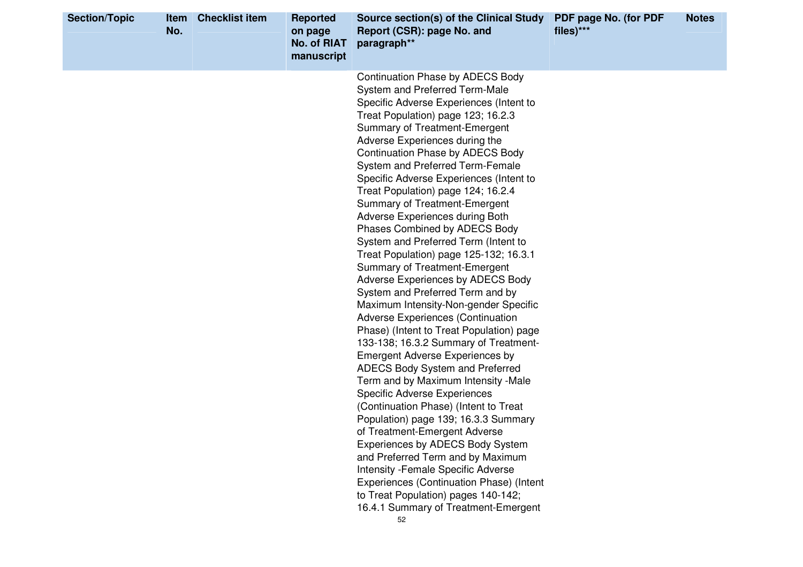| <b>Section/Topic</b><br><b>Item</b><br>No. | <b>Checklist item</b> | <b>Reported</b><br>on page<br><b>No. of RIAT</b><br>manuscript | Source section(s) of the Clinical Study<br>Report (CSR): page No. and<br>paragraph**                                                                                                                                                                                                                                                                                                                                                                                                                                                                                                                                                                                                                                                                                                                                                                                                                                                                                                                                                                                                                                                                                                                                                                                                                                                                                                                                        | PDF page No. (for PDF<br>files)*** | <b>Notes</b> |
|--------------------------------------------|-----------------------|----------------------------------------------------------------|-----------------------------------------------------------------------------------------------------------------------------------------------------------------------------------------------------------------------------------------------------------------------------------------------------------------------------------------------------------------------------------------------------------------------------------------------------------------------------------------------------------------------------------------------------------------------------------------------------------------------------------------------------------------------------------------------------------------------------------------------------------------------------------------------------------------------------------------------------------------------------------------------------------------------------------------------------------------------------------------------------------------------------------------------------------------------------------------------------------------------------------------------------------------------------------------------------------------------------------------------------------------------------------------------------------------------------------------------------------------------------------------------------------------------------|------------------------------------|--------------|
|                                            |                       |                                                                | <b>Continuation Phase by ADECS Body</b><br>System and Preferred Term-Male<br>Specific Adverse Experiences (Intent to<br>Treat Population) page 123; 16.2.3<br><b>Summary of Treatment-Emergent</b><br>Adverse Experiences during the<br><b>Continuation Phase by ADECS Body</b><br>System and Preferred Term-Female<br>Specific Adverse Experiences (Intent to<br>Treat Population) page 124; 16.2.4<br>Summary of Treatment-Emergent<br>Adverse Experiences during Both<br>Phases Combined by ADECS Body<br>System and Preferred Term (Intent to<br>Treat Population) page 125-132; 16.3.1<br>Summary of Treatment-Emergent<br>Adverse Experiences by ADECS Body<br>System and Preferred Term and by<br>Maximum Intensity-Non-gender Specific<br><b>Adverse Experiences (Continuation</b><br>Phase) (Intent to Treat Population) page<br>133-138; 16.3.2 Summary of Treatment-<br><b>Emergent Adverse Experiences by</b><br><b>ADECS Body System and Preferred</b><br>Term and by Maximum Intensity -Male<br><b>Specific Adverse Experiences</b><br>(Continuation Phase) (Intent to Treat<br>Population) page 139; 16.3.3 Summary<br>of Treatment-Emergent Adverse<br>Experiences by ADECS Body System<br>and Preferred Term and by Maximum<br><b>Intensity - Female Specific Adverse</b><br>Experiences (Continuation Phase) (Intent<br>to Treat Population) pages 140-142;<br>16.4.1 Summary of Treatment-Emergent<br>52 |                                    |              |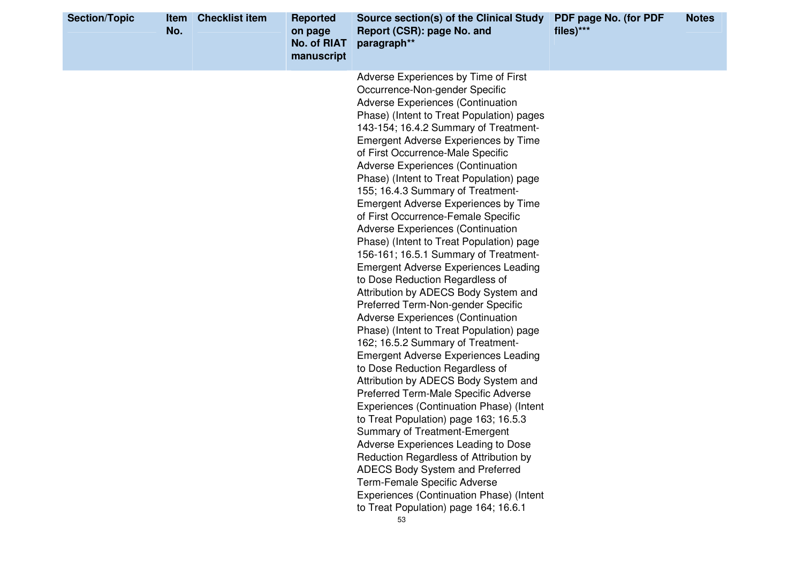| <b>Section/Topic</b> | Item<br>No. | <b>Checklist item</b> | <b>Reported</b><br>on page<br><b>No. of RIAT</b><br>manuscript | Source section(s) of the Clinical Study<br>Report (CSR): page No. and<br>paragraph**                                                                                                                                                                                                                                                                                                                                                                                                                                                                                                                                                                                                                                                                                                                                                                                                                                                                                                                                                                                                                                                                                                                                                                                                                                                                                                                                                                                           | PDF page No. (for PDF<br>files)*** | <b>Notes</b> |
|----------------------|-------------|-----------------------|----------------------------------------------------------------|--------------------------------------------------------------------------------------------------------------------------------------------------------------------------------------------------------------------------------------------------------------------------------------------------------------------------------------------------------------------------------------------------------------------------------------------------------------------------------------------------------------------------------------------------------------------------------------------------------------------------------------------------------------------------------------------------------------------------------------------------------------------------------------------------------------------------------------------------------------------------------------------------------------------------------------------------------------------------------------------------------------------------------------------------------------------------------------------------------------------------------------------------------------------------------------------------------------------------------------------------------------------------------------------------------------------------------------------------------------------------------------------------------------------------------------------------------------------------------|------------------------------------|--------------|
|                      |             |                       |                                                                | Adverse Experiences by Time of First<br>Occurrence-Non-gender Specific<br><b>Adverse Experiences (Continuation</b><br>Phase) (Intent to Treat Population) pages<br>143-154; 16.4.2 Summary of Treatment-<br><b>Emergent Adverse Experiences by Time</b><br>of First Occurrence-Male Specific<br><b>Adverse Experiences (Continuation</b><br>Phase) (Intent to Treat Population) page<br>155; 16.4.3 Summary of Treatment-<br><b>Emergent Adverse Experiences by Time</b><br>of First Occurrence-Female Specific<br><b>Adverse Experiences (Continuation</b><br>Phase) (Intent to Treat Population) page<br>156-161; 16.5.1 Summary of Treatment-<br><b>Emergent Adverse Experiences Leading</b><br>to Dose Reduction Regardless of<br>Attribution by ADECS Body System and<br>Preferred Term-Non-gender Specific<br><b>Adverse Experiences (Continuation</b><br>Phase) (Intent to Treat Population) page<br>162; 16.5.2 Summary of Treatment-<br><b>Emergent Adverse Experiences Leading</b><br>to Dose Reduction Regardless of<br>Attribution by ADECS Body System and<br>Preferred Term-Male Specific Adverse<br>Experiences (Continuation Phase) (Intent<br>to Treat Population) page 163; 16.5.3<br>Summary of Treatment-Emergent<br>Adverse Experiences Leading to Dose<br>Reduction Regardless of Attribution by<br>ADECS Body System and Preferred<br>Term-Female Specific Adverse<br>Experiences (Continuation Phase) (Intent<br>to Treat Population) page 164; 16.6.1 |                                    |              |
|                      |             |                       |                                                                | 53                                                                                                                                                                                                                                                                                                                                                                                                                                                                                                                                                                                                                                                                                                                                                                                                                                                                                                                                                                                                                                                                                                                                                                                                                                                                                                                                                                                                                                                                             |                                    |              |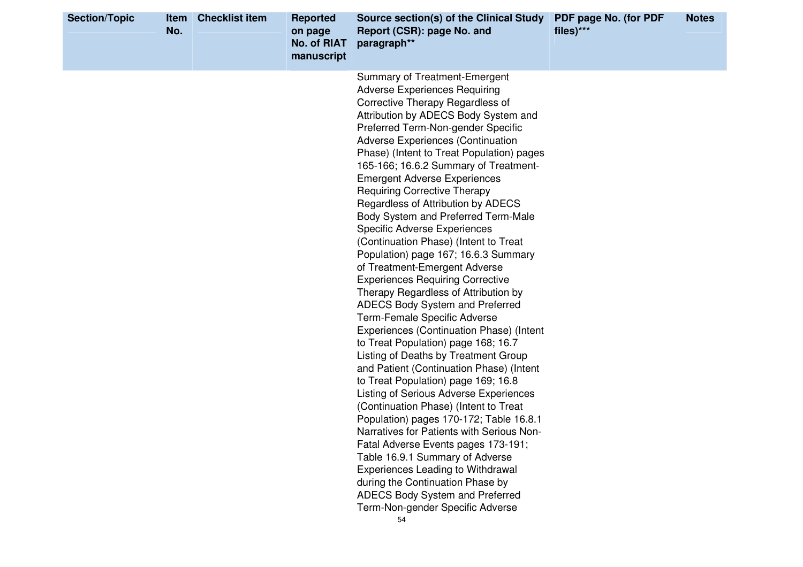| <b>Section/Topic</b> | <b>Item</b><br>No. | <b>Checklist item</b> | <b>Reported</b><br>on page<br><b>No. of RIAT</b><br>manuscript | Source section(s) of the Clinical Study<br>Report (CSR): page No. and<br>paragraph**                                                                                                                                                                                                                                                                                                                                                                                                                                                                                                                                                                                                                                                                                                                                                                                                                                                                                                                                                                                                                                                                                                                                                                                                                                                                                                                                                       | PDF page No. (for PDF<br>files)*** | <b>Notes</b> |
|----------------------|--------------------|-----------------------|----------------------------------------------------------------|--------------------------------------------------------------------------------------------------------------------------------------------------------------------------------------------------------------------------------------------------------------------------------------------------------------------------------------------------------------------------------------------------------------------------------------------------------------------------------------------------------------------------------------------------------------------------------------------------------------------------------------------------------------------------------------------------------------------------------------------------------------------------------------------------------------------------------------------------------------------------------------------------------------------------------------------------------------------------------------------------------------------------------------------------------------------------------------------------------------------------------------------------------------------------------------------------------------------------------------------------------------------------------------------------------------------------------------------------------------------------------------------------------------------------------------------|------------------------------------|--------------|
|                      |                    |                       |                                                                | <b>Summary of Treatment-Emergent</b><br><b>Adverse Experiences Requiring</b><br>Corrective Therapy Regardless of<br>Attribution by ADECS Body System and<br>Preferred Term-Non-gender Specific<br><b>Adverse Experiences (Continuation</b><br>Phase) (Intent to Treat Population) pages<br>165-166; 16.6.2 Summary of Treatment-<br><b>Emergent Adverse Experiences</b><br><b>Requiring Corrective Therapy</b><br>Regardless of Attribution by ADECS<br>Body System and Preferred Term-Male<br><b>Specific Adverse Experiences</b><br>(Continuation Phase) (Intent to Treat<br>Population) page 167; 16.6.3 Summary<br>of Treatment-Emergent Adverse<br><b>Experiences Requiring Corrective</b><br>Therapy Regardless of Attribution by<br>ADECS Body System and Preferred<br>Term-Female Specific Adverse<br>Experiences (Continuation Phase) (Intent<br>to Treat Population) page 168; 16.7<br>Listing of Deaths by Treatment Group<br>and Patient (Continuation Phase) (Intent<br>to Treat Population) page 169; 16.8<br><b>Listing of Serious Adverse Experiences</b><br>(Continuation Phase) (Intent to Treat<br>Population) pages 170-172; Table 16.8.1<br>Narratives for Patients with Serious Non-<br>Fatal Adverse Events pages 173-191;<br>Table 16.9.1 Summary of Adverse<br>Experiences Leading to Withdrawal<br>during the Continuation Phase by<br>ADECS Body System and Preferred<br>Term-Non-gender Specific Adverse<br>54 |                                    |              |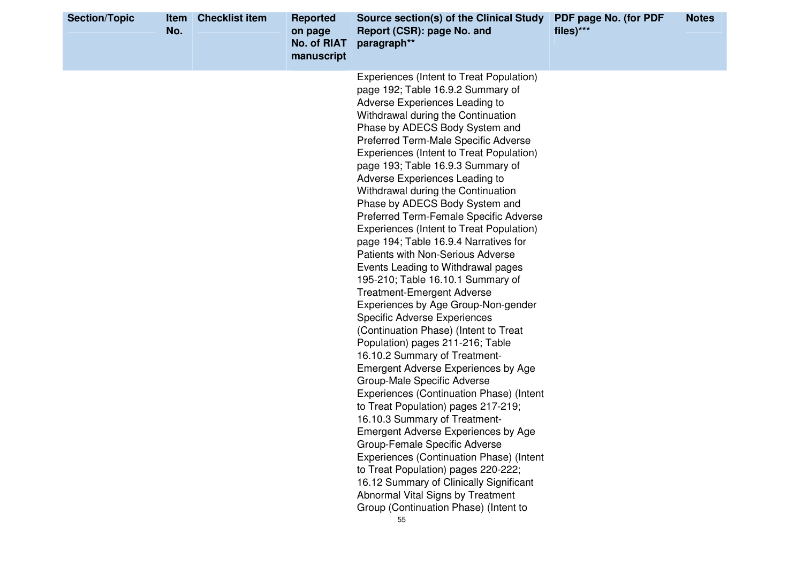| <b>Section/Topic</b> | Item<br>No. | <b>Checklist item</b> | <b>Reported</b><br>on page<br><b>No. of RIAT</b><br>manuscript | Source section(s) of the Clinical Study<br>Report (CSR): page No. and<br>paragraph**                                                                                                                                                                                                                                                                                                                                                                                                                                                                                                                                                                                                                                                                                                                                                                                                                                                                                                                                                                                                                                                                                                                                                                                                                                                                                                                   | PDF page No. (for PDF<br>files)*** | <b>Notes</b> |
|----------------------|-------------|-----------------------|----------------------------------------------------------------|--------------------------------------------------------------------------------------------------------------------------------------------------------------------------------------------------------------------------------------------------------------------------------------------------------------------------------------------------------------------------------------------------------------------------------------------------------------------------------------------------------------------------------------------------------------------------------------------------------------------------------------------------------------------------------------------------------------------------------------------------------------------------------------------------------------------------------------------------------------------------------------------------------------------------------------------------------------------------------------------------------------------------------------------------------------------------------------------------------------------------------------------------------------------------------------------------------------------------------------------------------------------------------------------------------------------------------------------------------------------------------------------------------|------------------------------------|--------------|
|                      |             |                       |                                                                | Experiences (Intent to Treat Population)<br>page 192; Table 16.9.2 Summary of<br>Adverse Experiences Leading to<br>Withdrawal during the Continuation<br>Phase by ADECS Body System and<br>Preferred Term-Male Specific Adverse<br>Experiences (Intent to Treat Population)<br>page 193; Table 16.9.3 Summary of<br>Adverse Experiences Leading to<br>Withdrawal during the Continuation<br>Phase by ADECS Body System and<br>Preferred Term-Female Specific Adverse<br>Experiences (Intent to Treat Population)<br>page 194; Table 16.9.4 Narratives for<br><b>Patients with Non-Serious Adverse</b><br>Events Leading to Withdrawal pages<br>195-210; Table 16.10.1 Summary of<br><b>Treatment-Emergent Adverse</b><br>Experiences by Age Group-Non-gender<br><b>Specific Adverse Experiences</b><br>(Continuation Phase) (Intent to Treat<br>Population) pages 211-216; Table<br>16.10.2 Summary of Treatment-<br>Emergent Adverse Experiences by Age<br>Group-Male Specific Adverse<br>Experiences (Continuation Phase) (Intent<br>to Treat Population) pages 217-219;<br>16.10.3 Summary of Treatment-<br><b>Emergent Adverse Experiences by Age</b><br>Group-Female Specific Adverse<br>Experiences (Continuation Phase) (Intent<br>to Treat Population) pages 220-222;<br>16.12 Summary of Clinically Significant<br>Abnormal Vital Signs by Treatment<br>Group (Continuation Phase) (Intent to |                                    |              |
|                      |             |                       |                                                                | 55                                                                                                                                                                                                                                                                                                                                                                                                                                                                                                                                                                                                                                                                                                                                                                                                                                                                                                                                                                                                                                                                                                                                                                                                                                                                                                                                                                                                     |                                    |              |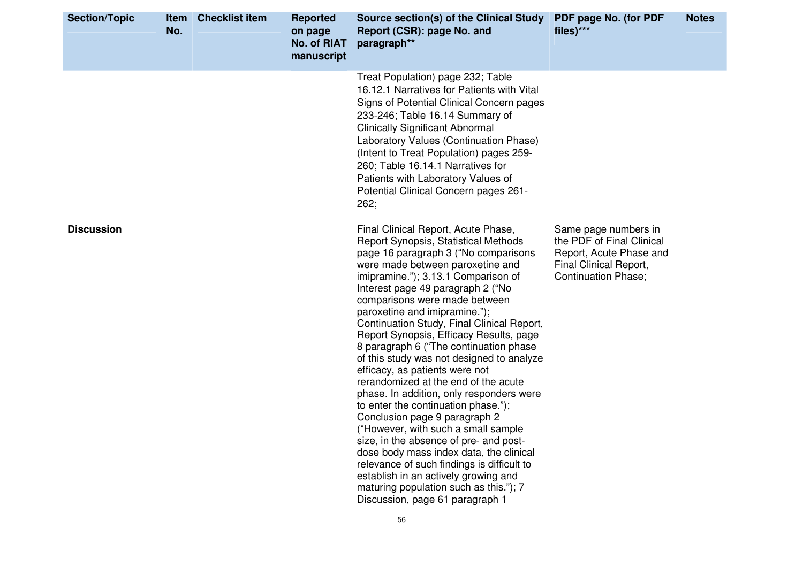| <b>Section/Topic</b> | <b>Item</b><br>No. | <b>Checklist item</b> | <b>Reported</b><br>on page<br><b>No. of RIAT</b><br>manuscript | Source section(s) of the Clinical Study PDF page No. (for PDF<br>Report (CSR): page No. and<br>paragraph**                                                                                                                                                                                                                                                                                                                                                                                                                                                                                                                                                                                                                                                                                                                                                                                                                                                                         | files)***                                                                                                                            | <b>Notes</b> |
|----------------------|--------------------|-----------------------|----------------------------------------------------------------|------------------------------------------------------------------------------------------------------------------------------------------------------------------------------------------------------------------------------------------------------------------------------------------------------------------------------------------------------------------------------------------------------------------------------------------------------------------------------------------------------------------------------------------------------------------------------------------------------------------------------------------------------------------------------------------------------------------------------------------------------------------------------------------------------------------------------------------------------------------------------------------------------------------------------------------------------------------------------------|--------------------------------------------------------------------------------------------------------------------------------------|--------------|
|                      |                    |                       |                                                                | Treat Population) page 232; Table<br>16.12.1 Narratives for Patients with Vital<br>Signs of Potential Clinical Concern pages<br>233-246; Table 16.14 Summary of<br><b>Clinically Significant Abnormal</b><br>Laboratory Values (Continuation Phase)<br>(Intent to Treat Population) pages 259-<br>260; Table 16.14.1 Narratives for<br>Patients with Laboratory Values of<br>Potential Clinical Concern pages 261-<br>262;                                                                                                                                                                                                                                                                                                                                                                                                                                                                                                                                                         |                                                                                                                                      |              |
| <b>Discussion</b>    |                    |                       |                                                                | Final Clinical Report, Acute Phase,<br>Report Synopsis, Statistical Methods<br>page 16 paragraph 3 ("No comparisons<br>were made between paroxetine and<br>imipramine."); 3.13.1 Comparison of<br>Interest page 49 paragraph 2 ("No<br>comparisons were made between<br>paroxetine and imipramine.");<br>Continuation Study, Final Clinical Report,<br>Report Synopsis, Efficacy Results, page<br>8 paragraph 6 ("The continuation phase<br>of this study was not designed to analyze<br>efficacy, as patients were not<br>rerandomized at the end of the acute<br>phase. In addition, only responders were<br>to enter the continuation phase.");<br>Conclusion page 9 paragraph 2<br>("However, with such a small sample<br>size, in the absence of pre- and post-<br>dose body mass index data, the clinical<br>relevance of such findings is difficult to<br>establish in an actively growing and<br>maturing population such as this."); 7<br>Discussion, page 61 paragraph 1 | Same page numbers in<br>the PDF of Final Clinical<br>Report, Acute Phase and<br>Final Clinical Report,<br><b>Continuation Phase;</b> |              |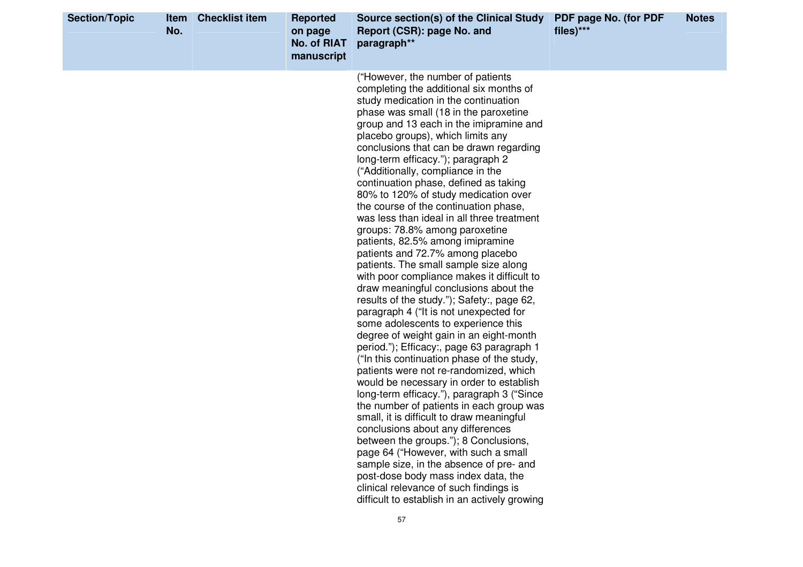| <b>Section/Topic</b> | Item<br>No. | <b>Checklist item</b> | <b>Reported</b><br>on page<br><b>No. of RIAT</b><br>manuscript | Source section(s) of the Clinical Study<br>Report (CSR): page No. and<br>paragraph**                                                                                                                                                                                                                                                                                                                                                                                                                                                                                                                                                                                                                                                                                                                                                                                                                                                                                                                                                                                                                                                                                                                                                                                                                                                                                                                                                                                                                                                                                                       | PDF page No. (for PDF<br>files)*** | <b>Notes</b> |
|----------------------|-------------|-----------------------|----------------------------------------------------------------|--------------------------------------------------------------------------------------------------------------------------------------------------------------------------------------------------------------------------------------------------------------------------------------------------------------------------------------------------------------------------------------------------------------------------------------------------------------------------------------------------------------------------------------------------------------------------------------------------------------------------------------------------------------------------------------------------------------------------------------------------------------------------------------------------------------------------------------------------------------------------------------------------------------------------------------------------------------------------------------------------------------------------------------------------------------------------------------------------------------------------------------------------------------------------------------------------------------------------------------------------------------------------------------------------------------------------------------------------------------------------------------------------------------------------------------------------------------------------------------------------------------------------------------------------------------------------------------------|------------------------------------|--------------|
|                      |             |                       |                                                                | ("However, the number of patients<br>completing the additional six months of<br>study medication in the continuation<br>phase was small (18 in the paroxetine<br>group and 13 each in the imipramine and<br>placebo groups), which limits any<br>conclusions that can be drawn regarding<br>long-term efficacy."); paragraph 2<br>("Additionally, compliance in the<br>continuation phase, defined as taking<br>80% to 120% of study medication over<br>the course of the continuation phase,<br>was less than ideal in all three treatment<br>groups: 78.8% among paroxetine<br>patients, 82.5% among imipramine<br>patients and 72.7% among placebo<br>patients. The small sample size along<br>with poor compliance makes it difficult to<br>draw meaningful conclusions about the<br>results of the study."); Safety:, page 62,<br>paragraph 4 ("It is not unexpected for<br>some adolescents to experience this<br>degree of weight gain in an eight-month<br>period."); Efficacy:, page 63 paragraph 1<br>("In this continuation phase of the study,<br>patients were not re-randomized, which<br>would be necessary in order to establish<br>long-term efficacy."), paragraph 3 ("Since<br>the number of patients in each group was<br>small, it is difficult to draw meaningful<br>conclusions about any differences<br>between the groups."); 8 Conclusions,<br>page 64 ("However, with such a small<br>sample size, in the absence of pre- and<br>post-dose body mass index data, the<br>clinical relevance of such findings is<br>difficult to establish in an actively growing |                                    |              |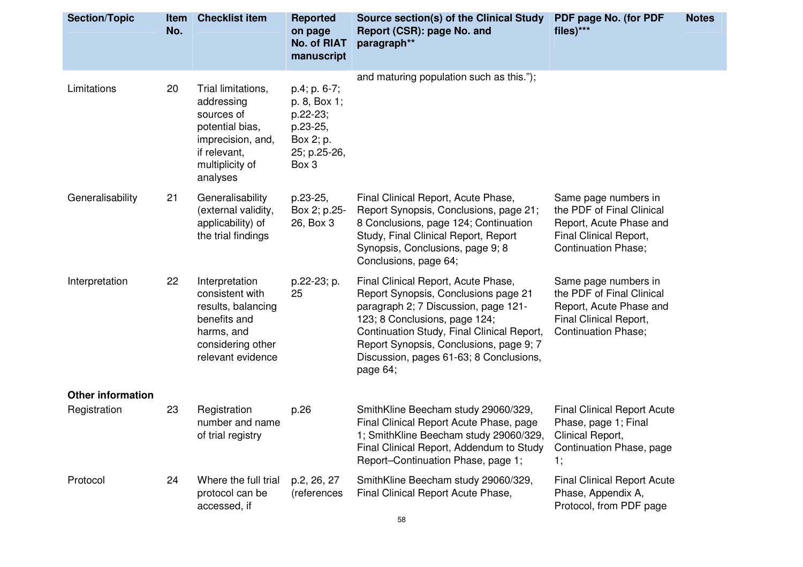| <b>Section/Topic</b>     | <b>Item</b><br>No. | <b>Checklist item</b>                                                                                                                 | <b>Reported</b><br>on page<br>No. of RIAT<br>manuscript                                         | Source section(s) of the Clinical Study<br>Report (CSR): page No. and<br>paragraph**                                                                                                                                                                                                                 | PDF page No. (for PDF<br>files)***                                                                                                   | <b>Notes</b> |
|--------------------------|--------------------|---------------------------------------------------------------------------------------------------------------------------------------|-------------------------------------------------------------------------------------------------|------------------------------------------------------------------------------------------------------------------------------------------------------------------------------------------------------------------------------------------------------------------------------------------------------|--------------------------------------------------------------------------------------------------------------------------------------|--------------|
| Limitations              | 20                 | Trial limitations,<br>addressing<br>sources of<br>potential bias,<br>imprecision, and,<br>if relevant,<br>multiplicity of<br>analyses | $p.4$ ; $p.6-7$ ;<br>p. 8, Box 1;<br>p.22-23;<br>p.23-25,<br>Box 2; p.<br>25; p.25-26,<br>Box 3 | and maturing population such as this.");                                                                                                                                                                                                                                                             |                                                                                                                                      |              |
| Generalisability         | 21                 | Generalisability<br>(external validity,<br>applicability) of<br>the trial findings                                                    | p.23-25,<br>Box 2; p.25-<br>26, Box 3                                                           | Final Clinical Report, Acute Phase,<br>Report Synopsis, Conclusions, page 21;<br>8 Conclusions, page 124; Continuation<br>Study, Final Clinical Report, Report<br>Synopsis, Conclusions, page 9; 8<br>Conclusions, page 64;                                                                          | Same page numbers in<br>the PDF of Final Clinical<br>Report, Acute Phase and<br>Final Clinical Report,<br><b>Continuation Phase;</b> |              |
| Interpretation           | 22                 | Interpretation<br>consistent with<br>results, balancing<br>benefits and<br>harms, and<br>considering other<br>relevant evidence       | p.22-23; p.<br>25                                                                               | Final Clinical Report, Acute Phase,<br>Report Synopsis, Conclusions page 21<br>paragraph 2; 7 Discussion, page 121-<br>123; 8 Conclusions, page 124;<br>Continuation Study, Final Clinical Report,<br>Report Synopsis, Conclusions, page 9, 7<br>Discussion, pages 61-63; 8 Conclusions,<br>page 64; | Same page numbers in<br>the PDF of Final Clinical<br>Report, Acute Phase and<br>Final Clinical Report,<br><b>Continuation Phase;</b> |              |
| <b>Other information</b> |                    |                                                                                                                                       |                                                                                                 |                                                                                                                                                                                                                                                                                                      |                                                                                                                                      |              |
| Registration             | 23                 | Registration<br>number and name<br>of trial registry                                                                                  | p.26                                                                                            | SmithKline Beecham study 29060/329,<br>Final Clinical Report Acute Phase, page<br>1; SmithKline Beecham study 29060/329,<br>Final Clinical Report, Addendum to Study<br>Report-Continuation Phase, page 1;                                                                                           | <b>Final Clinical Report Acute</b><br>Phase, page 1; Final<br>Clinical Report,<br>Continuation Phase, page<br>1,                     |              |
| Protocol                 | 24                 | Where the full trial<br>protocol can be<br>accessed, if                                                                               | p.2, 26, 27<br>(references                                                                      | SmithKline Beecham study 29060/329,<br>Final Clinical Report Acute Phase,                                                                                                                                                                                                                            | <b>Final Clinical Report Acute</b><br>Phase, Appendix A,<br>Protocol, from PDF page                                                  |              |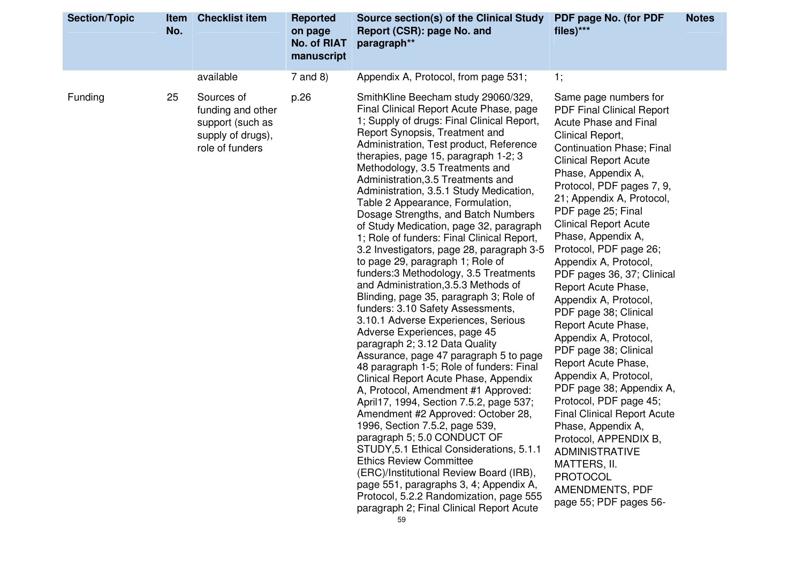| <b>Section/Topic</b><br><b>Item</b><br>No. | <b>Checklist item</b>                                                                       | <b>Reported</b><br>on page<br><b>No. of RIAT</b><br>manuscript | Source section(s) of the Clinical Study<br>Report (CSR): page No. and<br>paragraph**                                                                                                                                                                                                                                                                                                                                                                                                                                                                                                                                                                                                                                                                                                                                                                                                                                                                                                                                                                                                                                                                                                                                                                                                                                                                                                                                                                                                    | PDF page No. (for PDF<br>files)***                                                                                                                                                                                                                                                                                                                                                                                                                                                                                                                                                                                                                                                                                                                                                                                                                                                   | <b>Notes</b> |
|--------------------------------------------|---------------------------------------------------------------------------------------------|----------------------------------------------------------------|-----------------------------------------------------------------------------------------------------------------------------------------------------------------------------------------------------------------------------------------------------------------------------------------------------------------------------------------------------------------------------------------------------------------------------------------------------------------------------------------------------------------------------------------------------------------------------------------------------------------------------------------------------------------------------------------------------------------------------------------------------------------------------------------------------------------------------------------------------------------------------------------------------------------------------------------------------------------------------------------------------------------------------------------------------------------------------------------------------------------------------------------------------------------------------------------------------------------------------------------------------------------------------------------------------------------------------------------------------------------------------------------------------------------------------------------------------------------------------------------|--------------------------------------------------------------------------------------------------------------------------------------------------------------------------------------------------------------------------------------------------------------------------------------------------------------------------------------------------------------------------------------------------------------------------------------------------------------------------------------------------------------------------------------------------------------------------------------------------------------------------------------------------------------------------------------------------------------------------------------------------------------------------------------------------------------------------------------------------------------------------------------|--------------|
|                                            | available                                                                                   | $7$ and 8)                                                     | Appendix A, Protocol, from page 531;                                                                                                                                                                                                                                                                                                                                                                                                                                                                                                                                                                                                                                                                                                                                                                                                                                                                                                                                                                                                                                                                                                                                                                                                                                                                                                                                                                                                                                                    | 1;                                                                                                                                                                                                                                                                                                                                                                                                                                                                                                                                                                                                                                                                                                                                                                                                                                                                                   |              |
| 25<br>Funding                              | Sources of<br>funding and other<br>support (such as<br>supply of drugs),<br>role of funders | p.26                                                           | SmithKline Beecham study 29060/329,<br>Final Clinical Report Acute Phase, page<br>1; Supply of drugs: Final Clinical Report,<br>Report Synopsis, Treatment and<br>Administration, Test product, Reference<br>therapies, page 15, paragraph 1-2; 3<br>Methodology, 3.5 Treatments and<br>Administration, 3.5 Treatments and<br>Administration, 3.5.1 Study Medication,<br>Table 2 Appearance, Formulation,<br>Dosage Strengths, and Batch Numbers<br>of Study Medication, page 32, paragraph<br>1; Role of funders: Final Clinical Report,<br>3.2 Investigators, page 28, paragraph 3-5<br>to page 29, paragraph 1; Role of<br>funders: 3 Methodology, 3.5 Treatments<br>and Administration, 3.5.3 Methods of<br>Blinding, page 35, paragraph 3; Role of<br>funders: 3.10 Safety Assessments,<br>3.10.1 Adverse Experiences, Serious<br>Adverse Experiences, page 45<br>paragraph 2; 3.12 Data Quality<br>Assurance, page 47 paragraph 5 to page<br>48 paragraph 1-5; Role of funders: Final<br>Clinical Report Acute Phase, Appendix<br>A, Protocol, Amendment #1 Approved:<br>April17, 1994, Section 7.5.2, page 537;<br>Amendment #2 Approved: October 28,<br>1996, Section 7.5.2, page 539,<br>paragraph 5; 5.0 CONDUCT OF<br>STUDY, 5.1 Ethical Considerations, 5.1.1<br><b>Ethics Review Committee</b><br>(ERC)/Institutional Review Board (IRB),<br>page 551, paragraphs 3, 4; Appendix A,<br>Protocol, 5.2.2 Randomization, page 555<br>paragraph 2; Final Clinical Report Acute | Same page numbers for<br><b>PDF Final Clinical Report</b><br><b>Acute Phase and Final</b><br>Clinical Report,<br><b>Continuation Phase; Final</b><br><b>Clinical Report Acute</b><br>Phase, Appendix A,<br>Protocol, PDF pages 7, 9,<br>21; Appendix A, Protocol,<br>PDF page 25; Final<br><b>Clinical Report Acute</b><br>Phase, Appendix A,<br>Protocol, PDF page 26;<br>Appendix A, Protocol,<br>PDF pages 36, 37; Clinical<br>Report Acute Phase,<br>Appendix A, Protocol,<br>PDF page 38; Clinical<br>Report Acute Phase,<br>Appendix A, Protocol,<br>PDF page 38; Clinical<br>Report Acute Phase,<br>Appendix A, Protocol,<br>PDF page 38; Appendix A,<br>Protocol, PDF page 45;<br><b>Final Clinical Report Acute</b><br>Phase, Appendix A,<br>Protocol, APPENDIX B,<br><b>ADMINISTRATIVE</b><br>MATTERS, II.<br><b>PROTOCOL</b><br>AMENDMENTS, PDF<br>page 55; PDF pages 56- |              |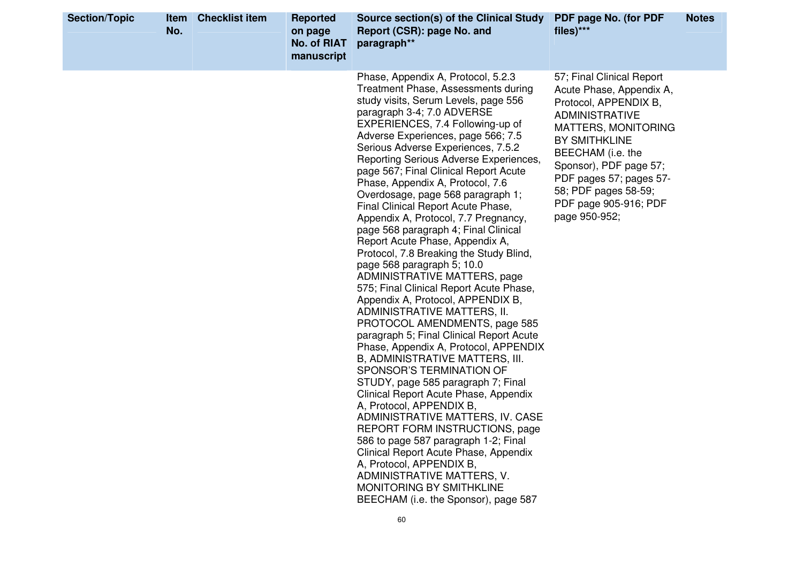| <b>Section/Topic</b> | Item<br>No. | <b>Checklist item</b> | <b>Reported</b><br>on page<br><b>No. of RIAT</b><br>manuscript | Source section(s) of the Clinical Study<br>Report (CSR): page No. and<br>paragraph**                                                                                                                                                                                                                                                                                                                                                                                                                                                                                                                                                                                                                                                                                                                                                                                                                                                                                                                                                                                                                                                                                                                                                                                                                                                                                                                    | PDF page No. (for PDF<br>files)***                                                                                                                                                                                                                                                                        | <b>Notes</b> |
|----------------------|-------------|-----------------------|----------------------------------------------------------------|---------------------------------------------------------------------------------------------------------------------------------------------------------------------------------------------------------------------------------------------------------------------------------------------------------------------------------------------------------------------------------------------------------------------------------------------------------------------------------------------------------------------------------------------------------------------------------------------------------------------------------------------------------------------------------------------------------------------------------------------------------------------------------------------------------------------------------------------------------------------------------------------------------------------------------------------------------------------------------------------------------------------------------------------------------------------------------------------------------------------------------------------------------------------------------------------------------------------------------------------------------------------------------------------------------------------------------------------------------------------------------------------------------|-----------------------------------------------------------------------------------------------------------------------------------------------------------------------------------------------------------------------------------------------------------------------------------------------------------|--------------|
|                      |             |                       |                                                                | Phase, Appendix A, Protocol, 5.2.3<br>Treatment Phase, Assessments during<br>study visits, Serum Levels, page 556<br>paragraph 3-4; 7.0 ADVERSE<br>EXPERIENCES, 7.4 Following-up of<br>Adverse Experiences, page 566; 7.5<br>Serious Adverse Experiences, 7.5.2<br>Reporting Serious Adverse Experiences,<br>page 567; Final Clinical Report Acute<br>Phase, Appendix A, Protocol, 7.6<br>Overdosage, page 568 paragraph 1;<br>Final Clinical Report Acute Phase,<br>Appendix A, Protocol, 7.7 Pregnancy,<br>page 568 paragraph 4; Final Clinical<br>Report Acute Phase, Appendix A,<br>Protocol, 7.8 Breaking the Study Blind,<br>page 568 paragraph 5; 10.0<br>ADMINISTRATIVE MATTERS, page<br>575; Final Clinical Report Acute Phase,<br>Appendix A, Protocol, APPENDIX B,<br>ADMINISTRATIVE MATTERS, II.<br>PROTOCOL AMENDMENTS, page 585<br>paragraph 5; Final Clinical Report Acute<br>Phase, Appendix A, Protocol, APPENDIX<br>B, ADMINISTRATIVE MATTERS, III.<br>SPONSOR'S TERMINATION OF<br>STUDY, page 585 paragraph 7; Final<br>Clinical Report Acute Phase, Appendix<br>A, Protocol, APPENDIX B,<br>ADMINISTRATIVE MATTERS, IV. CASE<br>REPORT FORM INSTRUCTIONS, page<br>586 to page 587 paragraph 1-2; Final<br>Clinical Report Acute Phase, Appendix<br>A, Protocol, APPENDIX B,<br>ADMINISTRATIVE MATTERS, V.<br>MONITORING BY SMITHKLINE<br>BEECHAM (i.e. the Sponsor), page 587<br>60 | 57; Final Clinical Report<br>Acute Phase, Appendix A,<br>Protocol, APPENDIX B,<br><b>ADMINISTRATIVE</b><br><b>MATTERS, MONITORING</b><br><b>BY SMITHKLINE</b><br>BEECHAM (i.e. the<br>Sponsor), PDF page 57;<br>PDF pages 57; pages 57-<br>58; PDF pages 58-59;<br>PDF page 905-916; PDF<br>page 950-952; |              |
|                      |             |                       |                                                                |                                                                                                                                                                                                                                                                                                                                                                                                                                                                                                                                                                                                                                                                                                                                                                                                                                                                                                                                                                                                                                                                                                                                                                                                                                                                                                                                                                                                         |                                                                                                                                                                                                                                                                                                           |              |